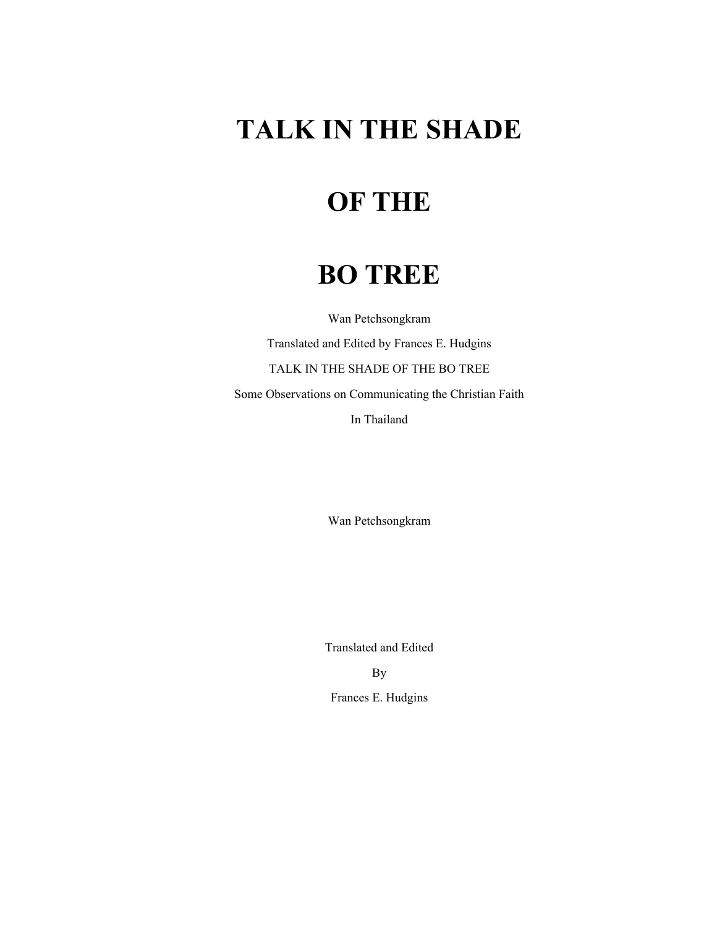# **TALK IN THE SHADE**

## **OF THE**

### **BO TREE**

Wan Petchsongkram Translated and Edited by Frances E. Hudgins TALK IN THE SHADE OF THE BO TREE

Some Observations on Communicating the Christian Faith

In Thailand

Wan Petchsongkram

Translated and Edited By

Frances E. Hudgins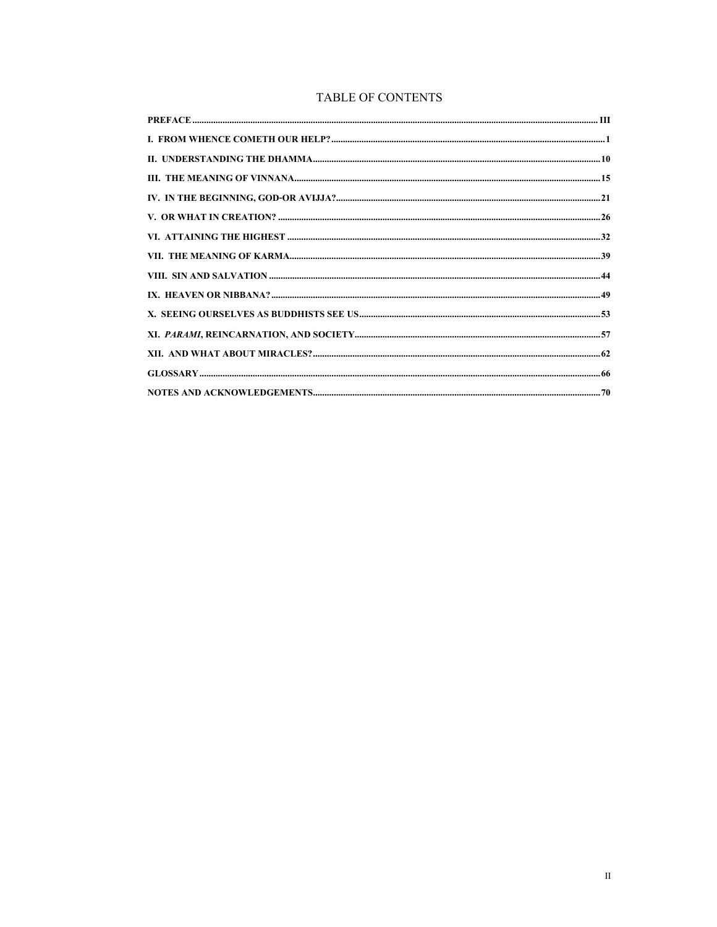### TABLE OF CONTENTS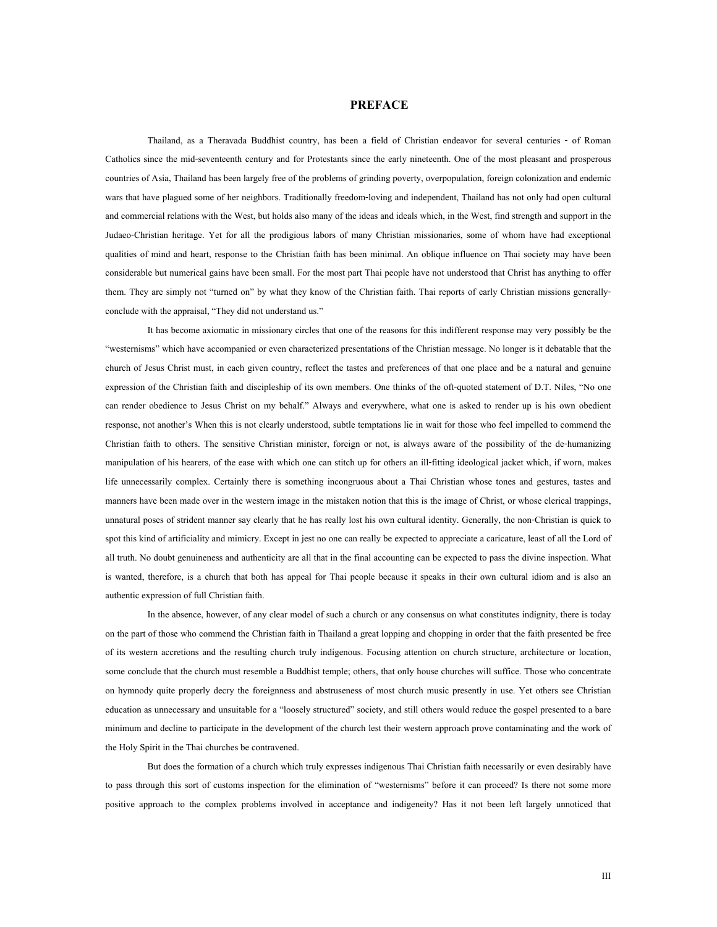### **PREFACE**

<span id="page-2-0"></span>Thailand, as a Theravada Buddhist country, has been a field of Christian endeavor for several centuries - of Roman Catholics since the mid-seventeenth century and for Protestants since the early nineteenth. One of the most pleasant and prosperous countries of Asia, Thailand has been largely free of the problems of grinding poverty, overpopulation, foreign colonization and endemic wars that have plagued some of her neighbors. Traditionally freedom-loving and independent, Thailand has not only had open cultural and commercial relations with the West, but holds also many of the ideas and ideals which, in the West, find strength and support in the Judaeo-Christian heritage. Yet for all the prodigious labors of many Christian missionaries, some of whom have had exceptional qualities of mind and heart, response to the Christian faith has been minimal. An oblique influence on Thai society may have been considerable but numerical gains have been small. For the most part Thai people have not understood that Christ has anything to offer them. They are simply not "turned on" by what they know of the Christian faith. Thai reports of early Christian missions generallyconclude with the appraisal, "They did not understand us."

It has become axiomatic in missionary circles that one of the reasons for this indifferent response may very possibly be the "westernisms" which have accompanied or even characterized presentations of the Christian message. No longer is it debatable that the church of Jesus Christ must, in each given country, reflect the tastes and preferences of that one place and be a natural and genuine expression of the Christian faith and discipleship of its own members. One thinks of the oft-quoted statement of D.T. Niles, "No one can render obedience to Jesus Christ on my behalf." Always and everywhere, what one is asked to render up is his own obedient response, not another's When this is not clearly understood, subtle temptations lie in wait for those who feel impelled to commend the Christian faith to others. The sensitive Christian minister, foreign or not, is always aware of the possibility of the de-humanizing manipulation of his hearers, of the ease with which one can stitch up for others an ill-fitting ideological jacket which, if worn, makes life unnecessarily complex. Certainly there is something incongruous about a Thai Christian whose tones and gestures, tastes and manners have been made over in the western image in the mistaken notion that this is the image of Christ, or whose clerical trappings, unnatural poses of strident manner say clearly that he has really lost his own cultural identity. Generally, the non-Christian is quick to spot this kind of artificiality and mimicry. Except in jest no one can really be expected to appreciate a caricature, least of all the Lord of all truth. No doubt genuineness and authenticity are all that in the final accounting can be expected to pass the divine inspection. What is wanted, therefore, is a church that both has appeal for Thai people because it speaks in their own cultural idiom and is also an authentic expression of full Christian faith.

In the absence, however, of any clear model of such a church or any consensus on what constitutes indignity, there is today on the part of those who commend the Christian faith in Thailand a great lopping and chopping in order that the faith presented be free of its western accretions and the resulting church truly indigenous. Focusing attention on church structure, architecture or location, some conclude that the church must resemble a Buddhist temple; others, that only house churches will suffice. Those who concentrate on hymnody quite properly decry the foreignness and abstruseness of most church music presently in use. Yet others see Christian education as unnecessary and unsuitable for a "loosely structured" society, and still others would reduce the gospel presented to a bare minimum and decline to participate in the development of the church lest their western approach prove contaminating and the work of the Holy Spirit in the Thai churches be contravened.

But does the formation of a church which truly expresses indigenous Thai Christian faith necessarily or even desirably have to pass through this sort of customs inspection for the elimination of "westernisms" before it can proceed? Is there not some more positive approach to the complex problems involved in acceptance and indigeneity? Has it not been left largely unnoticed that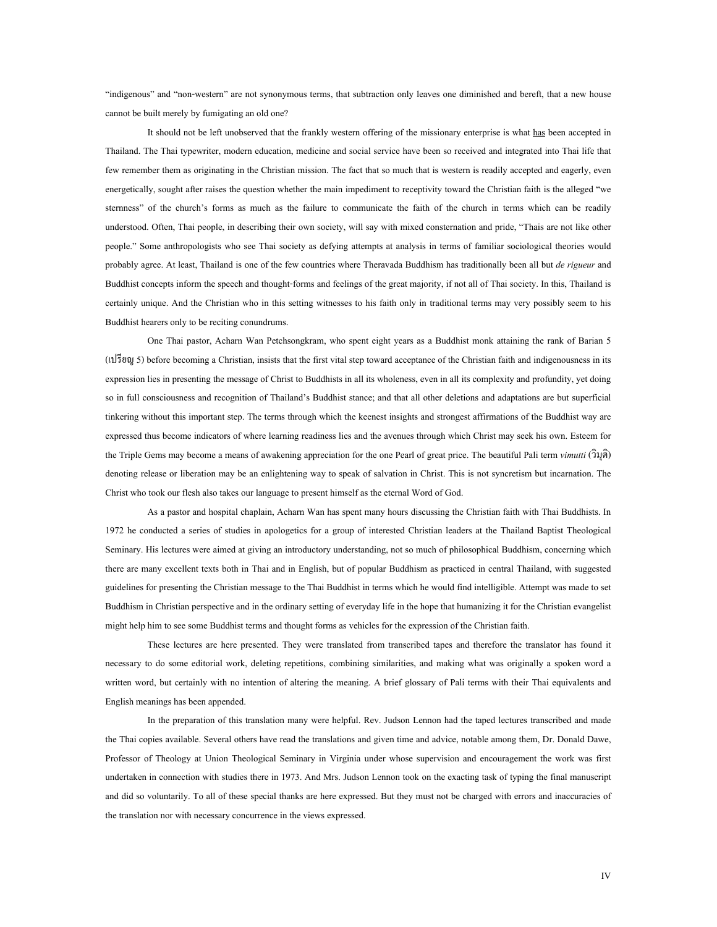"indigenous" and "non-western" are not synonymous terms, that subtraction only leaves one diminished and bereft, that a new house cannot be built merely by fumigating an old one?

It should not be left unobserved that the frankly western offering of the missionary enterprise is what has been accepted in Thailand. The Thai typewriter, modern education, medicine and social service have been so received and integrated into Thai life that few remember them as originating in the Christian mission. The fact that so much that is western is readily accepted and eagerly, even energetically, sought after raises the question whether the main impediment to receptivity toward the Christian faith is the alleged "we sternness" of the church's forms as much as the failure to communicate the faith of the church in terms which can be readily understood. Often, Thai people, in describing their own society, will say with mixed consternation and pride, "Thais are not like other people." Some anthropologists who see Thai society as defying attempts at analysis in terms of familiar sociological theories would probably agree. At least, Thailand is one of the few countries where Theravada Buddhism has traditionally been all but *de rigueur* and Buddhist concepts inform the speech and thought-forms and feelings of the great majority, if not all of Thai society. In this, Thailand is certainly unique. And the Christian who in this setting witnesses to his faith only in traditional terms may very possibly seem to his Buddhist hearers only to be reciting conundrums.

One Thai pastor, Acharn Wan Petchsongkram, who spent eight years as a Buddhist monk attaining the rank of Barian 5 (เปรียญ 5) before becoming a Christian, insists that the first vital step toward acceptance of the Christian faith and indigenousness in its expression lies in presenting the message of Christ to Buddhists in all its wholeness, even in all its complexity and profundity, yet doing so in full consciousness and recognition of Thailand's Buddhist stance; and that all other deletions and adaptations are but superficial tinkering without this important step. The terms through which the keenest insights and strongest affirmations of the Buddhist way are expressed thus become indicators of where learning readiness lies and the avenues through which Christ may seek his own. Esteem for the Triple Gems may become a means of awakening appreciation for the one Pearl of great price. The beautiful Pali term *vimutti* (วิมุติ) denoting release or liberation may be an enlightening way to speak of salvation in Christ. This is not syncretism but incarnation. The Christ who took our flesh also takes our language to present himself as the eternal Word of God.

As a pastor and hospital chaplain, Acharn Wan has spent many hours discussing the Christian faith with Thai Buddhists. In 1972 he conducted a series of studies in apologetics for a group of interested Christian leaders at the Thailand Baptist Theological Seminary. His lectures were aimed at giving an introductory understanding, not so much of philosophical Buddhism, concerning which there are many excellent texts both in Thai and in English, but of popular Buddhism as practiced in central Thailand, with suggested guidelines for presenting the Christian message to the Thai Buddhist in terms which he would find intelligible. Attempt was made to set Buddhism in Christian perspective and in the ordinary setting of everyday life in the hope that humanizing it for the Christian evangelist might help him to see some Buddhist terms and thought forms as vehicles for the expression of the Christian faith.

These lectures are here presented. They were translated from transcribed tapes and therefore the translator has found it necessary to do some editorial work, deleting repetitions, combining similarities, and making what was originally a spoken word a written word, but certainly with no intention of altering the meaning. A brief glossary of Pali terms with their Thai equivalents and English meanings has been appended.

In the preparation of this translation many were helpful. Rev. Judson Lennon had the taped lectures transcribed and made the Thai copies available. Several others have read the translations and given time and advice, notable among them, Dr. Donald Dawe, Professor of Theology at Union Theological Seminary in Virginia under whose supervision and encouragement the work was first undertaken in connection with studies there in 1973. And Mrs. Judson Lennon took on the exacting task of typing the final manuscript and did so voluntarily. To all of these special thanks are here expressed. But they must not be charged with errors and inaccuracies of the translation nor with necessary concurrence in the views expressed.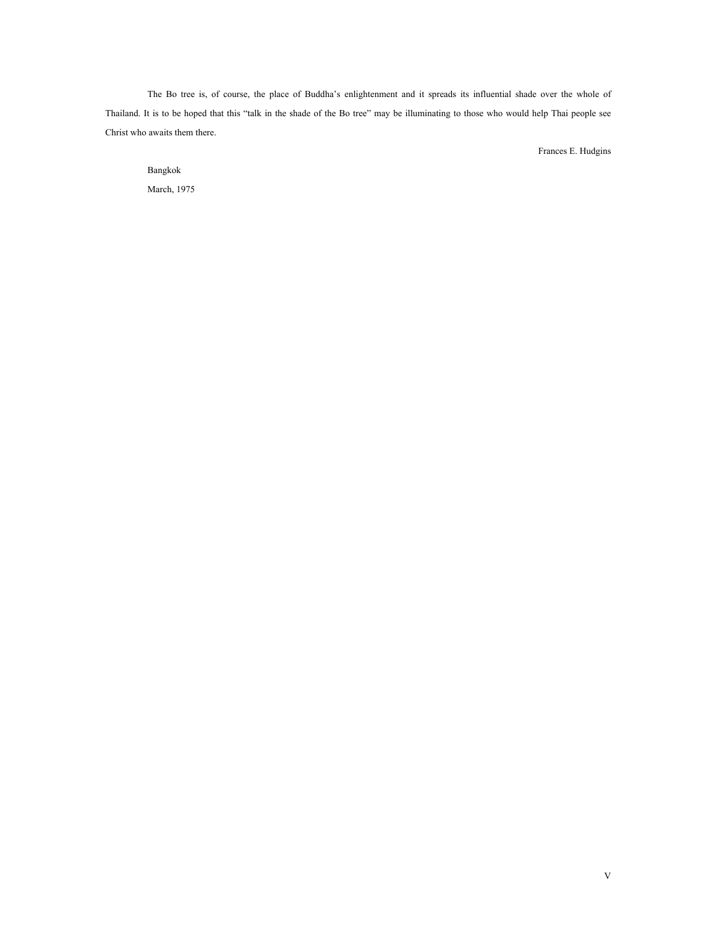The Bo tree is, of course, the place of Buddha's enlightenment and it spreads its influential shade over the whole of Thailand. It is to be hoped that this "talk in the shade of the Bo tree" may be illuminating to those who would help Thai people see Christ who awaits them there.

Frances E. Hudgins

Bangkok March, 1975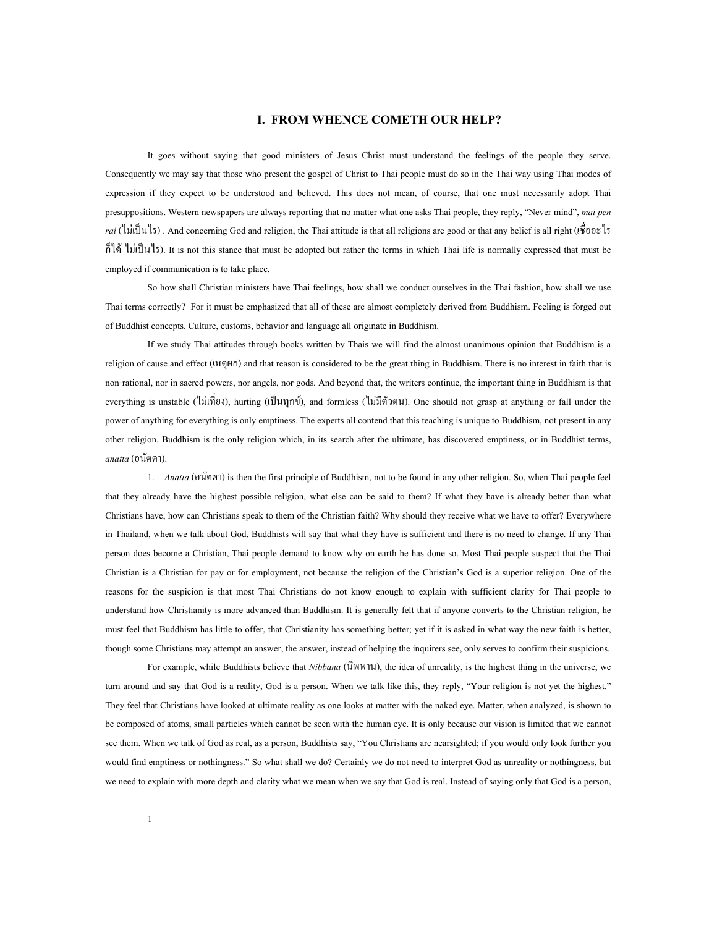#### **I. FROM WHENCE COMETH OUR HELP?**

<span id="page-5-0"></span>It goes without saying that good ministers of Jesus Christ must understand the feelings of the people they serve. Consequently we may say that those who present the gospel of Christ to Thai people must do so in the Thai way using Thai modes of expression if they expect to be understood and believed. This does not mean, of course, that one must necessarily adopt Thai presuppositions. Western newspapers are always reporting that no matter what one asks Thai people, they reply, "Never mind", *mai pen rai* (ไม่เป็นไร). And concerning God and religion, the Thai attitude is that all religions are good or that any belief is all right (เชื้ออะไร ื่ ก็ไดไมเปนไร). It is not this stance that must be adopted but rather the terms in which Thai life is normally expressed that must be employed if communication is to take place.

So how shall Christian ministers have Thai feelings, how shall we conduct ourselves in the Thai fashion, how shall we use Thai terms correctly? For it must be emphasized that all of these are almost completely derived from Buddhism. Feeling is forged out of Buddhist concepts. Culture, customs, behavior and language all originate in Buddhism.

If we study Thai attitudes through books written by Thais we will find the almost unanimous opinion that Buddhism is a religion of cause and effect (เหตุผล) and that reason is considered to be the great thing in Buddhism. There is no interest in faith that is non-rational, nor in sacred powers, nor angels, nor gods. And beyond that, the writers continue, the important thing in Buddhism is that everything is unstable (ไม่เที่ยง), hurting (เป็นทุกข์), and formless (ไม่มีตัวตน). One should not grasp at anything or fall under the ี่ power of anything for everything is only emptiness. The experts all contend that this teaching is unique to Buddhism, not present in any other religion. Buddhism is the only religion which, in its search after the ultimate, has discovered emptiness, or in Buddhist terms, *anatta* (อนัตตา).

1. *Anatta* (อนัตตา) is then the first principle of Buddhism, not to be found in any other religion. So, when Thai people feel that they already have the highest possible religion, what else can be said to them? If what they have is already better than what Christians have, how can Christians speak to them of the Christian faith? Why should they receive what we have to offer? Everywhere in Thailand, when we talk about God, Buddhists will say that what they have is sufficient and there is no need to change. If any Thai person does become a Christian, Thai people demand to know why on earth he has done so. Most Thai people suspect that the Thai Christian is a Christian for pay or for employment, not because the religion of the Christian's God is a superior religion. One of the reasons for the suspicion is that most Thai Christians do not know enough to explain with sufficient clarity for Thai people to understand how Christianity is more advanced than Buddhism. It is generally felt that if anyone converts to the Christian religion, he must feel that Buddhism has little to offer, that Christianity has something better; yet if it is asked in what way the new faith is better, though some Christians may attempt an answer, the answer, instead of helping the inquirers see, only serves to confirm their suspicions.

For example, while Buddhists believe that *Nibbana* (นิพพาน), the idea of unreality, is the highest thing in the universe, we turn around and say that God is a reality, God is a person. When we talk like this, they reply, "Your religion is not yet the highest." They feel that Christians have looked at ultimate reality as one looks at matter with the naked eye. Matter, when analyzed, is shown to be composed of atoms, small particles which cannot be seen with the human eye. It is only because our vision is limited that we cannot see them. When we talk of God as real, as a person, Buddhists say, "You Christians are nearsighted; if you would only look further you would find emptiness or nothingness." So what shall we do? Certainly we do not need to interpret God as unreality or nothingness, but we need to explain with more depth and clarity what we mean when we say that God is real. Instead of saying only that God is a person,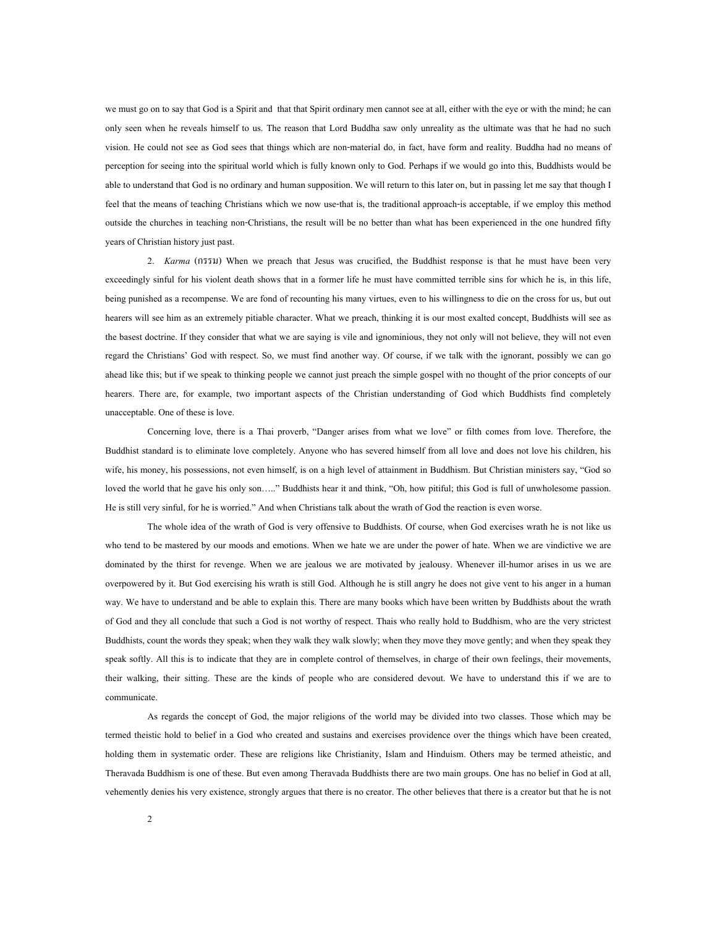we must go on to say that God is a Spirit and that that Spirit ordinary men cannot see at all, either with the eye or with the mind; he can only seen when he reveals himself to us. The reason that Lord Buddha saw only unreality as the ultimate was that he had no such vision. He could not see as God sees that things which are non-material do, in fact, have form and reality. Buddha had no means of perception for seeing into the spiritual world which is fully known only to God. Perhaps if we would go into this, Buddhists would be able to understand that God is no ordinary and human supposition. We will return to this later on, but in passing let me say that though I feel that the means of teaching Christians which we now use-that is, the traditional approach-is acceptable, if we employ this method outside the churches in teaching non-Christians, the result will be no better than what has been experienced in the one hundred fifty years of Christian history just past.

2. *Karma* (กรรม) When we preach that Jesus was crucified, the Buddhist response is that he must have been very exceedingly sinful for his violent death shows that in a former life he must have committed terrible sins for which he is, in this life, being punished as a recompense. We are fond of recounting his many virtues, even to his willingness to die on the cross for us, but out hearers will see him as an extremely pitiable character. What we preach, thinking it is our most exalted concept, Buddhists will see as the basest doctrine. If they consider that what we are saying is vile and ignominious, they not only will not believe, they will not even regard the Christians' God with respect. So, we must find another way. Of course, if we talk with the ignorant, possibly we can go ahead like this; but if we speak to thinking people we cannot just preach the simple gospel with no thought of the prior concepts of our hearers. There are, for example, two important aspects of the Christian understanding of God which Buddhists find completely unacceptable. One of these is love.

Concerning love, there is a Thai proverb, "Danger arises from what we love" or filth comes from love. Therefore, the Buddhist standard is to eliminate love completely. Anyone who has severed himself from all love and does not love his children, his wife, his money, his possessions, not even himself, is on a high level of attainment in Buddhism. But Christian ministers say, "God so loved the world that he gave his only son….." Buddhists hear it and think, "Oh, how pitiful; this God is full of unwholesome passion. He is still very sinful, for he is worried." And when Christians talk about the wrath of God the reaction is even worse.

The whole idea of the wrath of God is very offensive to Buddhists. Of course, when God exercises wrath he is not like us who tend to be mastered by our moods and emotions. When we hate we are under the power of hate. When we are vindictive we are dominated by the thirst for revenge. When we are jealous we are motivated by jealousy. Whenever ill-humor arises in us we are overpowered by it. But God exercising his wrath is still God. Although he is still angry he does not give vent to his anger in a human way. We have to understand and be able to explain this. There are many books which have been written by Buddhists about the wrath of God and they all conclude that such a God is not worthy of respect. Thais who really hold to Buddhism, who are the very strictest Buddhists, count the words they speak; when they walk they walk slowly; when they move they move gently; and when they speak they speak softly. All this is to indicate that they are in complete control of themselves, in charge of their own feelings, their movements, their walking, their sitting. These are the kinds of people who are considered devout. We have to understand this if we are to communicate.

As regards the concept of God, the major religions of the world may be divided into two classes. Those which may be termed theistic hold to belief in a God who created and sustains and exercises providence over the things which have been created, holding them in systematic order. These are religions like Christianity, Islam and Hinduism. Others may be termed atheistic, and Theravada Buddhism is one of these. But even among Theravada Buddhists there are two main groups. One has no belief in God at all, vehemently denies his very existence, strongly argues that there is no creator. The other believes that there is a creator but that he is not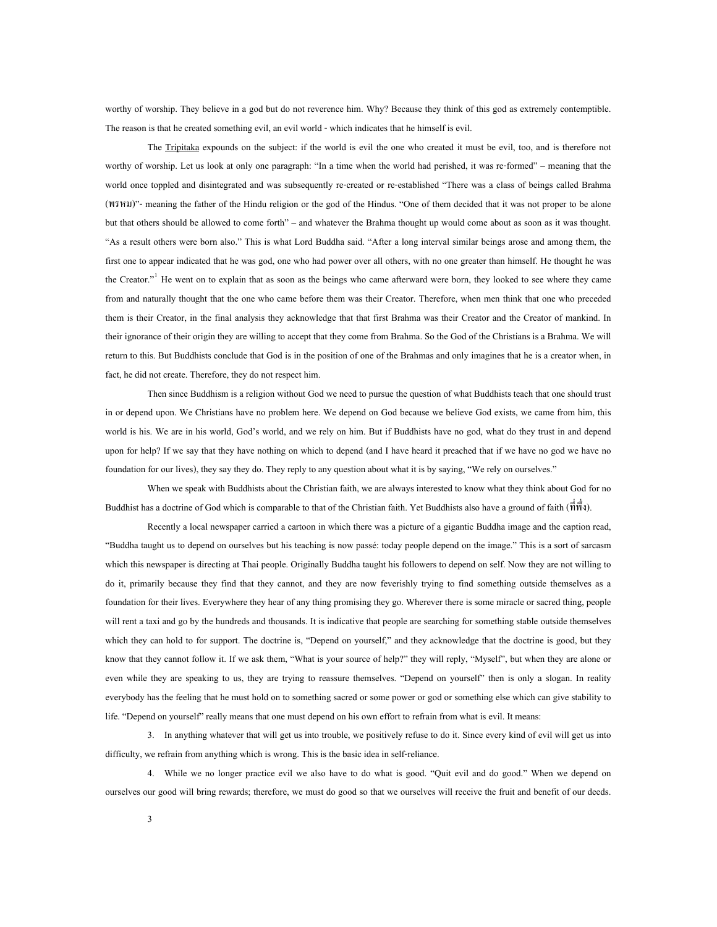worthy of worship. They believe in a god but do not reverence him. Why? Because they think of this god as extremely contemptible. The reason is that he created something evil, an evil world - which indicates that he himself is evil.

The Tripitaka expounds on the subject: if the world is evil the one who created it must be evil, too, and is therefore not worthy of worship. Let us look at only one paragraph: "In a time when the world had perished, it was re-formed" – meaning that the world once toppled and disintegrated and was subsequently re-created or re-established "There was a class of beings called Brahma (พรหม)"- meaning the father of the Hindu religion or the god of the Hindus. "One of them decided that it was not proper to be alone but that others should be allowed to come forth" – and whatever the Brahma thought up would come about as soon as it was thought. "As a result others were born also." This is what Lord Buddha said. "After a long interval similar beings arose and among them, the first one to appear indicated that he was god, one who had power over all others, with no one greater than himself. He thought he was the Creator."<sup>[1](#page-74-1)</sup> He went on to explain that as soon as the beings who came afterward were born, they looked to see where they came from and naturally thought that the one who came before them was their Creator. Therefore, when men think that one who preceded them is their Creator, in the final analysis they acknowledge that that first Brahma was their Creator and the Creator of mankind. In their ignorance of their origin they are willing to accept that they come from Brahma. So the God of the Christians is a Brahma. We will return to this. But Buddhists conclude that God is in the position of one of the Brahmas and only imagines that he is a creator when, in fact, he did not create. Therefore, they do not respect him.

Then since Buddhism is a religion without God we need to pursue the question of what Buddhists teach that one should trust in or depend upon. We Christians have no problem here. We depend on God because we believe God exists, we came from him, this world is his. We are in his world, God's world, and we rely on him. But if Buddhists have no god, what do they trust in and depend upon for help? If we say that they have nothing on which to depend (and I have heard it preached that if we have no god we have no foundation for our lives), they say they do. They reply to any question about what it is by saying, "We rely on ourselves."

When we speak with Buddhists about the Christian faith, we are always interested to know what they think about God for no Buddhist has a doctrine of God which is comparable to that of the Christian faith. Yet Buddhists also have a ground of faith (ที่พึ่ง).

Recently a local newspaper carried a cartoon in which there was a picture of a gigantic Buddha image and the caption read, "Buddha taught us to depend on ourselves but his teaching is now passé: today people depend on the image." This is a sort of sarcasm which this newspaper is directing at Thai people. Originally Buddha taught his followers to depend on self. Now they are not willing to do it, primarily because they find that they cannot, and they are now feverishly trying to find something outside themselves as a foundation for their lives. Everywhere they hear of any thing promising they go. Wherever there is some miracle or sacred thing, people will rent a taxi and go by the hundreds and thousands. It is indicative that people are searching for something stable outside themselves which they can hold to for support. The doctrine is, "Depend on yourself," and they acknowledge that the doctrine is good, but they know that they cannot follow it. If we ask them, "What is your source of help?" they will reply, "Myself", but when they are alone or even while they are speaking to us, they are trying to reassure themselves. "Depend on yourself" then is only a slogan. In reality everybody has the feeling that he must hold on to something sacred or some power or god or something else which can give stability to life. "Depend on yourself" really means that one must depend on his own effort to refrain from what is evil. It means:

3. In anything whatever that will get us into trouble, we positively refuse to do it. Since every kind of evil will get us into difficulty, we refrain from anything which is wrong. This is the basic idea in self-reliance.

4. While we no longer practice evil we also have to do what is good. "Quit evil and do good." When we depend on ourselves our good will bring rewards; therefore, we must do good so that we ourselves will receive the fruit and benefit of our deeds.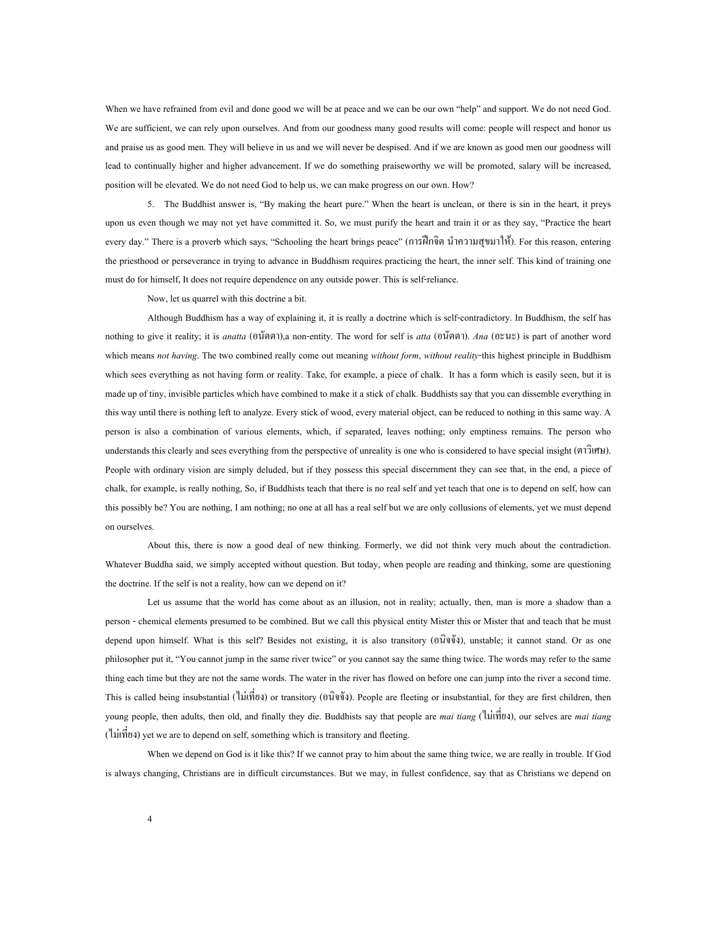When we have refrained from evil and done good we will be at peace and we can be our own "help" and support. We do not need God. We are sufficient, we can rely upon ourselves. And from our goodness many good results will come: people will respect and honor us and praise us as good men. They will believe in us and we will never be despised. And if we are known as good men our goodness will lead to continually higher and higher advancement. If we do something praiseworthy we will be promoted, salary will be increased, position will be elevated. We do not need God to help us, we can make progress on our own. How?

5. The Buddhist answer is, "By making the heart pure." When the heart is unclean, or there is sin in the heart, it preys upon us even though we may not yet have committed it. So, we must purify the heart and train it or as they say, "Practice the heart every day." There is a proverb which says, "Schooling the heart brings peace" (การฝกจิต นําความสุขมาให). For this reason, entering the priesthood or perseverance in trying to advance in Buddhism requires practicing the heart, the inner self. This kind of training one must do for himself, It does not require dependence on any outside power. This is self-reliance.

Now, let us quarrel with this doctrine a bit.

Although Buddhism has a way of explaining it, it is really a doctrine which is self-contradictory. In Buddhism, the self has nothing to give it reality; it is *anatta* (อนัตตา),a non-entity. The word for self is *atta* (อนัตตา). *Ana* (อะนะ) is part of another word which means *not having*. The two combined really come out meaning *without form*, *without reality*-this highest principle in Buddhism which sees everything as not having form or reality. Take, for example, a piece of chalk. It has a form which is easily seen, but it is made up of tiny, invisible particles which have combined to make it a stick of chalk. Buddhists say that you can dissemble everything in this way until there is nothing left to analyze. Every stick of wood, every material object, can be reduced to nothing in this same way. A person is also a combination of various elements, which, if separated, leaves nothing; only emptiness remains. The person who understands this clearly and sees everything from the perspective of unreality is one who is considered to have special insight (ตาวิเศษ). People with ordinary vision are simply deluded, but if they possess this special discernment they can see that, in the end, a piece of chalk, for example, is really nothing, So, if Buddhists teach that there is no real self and yet teach that one is to depend on self, how can this possibly be? You are nothing, I am nothing; no one at all has a real self but we are only collusions of elements, yet we must depend on ourselves.

About this, there is now a good deal of new thinking. Formerly, we did not think very much about the contradiction. Whatever Buddha said, we simply accepted without question. But today, when people are reading and thinking, some are questioning the doctrine. If the self is not a reality, how can we depend on it?

Let us assume that the world has come about as an illusion, not in reality; actually, then, man is more a shadow than a person - chemical elements presumed to be combined. But we call this physical entity Mister this or Mister that and teach that he must depend upon himself. What is this self? Besides not existing, it is also transitory (อนิจจัง), unstable; it cannot stand. Or as one philosopher put it, "You cannot jump in the same river twice" or you cannot say the same thing twice. The words may refer to the same thing each time but they are not the same words. The water in the river has flowed on before one can jump into the river a second time. This is called being insubstantial (ใม่เพี่ยง) or transitory (อนิจจัง). People are fleeting or insubstantial, for they are first children, then young people, then adults, then old, and finally they die. Buddhists say that people are *mai tiang* (ไม่เที่ยง), our selves are *mai tiang* (ไมเท ยง) yet we are to depend on self, something which is transitory and fleeting. ี่

When we depend on God is it like this? If we cannot pray to him about the same thing twice, we are really in trouble. If God is always changing, Christians are in difficult circumstances. But we may, in fullest confidence, say that as Christians we depend on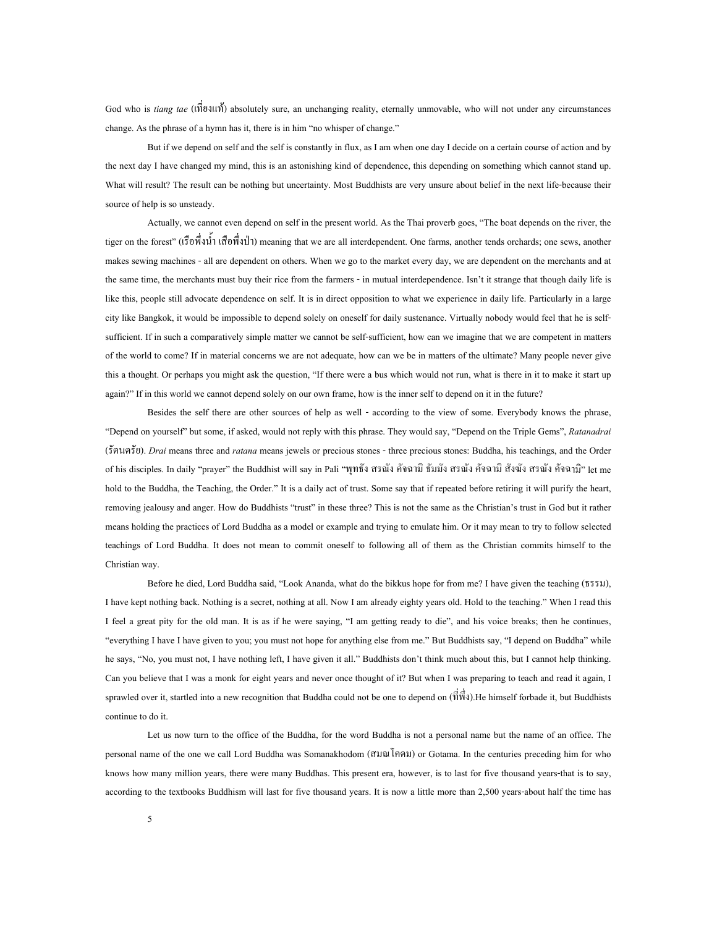God who is tiang tae (เพี๊ยงแท้) absolutely sure, an unchanging reality, eternally unmovable, who will not under any circumstances ี่ change. As the phrase of a hymn has it, there is in him "no whisper of change."

But if we depend on self and the self is constantly in flux, as I am when one day I decide on a certain course of action and by the next day I have changed my mind, this is an astonishing kind of dependence, this depending on something which cannot stand up. What will result? The result can be nothing but uncertainty. Most Buddhists are very unsure about belief in the next life-because their source of help is so unsteady.

Actually, we cannot even depend on self in the present world. As the Thai proverb goes, "The boat depends on the river, the tiger on the forest" (เรือพึ่งน้ำ เสื้อพึ่งป่า) meaning that we are all interdependent. One farms, another tends orchards; one sews, another ึ่ makes sewing machines - all are dependent on others. When we go to the market every day, we are dependent on the merchants and at the same time, the merchants must buy their rice from the farmers - in mutual interdependence. Isn't it strange that though daily life is like this, people still advocate dependence on self. It is in direct opposition to what we experience in daily life. Particularly in a large city like Bangkok, it would be impossible to depend solely on oneself for daily sustenance. Virtually nobody would feel that he is selfsufficient. If in such a comparatively simple matter we cannot be self-sufficient, how can we imagine that we are competent in matters of the world to come? If in material concerns we are not adequate, how can we be in matters of the ultimate? Many people never give this a thought. Or perhaps you might ask the question, "If there were a bus which would not run, what is there in it to make it start up again?" If in this world we cannot depend solely on our own frame, how is the inner self to depend on it in the future?

Besides the self there are other sources of help as well - according to the view of some. Everybody knows the phrase, "Depend on yourself" but some, if asked, would not reply with this phrase. They would say, "Depend on the Triple Gems", *Ratanadrai* (รัตนตรัย). *Drai* means three and *ratana* means jewels or precious stones - three precious stones: Buddha, his teachings, and the Order of his disciples. In daily "prayer" the Buddhist will say in Pali "พุทธัง สรณัง คัจฉามิ ธัมมัง สรณัง คังฉามิ สังฆัง สรณัง คังฉามิ" let me hold to the Buddha, the Teaching, the Order." It is a daily act of trust. Some say that if repeated before retiring it will purify the heart, removing jealousy and anger. How do Buddhists "trust" in these three? This is not the same as the Christian's trust in God but it rather means holding the practices of Lord Buddha as a model or example and trying to emulate him. Or it may mean to try to follow selected teachings of Lord Buddha. It does not mean to commit oneself to following all of them as the Christian commits himself to the Christian way.

Before he died, Lord Buddha said, "Look Ananda, what do the bikkus hope for from me? I have given the teaching (ธรรม), I have kept nothing back. Nothing is a secret, nothing at all. Now I am already eighty years old. Hold to the teaching." When I read this I feel a great pity for the old man. It is as if he were saying, "I am getting ready to die", and his voice breaks; then he continues, "everything I have I have given to you; you must not hope for anything else from me." But Buddhists say, "I depend on Buddha" while he says, "No, you must not, I have nothing left, I have given it all." Buddhists don't think much about this, but I cannot help thinking. Can you believe that I was a monk for eight years and never once thought of it? But when I was preparing to teach and read it again, I sprawled over it, startled into a new recognition that Buddha could not be one to depend on  $(\vec{\hat{\eta}}\vec{\hat{\eta}})$ . He himself forbade it, but Buddhists continue to do it.

Let us now turn to the office of the Buddha, for the word Buddha is not a personal name but the name of an office. The personal name of the one we call Lord Buddha was Somanakhodom (สมณโคดม) or Gotama. In the centuries preceding him for who knows how many million years, there were many Buddhas. This present era, however, is to last for five thousand years-that is to say, according to the textbooks Buddhism will last for five thousand years. It is now a little more than 2,500 years-about half the time has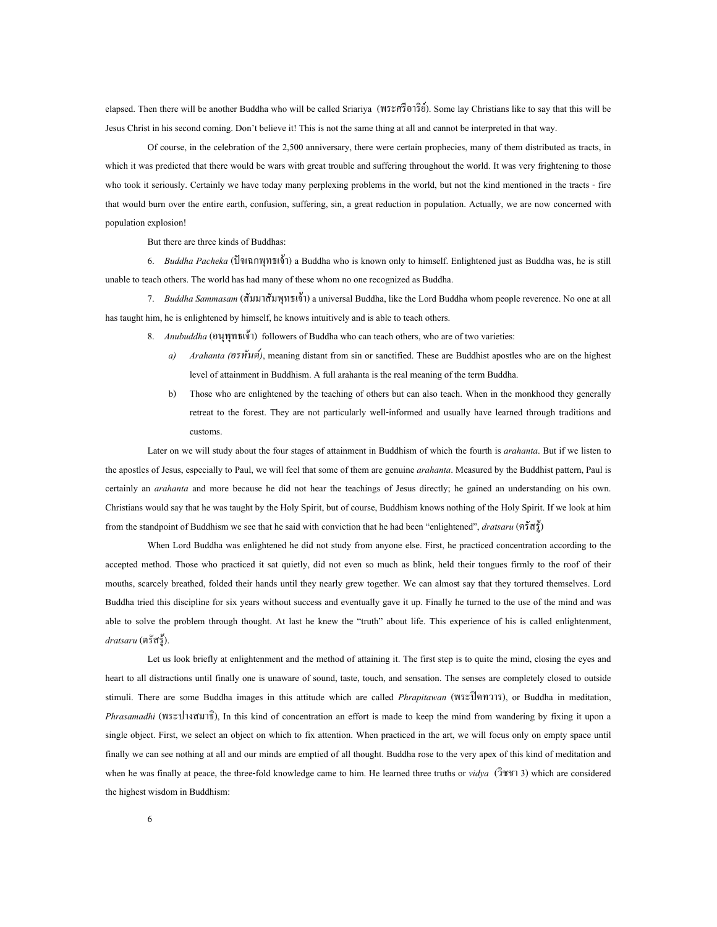elapsed. Then there will be another Buddha who will be called Sriariya (พระศรีอาริย). Some lay Christians like to say that this will be Jesus Christ in his second coming. Don't believe it! This is not the same thing at all and cannot be interpreted in that way.

Of course, in the celebration of the 2,500 anniversary, there were certain prophecies, many of them distributed as tracts, in which it was predicted that there would be wars with great trouble and suffering throughout the world. It was very frightening to those who took it seriously. Certainly we have today many perplexing problems in the world, but not the kind mentioned in the tracts - fire that would burn over the entire earth, confusion, suffering, sin, a great reduction in population. Actually, we are now concerned with population explosion!

But there are three kinds of Buddhas:

6. *Buddha Pacheka* (ปจเฉกพุทธเจา) a Buddha who is known only to himself. Enlightened just as Buddha was, he is still unable to teach others. The world has had many of these whom no one recognized as Buddha.

7. *Buddha Sammasam* (สัมมาสัมพุทธเจา) a universal Buddha, like the Lord Buddha whom people reverence. No one at all has taught him, he is enlightened by himself, he knows intuitively and is able to teach others.

- 8. *Anubuddha* (อนุพุทธเจา) followers of Buddha who can teach others, who are of two varieties:
	- *a) Arahanta (อรหันต)*, meaning distant from sin or sanctified. These are Buddhist apostles who are on the highest level of attainment in Buddhism. A full arahanta is the real meaning of the term Buddha.
	- b) Those who are enlightened by the teaching of others but can also teach. When in the monkhood they generally retreat to the forest. They are not particularly well-informed and usually have learned through traditions and customs.

Later on we will study about the four stages of attainment in Buddhism of which the fourth is *arahanta*. But if we listen to the apostles of Jesus, especially to Paul, we will feel that some of them are genuine *arahanta*. Measured by the Buddhist pattern, Paul is certainly an *arahanta* and more because he did not hear the teachings of Jesus directly; he gained an understanding on his own. Christians would say that he was taught by the Holy Spirit, but of course, Buddhism knows nothing of the Holy Spirit. If we look at him from the standpoint of Buddhism we see that he said with conviction that he had been "enlightened", *dratsaru* (ตรัสรู)

When Lord Buddha was enlightened he did not study from anyone else. First, he practiced concentration according to the accepted method. Those who practiced it sat quietly, did not even so much as blink, held their tongues firmly to the roof of their mouths, scarcely breathed, folded their hands until they nearly grew together. We can almost say that they tortured themselves. Lord Buddha tried this discipline for six years without success and eventually gave it up. Finally he turned to the use of the mind and was able to solve the problem through thought. At last he knew the "truth" about life. This experience of his is called enlightenment, *dratsaru* (ตรัสรู).

Let us look briefly at enlightenment and the method of attaining it. The first step is to quite the mind, closing the eyes and heart to all distractions until finally one is unaware of sound, taste, touch, and sensation. The senses are completely closed to outside stimuli. There are some Buddha images in this attitude which are called *Phrapitawan* (พระปดทวาร), or Buddha in meditation, *Phrasamadhi* (พระปางสมาธิ), In this kind of concentration an effort is made to keep the mind from wandering by fixing it upon a single object. First, we select an object on which to fix attention. When practiced in the art, we will focus only on empty space until finally we can see nothing at all and our minds are emptied of all thought. Buddha rose to the very apex of this kind of meditation and when he was finally at peace, the three-fold knowledge came to him. He learned three truths or *vidya* (วิชชา 3) which are considered the highest wisdom in Buddhism: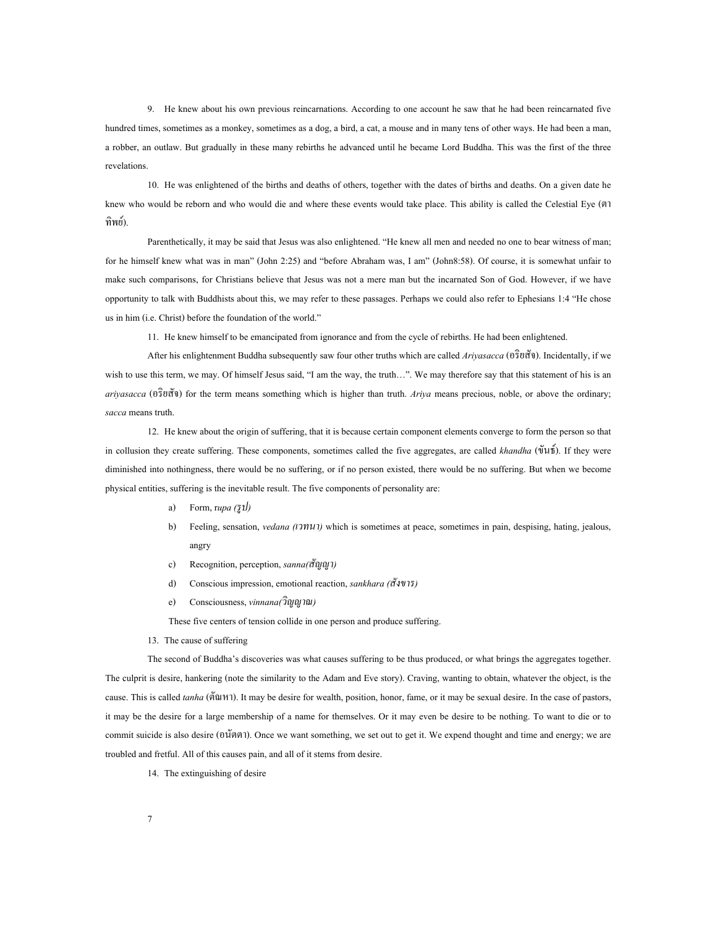9. He knew about his own previous reincarnations. According to one account he saw that he had been reincarnated five hundred times, sometimes as a monkey, sometimes as a dog, a bird, a cat, a mouse and in many tens of other ways. He had been a man, a robber, an outlaw. But gradually in these many rebirths he advanced until he became Lord Buddha. This was the first of the three revelations.

10. He was enlightened of the births and deaths of others, together with the dates of births and deaths. On a given date he knew who would be reborn and who would die and where these events would take place. This ability is called the Celestial Eye (ตา ทิพย).

Parenthetically, it may be said that Jesus was also enlightened. "He knew all men and needed no one to bear witness of man; for he himself knew what was in man" (John 2:25) and "before Abraham was, I am" (John8:58). Of course, it is somewhat unfair to make such comparisons, for Christians believe that Jesus was not a mere man but the incarnated Son of God. However, if we have opportunity to talk with Buddhists about this, we may refer to these passages. Perhaps we could also refer to Ephesians 1:4 "He chose us in him (i.e. Christ) before the foundation of the world."

11. He knew himself to be emancipated from ignorance and from the cycle of rebirths. He had been enlightened.

After his enlightenment Buddha subsequently saw four other truths which are called *Ariyasacca* (อริยสัจ). Incidentally, if we wish to use this term, we may. Of himself Jesus said, "I am the way, the truth...". We may therefore say that this statement of his is an *ariyasacca* (อริยสัจ) for the term means something which is higher than truth. *Ariya* means precious, noble, or above the ordinary; *sacca* means truth.

12. He knew about the origin of suffering, that it is because certain component elements converge to form the person so that in collusion they create suffering. These components, sometimes called the five aggregates, are called *khandha* (ขันธ). If they were diminished into nothingness, there would be no suffering, or if no person existed, there would be no suffering. But when we become physical entities, suffering is the inevitable result. The five components of personality are:

- a) Form, r*upa (รูป)*
- b) Feeling, sensation, *vedana (เวทนา)* which is sometimes at peace, sometimes in pain, despising, hating, jealous, angry
- c) Recognition, perception, *sanna(สัญญา)*
- d) Conscious impression, emotional reaction, *sankhara (สังขาร)*
- e) Consciousness, *vinnana(วิญญาณ)*

These five centers of tension collide in one person and produce suffering.

13. The cause of suffering

The second of Buddha's discoveries was what causes suffering to be thus produced, or what brings the aggregates together. The culprit is desire, hankering (note the similarity to the Adam and Eve story). Craving, wanting to obtain, whatever the object, is the cause. This is called *tanha* (ตัณหา). It may be desire for wealth, position, honor, fame, or it may be sexual desire. In the case of pastors, it may be the desire for a large membership of a name for themselves. Or it may even be desire to be nothing. To want to die or to commit suicide is also desire (อนัตตา). Once we want something, we set out to get it. We expend thought and time and energy; we are troubled and fretful. All of this causes pain, and all of it stems from desire.

14. The extinguishing of desire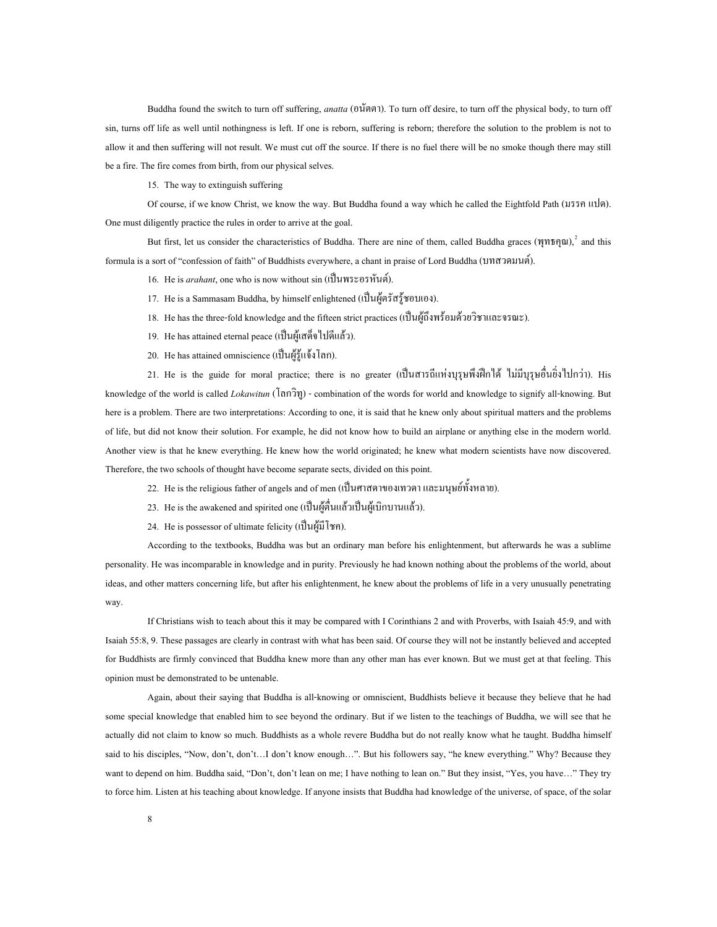Buddha found the switch to turn off suffering, *anatta* (อนัตตา). To turn off desire, to turn off the physical body, to turn off sin, turns off life as well until nothingness is left. If one is reborn, suffering is reborn; therefore the solution to the problem is not to allow it and then suffering will not result. We must cut off the source. If there is no fuel there will be no smoke though there may still be a fire. The fire comes from birth, from our physical selves.

15. The way to extinguish suffering

Of course, if we know Christ, we know the way. But Buddha found a way which he called the Eightfold Path (มรรคแปด). One must diligently practice the rules in order to arrive at the goal.<br>But first, let us consider the characteristics of Buddha. There are nine of them, called Buddha graces (พุทธคุณ),  $\hat{i}$  and this

formula is a sort of "confession of faith" of Buddhists everywhere, a chant in praise of Lord Buddha (บทสวดมนต).

16. He is *arahant*, one who is now without sin (เปนพระอรหันต).

- 17. He is a Sammasam Buddha, by himself enlightened (เปนผูตรัสรูชอบเอง).
- 18. He has the three-fold knowledge and the fifteen strict practices (เป็นผู้ถึงพร้อมด้วยวิชาและจรณะ).
- 19. He has attained eternal peace (เปนผูเสด็จไปดีแลว).
- 20. He has attained omniscience (เปนผูรูแจงโลก).

21. He is the guide for moral practice; there is no greater (เป็นสารถีแห่งบุรุษพึงฝึกได้ ไม่มีบุรุษอื่นยิ่งไปกว่า). His knowledge of the world is called *Lokawitun* (โลกวิทู) - combination of the words for world and knowledge to signify all-knowing. But here is a problem. There are two interpretations: According to one, it is said that he knew only about spiritual matters and the problems of life, but did not know their solution. For example, he did not know how to build an airplane or anything else in the modern world. Another view is that he knew everything. He knew how the world originated; he knew what modern scientists have now discovered. Therefore, the two schools of thought have become separate sects, divided on this point.

- 22. He is the religious father of angels and of men (เปนศาสดาของเทวดาและมนุษยทั้งหลาย).
- $23.$  He is the awakened and spirited one (เป็นผู้ตื่นแล้วเป็นผู้เบิกบานแล้ว).
- 24. He is possessor of ultimate felicity (เป็นผู้มีโชค).

According to the textbooks, Buddha was but an ordinary man before his enlightenment, but afterwards he was a sublime personality. He was incomparable in knowledge and in purity. Previously he had known nothing about the problems of the world, about ideas, and other matters concerning life, but after his enlightenment, he knew about the problems of life in a very unusually penetrating way.

If Christians wish to teach about this it may be compared with I Corinthians 2 and with Proverbs, with Isaiah 45:9, and with Isaiah 55:8, 9. These passages are clearly in contrast with what has been said. Of course they will not be instantly believed and accepted for Buddhists are firmly convinced that Buddha knew more than any other man has ever known. But we must get at that feeling. This opinion must be demonstrated to be untenable.

Again, about their saying that Buddha is all-knowing or omniscient, Buddhists believe it because they believe that he had some special knowledge that enabled him to see beyond the ordinary. But if we listen to the teachings of Buddha, we will see that he actually did not claim to know so much. Buddhists as a whole revere Buddha but do not really know what he taught. Buddha himself said to his disciples, "Now, don't, don't...I don't know enough...". But his followers say, "he knew everything." Why? Because they want to depend on him. Buddha said, "Don't, don't lean on me; I have nothing to lean on." But they insist, "Yes, you have..." They try to force him. Listen at his teaching about knowledge. If anyone insists that Buddha had knowledge of the universe, of space, of the solar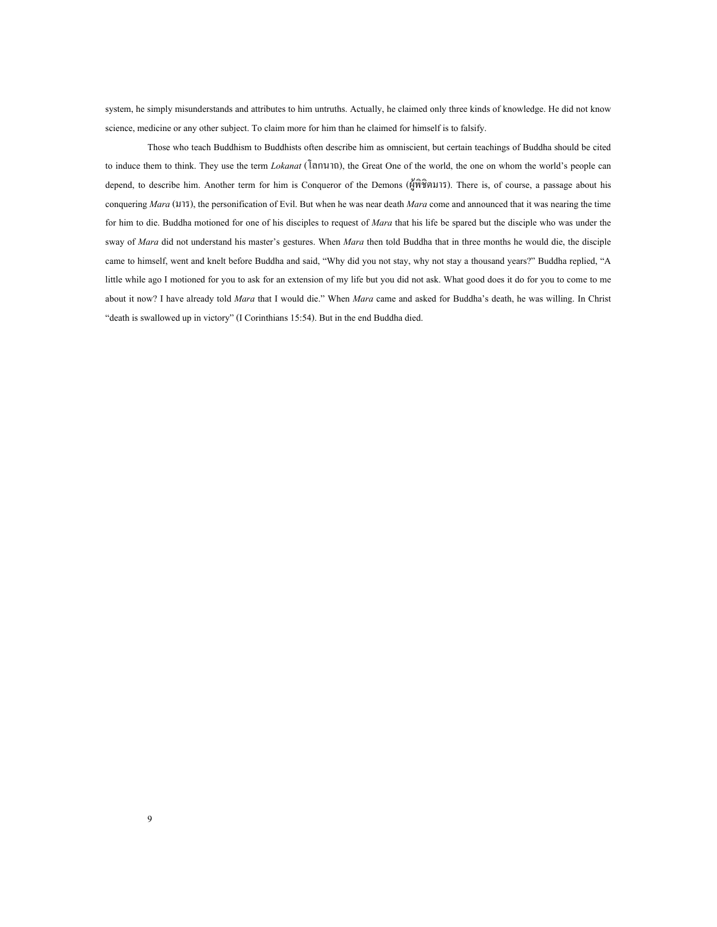system, he simply misunderstands and attributes to him untruths. Actually, he claimed only three kinds of knowledge. He did not know science, medicine or any other subject. To claim more for him than he claimed for himself is to falsify.

Those who teach Buddhism to Buddhists often describe him as omniscient, but certain teachings of Buddha should be cited to induce them to think. They use the term *Lokanat* (โลกนาถ), the Great One of the world, the one on whom the world's people can depend, to describe him. Another term for him is Conqueror of the Demons (ผูพิชิตมาร). There is, of course, a passage about his conquering *Mara* (มาร), the personification of Evil. But when he was near death *Mara* come and announced that it was nearing the time for him to die. Buddha motioned for one of his disciples to request of *Mara* that his life be spared but the disciple who was under the sway of *Mara* did not understand his master's gestures. When *Mara* then told Buddha that in three months he would die, the disciple came to himself, went and knelt before Buddha and said, "Why did you not stay, why not stay a thousand years?" Buddha replied, "A little while ago I motioned for you to ask for an extension of my life but you did not ask. What good does it do for you to come to me about it now? I have already told *Mara* that I would die." When *Mara* came and asked for Buddha's death, he was willing. In Christ "death is swallowed up in victory" (I Corinthians 15:54). But in the end Buddha died.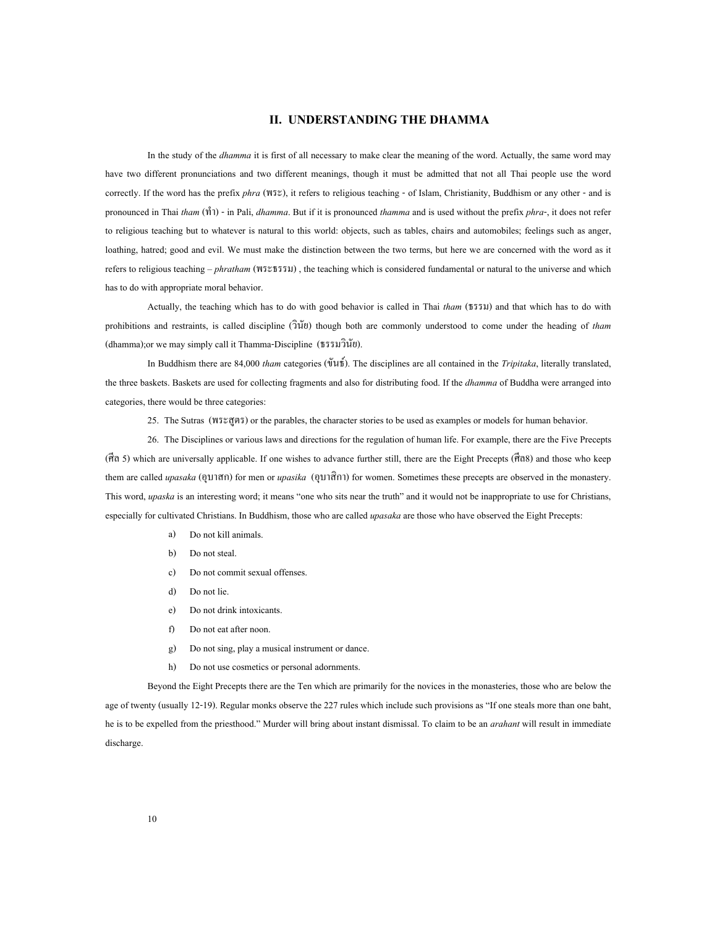#### **II. UNDERSTANDING THE DHAMMA**

<span id="page-14-0"></span>In the study of the *dhamma* it is first of all necessary to make clear the meaning of the word. Actually, the same word may have two different pronunciations and two different meanings, though it must be admitted that not all Thai people use the word correctly. If the word has the prefix *phra* (พระ), it refers to religious teaching - of Islam, Christianity, Buddhism or any other - and is pronounced in Thai *tham* (ทํา) - in Pali, *dhamma*. But if it is pronounced *thamma* and is used without the prefix *phra*-, it does not refer to religious teaching but to whatever is natural to this world: objects, such as tables, chairs and automobiles; feelings such as anger, loathing, hatred; good and evil. We must make the distinction between the two terms, but here we are concerned with the word as it refers to religious teaching – *phratham* (พระธรรม) , the teaching which is considered fundamental or natural to the universe and which has to do with appropriate moral behavior.

Actually, the teaching which has to do with good behavior is called in Thai *tham* (ธรรม) and that which has to do with prohibitions and restraints, is called discipline (วินัย) though both are commonly understood to come under the heading of *tham* (dhamma);or we may simply call it Thamma-Discipline (ธรรมวินัย).

In Buddhism there are 84,000 *tham* categories (ขันธ). The disciplines are all contained in the *Tripitaka*, literally translated, the three baskets. Baskets are used for collecting fragments and also for distributing food. If the *dhamma* of Buddha were arranged into categories, there would be three categories:

25. The Sutras (พระสูตร) or the parables, the character stories to be used as examples or models for human behavior.

26. The Disciplines or various laws and directions for the regulation of human life. For example, there are the Five Precepts (ศีล 5) which are universally applicable. If one wishes to advance further still, there are the Eight Precepts (ศีล8) and those who keep them are called *upasaka* (อุบาสก) for men or *upasika* (อุบาสิกา) for women. Sometimes these precepts are observed in the monastery. This word, *upaska* is an interesting word; it means "one who sits near the truth" and it would not be inappropriate to use for Christians, especially for cultivated Christians. In Buddhism, those who are called *upasaka* are those who have observed the Eight Precepts:

- a) Do not kill animals.
- b) Do not steal.
- c) Do not commit sexual offenses.
- d) Do not lie.
- e) Do not drink intoxicants.
- f) Do not eat after noon.
- g) Do not sing, play a musical instrument or dance.
- h) Do not use cosmetics or personal adornments.

Beyond the Eight Precepts there are the Ten which are primarily for the novices in the monasteries, those who are below the age of twenty (usually 12-19). Regular monks observe the 227 rules which include such provisions as "If one steals more than one baht, he is to be expelled from the priesthood." Murder will bring about instant dismissal. To claim to be an *arahant* will result in immediate discharge.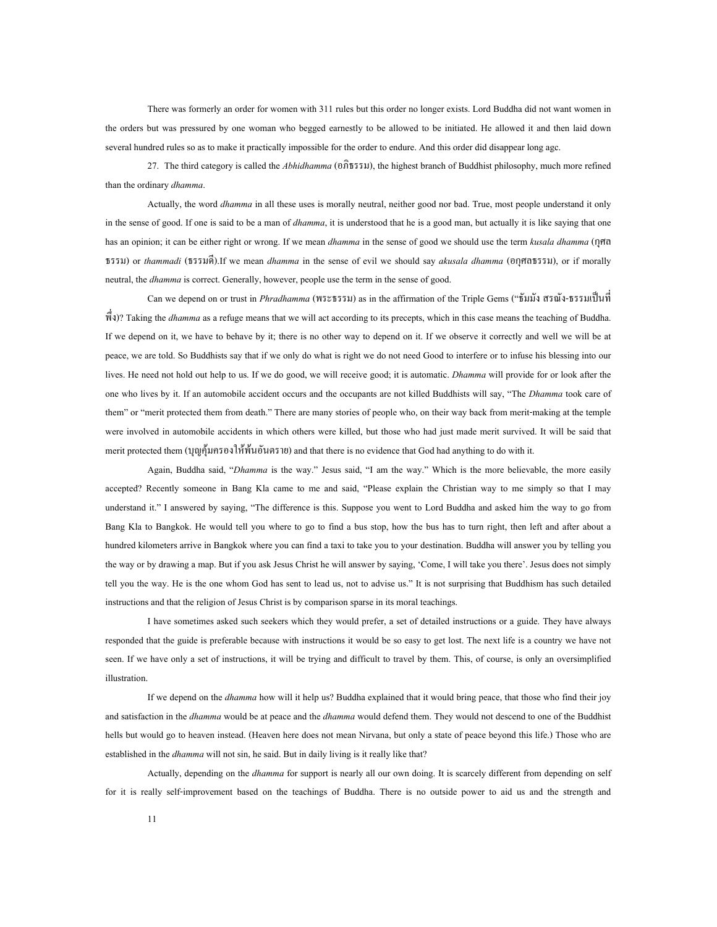There was formerly an order for women with 311 rules but this order no longer exists. Lord Buddha did not want women in the orders but was pressured by one woman who begged earnestly to be allowed to be initiated. He allowed it and then laid down several hundred rules so as to make it practically impossible for the order to endure. And this order did disappear long agc.

27. The third category is called the *Abhidhamma* (อภิธรรม), the highest branch of Buddhist philosophy, much more refined than the ordinary *dhamma*.

Actually, the word *dhamma* in all these uses is morally neutral, neither good nor bad. True, most people understand it only in the sense of good. If one is said to be a man of *dhamma*, it is understood that he is a good man, but actually it is like saying that one has an opinion; it can be either right or wrong. If we mean *dhamma* in the sense of good we should use the term *kusala dhamma* (กุศล ธรรม) or *thammadi* (ธรรมดี).If we mean *dhamma* in the sense of evil we should say *akusala dhamma* (อกุศลธรรม), or if morally neutral, the *dhamma* is correct. Generally, however, people use the term in the sense of good.

Can we depend on or trust in *Phradhamma* (พระธรรม) as in the affirmation of the Triple Gems ("ธัมมัง สรณัง-ธรรมเปนที่ พึ่ง)? Taking the *dhamma* as a refuge means that we will act according to its precepts, which in this case means the teaching of Buddha. If we depend on it, we have to behave by it; there is no other way to depend on it. If we observe it correctly and well we will be at peace, we are told. So Buddhists say that if we only do what is right we do not need Good to interfere or to infuse his blessing into our lives. He need not hold out help to us. If we do good, we will receive good; it is automatic. *Dhamma* will provide for or look after the one who lives by it. If an automobile accident occurs and the occupants are not killed Buddhists will say, "The *Dhamma* took care of them" or "merit protected them from death." There are many stories of people who, on their way back from merit-making at the temple were involved in automobile accidents in which others were killed, but those who had just made merit survived. It will be said that merit protected them (บุญคุมครองใหพนอันตราย) and that there is no evidence that God had anything to do with it.

Again, Buddha said, "*Dhamma* is the way." Jesus said, "I am the way." Which is the more believable, the more easily accepted? Recently someone in Bang Kla came to me and said, "Please explain the Christian way to me simply so that I may understand it." I answered by saying, "The difference is this. Suppose you went to Lord Buddha and asked him the way to go from Bang Kla to Bangkok. He would tell you where to go to find a bus stop, how the bus has to turn right, then left and after about a hundred kilometers arrive in Bangkok where you can find a taxi to take you to your destination. Buddha will answer you by telling you the way or by drawing a map. But if you ask Jesus Christ he will answer by saying, 'Come, I will take you there'. Jesus does not simply tell you the way. He is the one whom God has sent to lead us, not to advise us." It is not surprising that Buddhism has such detailed instructions and that the religion of Jesus Christ is by comparison sparse in its moral teachings.

I have sometimes asked such seekers which they would prefer, a set of detailed instructions or a guide. They have always responded that the guide is preferable because with instructions it would be so easy to get lost. The next life is a country we have not seen. If we have only a set of instructions, it will be trying and difficult to travel by them. This, of course, is only an oversimplified illustration.

If we depend on the *dhamma* how will it help us? Buddha explained that it would bring peace, that those who find their joy and satisfaction in the *dhamma* would be at peace and the *dhamma* would defend them. They would not descend to one of the Buddhist hells but would go to heaven instead. (Heaven here does not mean Nirvana, but only a state of peace beyond this life.) Those who are established in the *dhamma* will not sin, he said. But in daily living is it really like that?

Actually, depending on the *dhamma* for support is nearly all our own doing. It is scarcely different from depending on self for it is really self-improvement based on the teachings of Buddha. There is no outside power to aid us and the strength and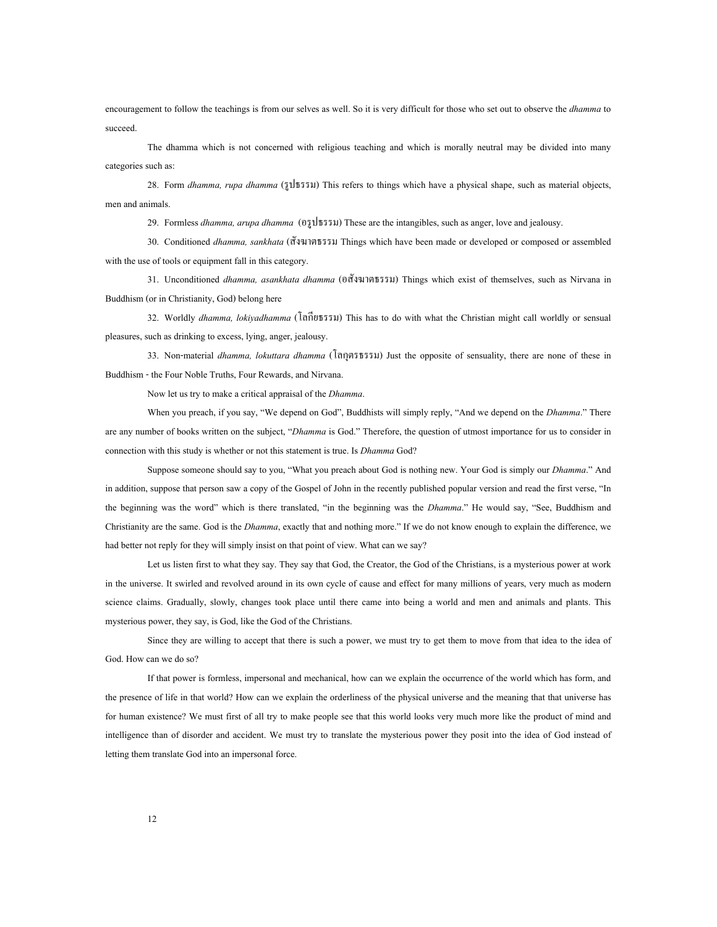encouragement to follow the teachings is from our selves as well. So it is very difficult for those who set out to observe the *dhamma* to succeed.

The dhamma which is not concerned with religious teaching and which is morally neutral may be divided into many categories such as:

28. Form *dhamma, rupa dhamma* (รูปธรรม) This refers to things which have a physical shape, such as material objects, men and animals.

29. Formless *dhamma, arupa dhamma* (อรูปธรรม) These are the intangibles, such as anger, love and jealousy.

30. Conditioned *dhamma, sankhata* (สังฆาตธรรม Things which have been made or developed or composed or assembled with the use of tools or equipment fall in this category.

31. Unconditioned *dhamma, asankhata dhamma* (อสังฆาตธรรม) Things which exist of themselves, such as Nirvana in Buddhism (or in Christianity, God) belong here

32. Worldly *dhamma, lokiyadhamma* (โลกียธรรม) This has to do with what the Christian might call worldly or sensual pleasures, such as drinking to excess, lying, anger, jealousy.

33. Non-material *dhamma, lokuttara dhamma* (โลกุตรธรรม) Just the opposite of sensuality, there are none of these in Buddhism - the Four Noble Truths, Four Rewards, and Nirvana.

Now let us try to make a critical appraisal of the *Dhamma*.

When you preach, if you say, "We depend on God", Buddhists will simply reply, "And we depend on the *Dhamma*." There are any number of books written on the subject, "*Dhamma* is God." Therefore, the question of utmost importance for us to consider in connection with this study is whether or not this statement is true. Is *Dhamma* God?

Suppose someone should say to you, "What you preach about God is nothing new. Your God is simply our *Dhamma*." And in addition, suppose that person saw a copy of the Gospel of John in the recently published popular version and read the first verse, "In the beginning was the word" which is there translated, "in the beginning was the *Dhamma*." He would say, "See, Buddhism and Christianity are the same. God is the *Dhamma*, exactly that and nothing more." If we do not know enough to explain the difference, we had better not reply for they will simply insist on that point of view. What can we say?

Let us listen first to what they say. They say that God, the Creator, the God of the Christians, is a mysterious power at work in the universe. It swirled and revolved around in its own cycle of cause and effect for many millions of years, very much as modern science claims. Gradually, slowly, changes took place until there came into being a world and men and animals and plants. This mysterious power, they say, is God, like the God of the Christians.

Since they are willing to accept that there is such a power, we must try to get them to move from that idea to the idea of God. How can we do so?

If that power is formless, impersonal and mechanical, how can we explain the occurrence of the world which has form, and the presence of life in that world? How can we explain the orderliness of the physical universe and the meaning that that universe has for human existence? We must first of all try to make people see that this world looks very much more like the product of mind and intelligence than of disorder and accident. We must try to translate the mysterious power they posit into the idea of God instead of letting them translate God into an impersonal force.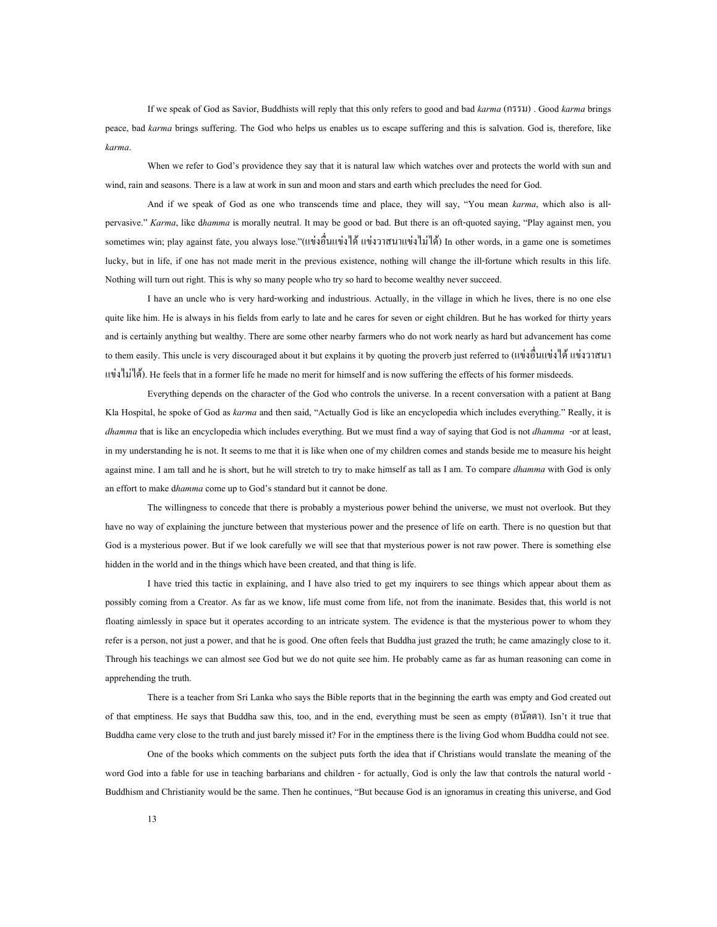If we speak of God as Savior, Buddhists will reply that this only refers to good and bad *karma* (กรรม) . Good *karma* brings peace, bad *karma* brings suffering. The God who helps us enables us to escape suffering and this is salvation. God is, therefore, like *karma*.

When we refer to God's providence they say that it is natural law which watches over and protects the world with sun and wind, rain and seasons. There is a law at work in sun and moon and stars and earth which precludes the need for God.

And if we speak of God as one who transcends time and place, they will say, "You mean *karma*, which also is allpervasive." *Karma*, like d*hamma* is morally neutral. It may be good or bad. But there is an oft-quoted saying, "Play against men, you sometimes win; play against fate, you always lose."(แข่งอื่นแข่งได้ แข่งวาสนาแข่งไม่ได้) In other words, in a game one is sometimes ื่ lucky, but in life, if one has not made merit in the previous existence, nothing will change the ill-fortune which results in this life. Nothing will turn out right. This is why so many people who try so hard to become wealthy never succeed.

I have an uncle who is very hard-working and industrious. Actually, in the village in which he lives, there is no one else quite like him. He is always in his fields from early to late and he cares for seven or eight children. But he has worked for thirty years and is certainly anything but wealthy. There are some other nearby farmers who do not work nearly as hard but advancement has come to them easily. This uncle is very discouraged about it but explains it by quoting the proverb just referred to (แข่งอื่นแข่งได้ แข่งวาสนา ื่ แขงไมได). He feels that in a former life he made no merit for himself and is now suffering the effects of his former misdeeds.

Everything depends on the character of the God who controls the universe. In a recent conversation with a patient at Bang Kla Hospital, he spoke of God as *karma* and then said, "Actually God is like an encyclopedia which includes everything." Really, it is *dhamma* that is like an encyclopedia which includes everything. But we must find a way of saying that God is not *dhamma* -or at least, in my understanding he is not. It seems to me that it is like when one of my children comes and stands beside me to measure his height against mine. I am tall and he is short, but he will stretch to try to make himself as tall as I am. To compare *dhamma* with God is only an effort to make d*hamma* come up to God's standard but it cannot be done.

The willingness to concede that there is probably a mysterious power behind the universe, we must not overlook. But they have no way of explaining the juncture between that mysterious power and the presence of life on earth. There is no question but that God is a mysterious power. But if we look carefully we will see that that mysterious power is not raw power. There is something else hidden in the world and in the things which have been created, and that thing is life.

I have tried this tactic in explaining, and I have also tried to get my inquirers to see things which appear about them as possibly coming from a Creator. As far as we know, life must come from life, not from the inanimate. Besides that, this world is not floating aimlessly in space but it operates according to an intricate system. The evidence is that the mysterious power to whom they refer is a person, not just a power, and that he is good. One often feels that Buddha just grazed the truth; he came amazingly close to it. Through his teachings we can almost see God but we do not quite see him. He probably came as far as human reasoning can come in apprehending the truth.

There is a teacher from Sri Lanka who says the Bible reports that in the beginning the earth was empty and God created out of that emptiness. He says that Buddha saw this, too, and in the end, everything must be seen as empty (อนัตตา). Isn't it true that Buddha came very close to the truth and just barely missed it? For in the emptiness there is the living God whom Buddha could not see.

One of the books which comments on the subject puts forth the idea that if Christians would translate the meaning of the word God into a fable for use in teaching barbarians and children - for actually, God is only the law that controls the natural world - Buddhism and Christianity would be the same. Then he continues, "But because God is an ignoramus in creating this universe, and God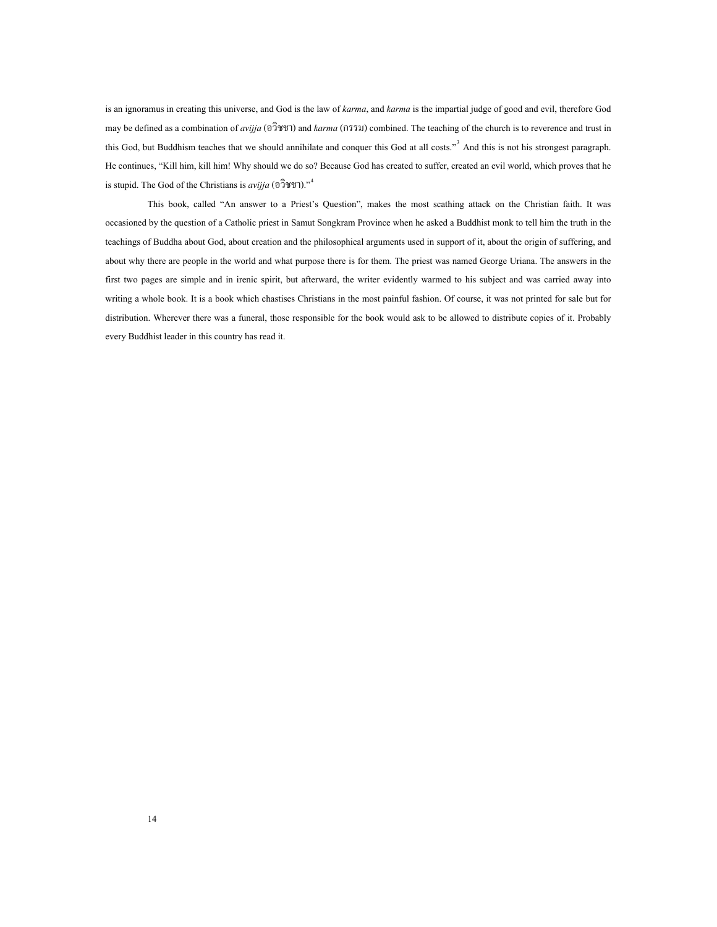is an ignoramus in creating this universe, and God is the law of *karma*, and *karma* is the impartial judge of good and evil, therefore God may be defined as a combination of *avijja* (อวิชชา) and *karma* (กรรม) combined. The teaching of the church is to reverence and trust in this God, but Buddhism teaches that we should annihilate and conquer this God at all costs."<sup>[3](#page-74-3)</sup> And this is not his strongest paragraph. He continues, "Kill him, kill him! Why should we do so? Because God has created to suffer, created an evil world, which proves that he is stupid. The God of the Christians is *avijja* (อวิชชา)."[4](#page-74-4)

This book, called "An answer to a Priest's Question", makes the most scathing attack on the Christian faith. It was occasioned by the question of a Catholic priest in Samut Songkram Province when he asked a Buddhist monk to tell him the truth in the teachings of Buddha about God, about creation and the philosophical arguments used in support of it, about the origin of suffering, and about why there are people in the world and what purpose there is for them. The priest was named George Uriana. The answers in the first two pages are simple and in irenic spirit, but afterward, the writer evidently warmed to his subject and was carried away into writing a whole book. It is a book which chastises Christians in the most painful fashion. Of course, it was not printed for sale but for distribution. Wherever there was a funeral, those responsible for the book would ask to be allowed to distribute copies of it. Probably every Buddhist leader in this country has read it.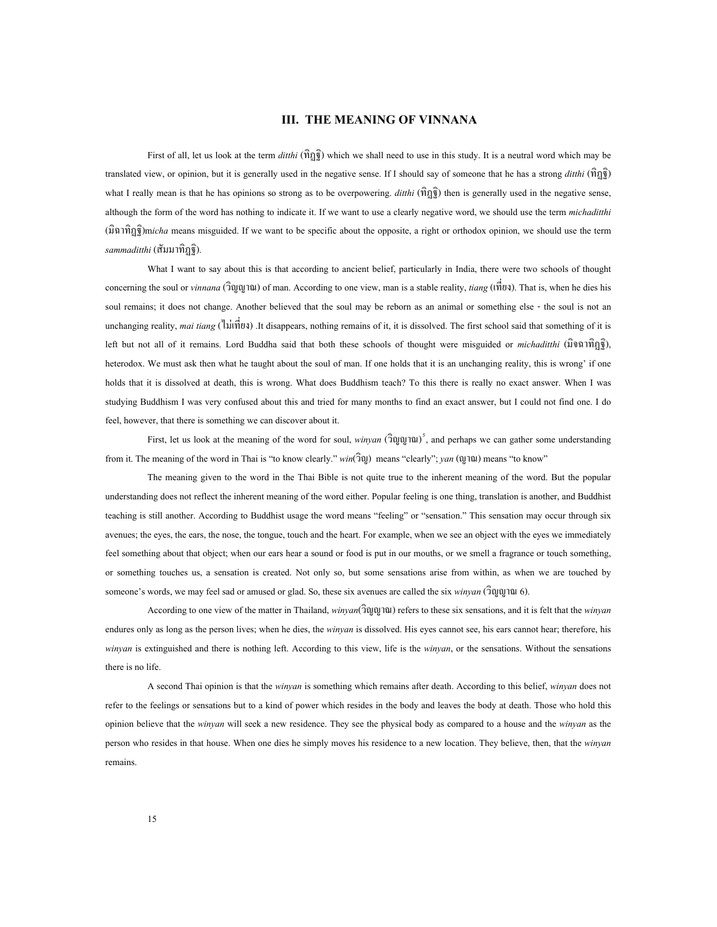#### **III. THE MEANING OF VINNANA**

<span id="page-19-0"></span>First of all, let us look at the term *ditthi* (ทิฏฐิ) which we shall need to use in this study. It is a neutral word which may be translated view, or opinion, but it is generally used in the negative sense. If I should say of someone that he has a strong *ditthi* (ทิฏฐิ) what I really mean is that he has opinions so strong as to be overpowering. *dithi* ( $\hat{n}_{\overline{3}}\hat{g}$ ) then is generally used in the negative sense, although the form of the word has nothing to indicate it. If we want to use a clearly negative word, we should use the term *michaditthi* (มิฉาทิฏฐิ)m*icha* means misguided. If we want to be specific about the opposite, a right or orthodox opinion, we should use the term *sammaditthi* (สัมมาทิฏฐิ).

What I want to say about this is that according to ancient belief, particularly in India, there were two schools of thought concerning the soul or *vinnana* (วิญญาณ) of man. According to one view, man is a stable reality, *tiang* (เท ยง). That is, when he dies his ี่ soul remains; it does not change. Another believed that the soul may be reborn as an animal or something else - the soul is not an unchanging reality, *mai tiang* (ไม่เพี่ยง) .It disappears, nothing remains of it, it is dissolved. The first school said that something of it is ี่ left but not all of it remains. Lord Buddha said that both these schools of thought were misguided or *michaditthi* (มิจฉาทิฏฐิ), heterodox. We must ask then what he taught about the soul of man. If one holds that it is an unchanging reality, this is wrong' if one holds that it is dissolved at death, this is wrong. What does Buddhism teach? To this there is really no exact answer. When I was studying Buddhism I was very confused about this and tried for many months to find an exact answer, but I could not find one. I do feel, however, that there is something we can discover about it.<br>First, let us look at the meaning of the word for soul, *winyan* (วิญญาณ)<sup>[5](#page-74-5)</sup>, and perhaps we can gather some understanding

from it. The meaning of the word in Thai is "to know clearly." *win*(วิญ) means "clearly"; *yan* (ญาณ) means "to know"

The meaning given to the word in the Thai Bible is not quite true to the inherent meaning of the word. But the popular understanding does not reflect the inherent meaning of the word either. Popular feeling is one thing, translation is another, and Buddhist teaching is still another. According to Buddhist usage the word means "feeling" or "sensation." This sensation may occur through six avenues; the eyes, the ears, the nose, the tongue, touch and the heart. For example, when we see an object with the eyes we immediately feel something about that object; when our ears hear a sound or food is put in our mouths, or we smell a fragrance or touch something, or something touches us, a sensation is created. Not only so, but some sensations arise from within, as when we are touched by someone's words, we may feel sad or amused or glad. So, these six avenues are called the six *winyan* (วิญญาณ 6).

According to one view of the matter in Thailand, *winyan*(วิญญาณ) refers to these six sensations, and it is felt that the *winyan* endures only as long as the person lives; when he dies, the *winyan* is dissolved. His eyes cannot see, his ears cannot hear; therefore, his *winyan* is extinguished and there is nothing left. According to this view, life is the *winyan*, or the sensations. Without the sensations there is no life.

A second Thai opinion is that the *winyan* is something which remains after death. According to this belief, *winyan* does not refer to the feelings or sensations but to a kind of power which resides in the body and leaves the body at death. Those who hold this opinion believe that the *winyan* will seek a new residence. They see the physical body as compared to a house and the *winyan* as the person who resides in that house. When one dies he simply moves his residence to a new location. They believe, then, that the *winyan* remains.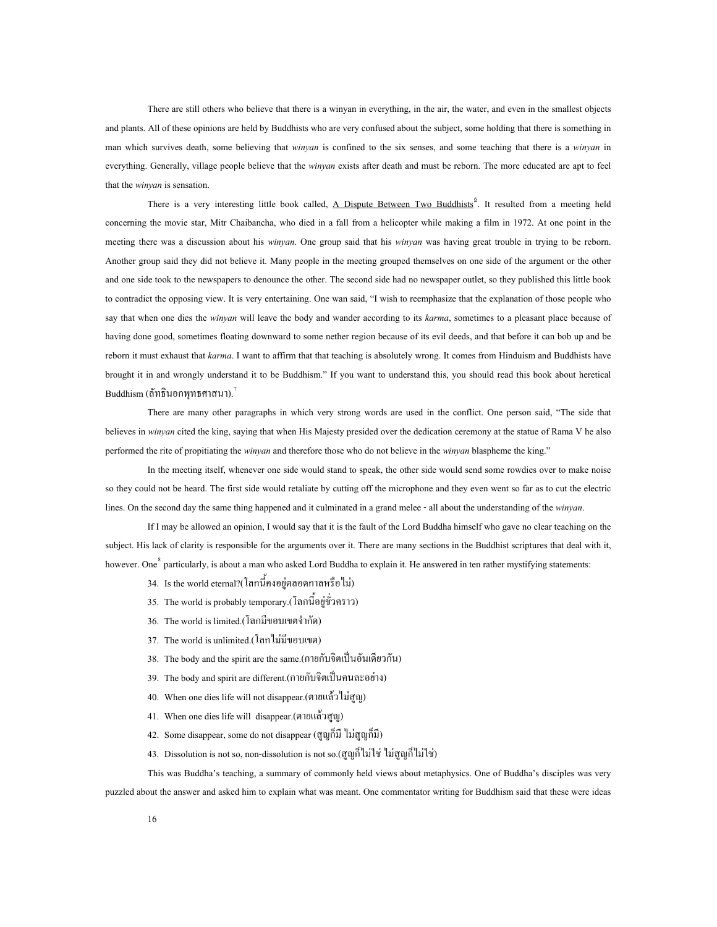There are still others who believe that there is a winyan in everything, in the air, the water, and even in the smallest objects and plants. All of these opinions are held by Buddhists who are very confused about the subject, some holding that there is something in man which survives death, some believing that *winyan* is confined to the six senses, and some teaching that there is a *winyan* in everything. Generally, village people believe that the *winyan* exists after death and must be reborn. The more educated are apt to feel that the *winyan* is sensation.

There is a very interesting little book called, <u>A Dispute Between Two Buddhists</u><sup>[6](#page-74-6)</sup>. It resulted from a meeting held concerning the movie star, Mitr Chaibancha, who died in a fall from a helicopter while making a film in 1972. At one point in the meeting there was a discussion about his *winyan*. One group said that his *winyan* was having great trouble in trying to be reborn. Another group said they did not believe it. Many people in the meeting grouped themselves on one side of the argument or the other and one side took to the newspapers to denounce the other. The second side had no newspaper outlet, so they published this little book to contradict the opposing view. It is very entertaining. One wan said, "I wish to reemphasize that the explanation of those people who say that when one dies the *winyan* will leave the body and wander according to its *karma*, sometimes to a pleasant place because of having done good, sometimes floating downward to some nether region because of its evil deeds, and that before it can bob up and be reborn it must exhaust that *karma*. I want to affirm that that teaching is absolutely wrong. It comes from Hinduism and Buddhists have brought it in and wrongly understand it to be Buddhism." If you want to understand this, you should read this book about heretical Buddhism (ลัทธินอกพุทธศาสนา). $^7$ 

There are many other paragraphs in which very strong words are used in the conflict. One person said, "The side that believes in *winyan* cited the king, saying that when His Majesty presided over the dedication ceremony at the statue of Rama V he also performed the rite of propitiating the *winyan* and therefore those who do not believe in the *winyan* blaspheme the king."

In the meeting itself, whenever one side would stand to speak, the other side would send some rowdies over to make noise so they could not be heard. The first side would retaliate by cutting off the microphone and they even went so far as to cut the electric lines. On the second day the same thing happened and it culminated in a grand melee - all about the understanding of the *winyan*.

If I may be allowed an opinion, I would say that it is the fault of the Lord Buddha himself who gave no clear teaching on the subject. His lack of clarity is responsible for the arguments over it. There are many sections in the Buddhist scriptures that deal with it, however. One<sup>[8](#page-74-7)</sup> particularly, is about a man who asked Lord Buddha to explain it. He answered in ten rather mystifying statements:

- 34. Is the world eternal?(โลกนี้ คงอยูตลอดกาลหรือไม)
- 35. The world is probably temporary.(โลกน อยูชั่วคราว) ี้
- 36. The world is limited.(โลกมีขอบเขตจํากัด)
- 37. The world is unlimited.(โลกไมมีขอบเขต)
- $38.$  The body and the spirit are the same.(กายกับจิตเป็นอันเดียวกัน)
- 39. The body and spirit are different.(กายกับจิตเปนคนละอยาง )
- 40. When one dies life will not disappear.(ตายแลวไมสูญ)
- 41. When one dies life will disappear.(ตายแลวสูญ)
- 42. Some disappear, some do not disappear (สูญก็มี ไม่สูญก็มี)
- 43. Dissolution is not so, non-dissolution is not so.(สูญก็ไม่ใช่ ไม่สูญก็ไม่ใช่)

This was Buddha's teaching, a summary of commonly held views about metaphysics. One of Buddha's disciples was very puzzled about the answer and asked him to explain what was meant. One commentator writing for Buddhism said that these were ideas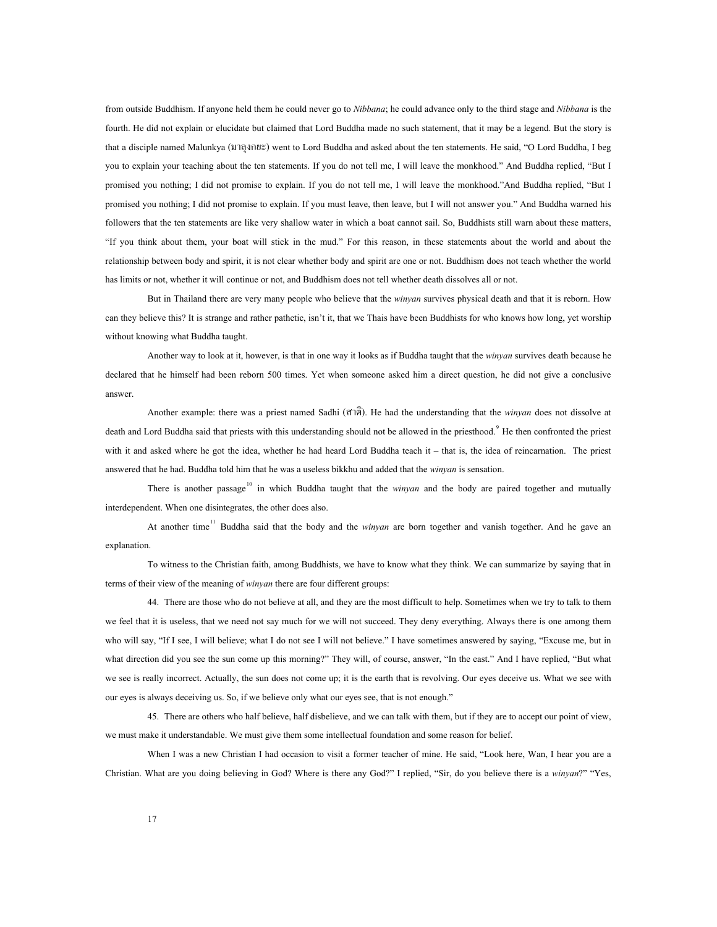from outside Buddhism. If anyone held them he could never go to *Nibbana*; he could advance only to the third stage and *Nibbana* is the fourth. He did not explain or elucidate but claimed that Lord Buddha made no such statement, that it may be a legend. But the story is that a disciple named Malunkya (มาลุงกยะ) went to Lord Buddha and asked about the ten statements. He said, "O Lord Buddha, I beg you to explain your teaching about the ten statements. If you do not tell me, I will leave the monkhood." And Buddha replied, "But I promised you nothing; I did not promise to explain. If you do not tell me, I will leave the monkhood."And Buddha replied, "But I promised you nothing; I did not promise to explain. If you must leave, then leave, but I will not answer you." And Buddha warned his followers that the ten statements are like very shallow water in which a boat cannot sail. So, Buddhists still warn about these matters, "If you think about them, your boat will stick in the mud." For this reason, in these statements about the world and about the relationship between body and spirit, it is not clear whether body and spirit are one or not. Buddhism does not teach whether the world has limits or not, whether it will continue or not, and Buddhism does not tell whether death dissolves all or not.

But in Thailand there are very many people who believe that the *winyan* survives physical death and that it is reborn. How can they believe this? It is strange and rather pathetic, isn't it, that we Thais have been Buddhists for who knows how long, yet worship without knowing what Buddha taught.

Another way to look at it, however, is that in one way it looks as if Buddha taught that the *winyan* survives death because he declared that he himself had been reborn 500 times. Yet when someone asked him a direct question, he did not give a conclusive answer.

Another example: there was a priest named Sadhi (สาติ). He had the understanding that the *winyan* does not dissolve at death and Lord Buddha said that priests with this understanding should not be allowed in the priesthood.<sup>[9](#page-74-8)</sup> He then confronted the priest with it and asked where he got the idea, whether he had heard Lord Buddha teach it – that is, the idea of reincarnation. The priest answered that he had. Buddha told him that he was a useless bikkhu and added that the *winyan* is sensation.

There is another passage<sup>[10](#page-74-9)</sup> in which Buddha taught that the *winyan* and the body are paired together and mutually interdependent. When one disintegrates, the other does also.

At another time<sup>[11](#page-74-10)</sup> Buddha said that the body and the *winyan* are born together and vanish together. And he gave an explanation.

To witness to the Christian faith, among Buddhists, we have to know what they think. We can summarize by saying that in terms of their view of the meaning of *winyan* there are four different groups:

44. There are those who do not believe at all, and they are the most difficult to help. Sometimes when we try to talk to them we feel that it is useless, that we need not say much for we will not succeed. They deny everything. Always there is one among them who will say, "If I see, I will believe; what I do not see I will not believe." I have sometimes answered by saying, "Excuse me, but in what direction did you see the sun come up this morning?" They will, of course, answer, "In the east." And I have replied, "But what we see is really incorrect. Actually, the sun does not come up; it is the earth that is revolving. Our eyes deceive us. What we see with our eyes is always deceiving us. So, if we believe only what our eyes see, that is not enough."

45. There are others who half believe, half disbelieve, and we can talk with them, but if they are to accept our point of view, we must make it understandable. We must give them some intellectual foundation and some reason for belief.

When I was a new Christian I had occasion to visit a former teacher of mine. He said, "Look here, Wan, I hear you are a Christian. What are you doing believing in God? Where is there any God?" I replied, "Sir, do you believe there is a *winyan*?" "Yes,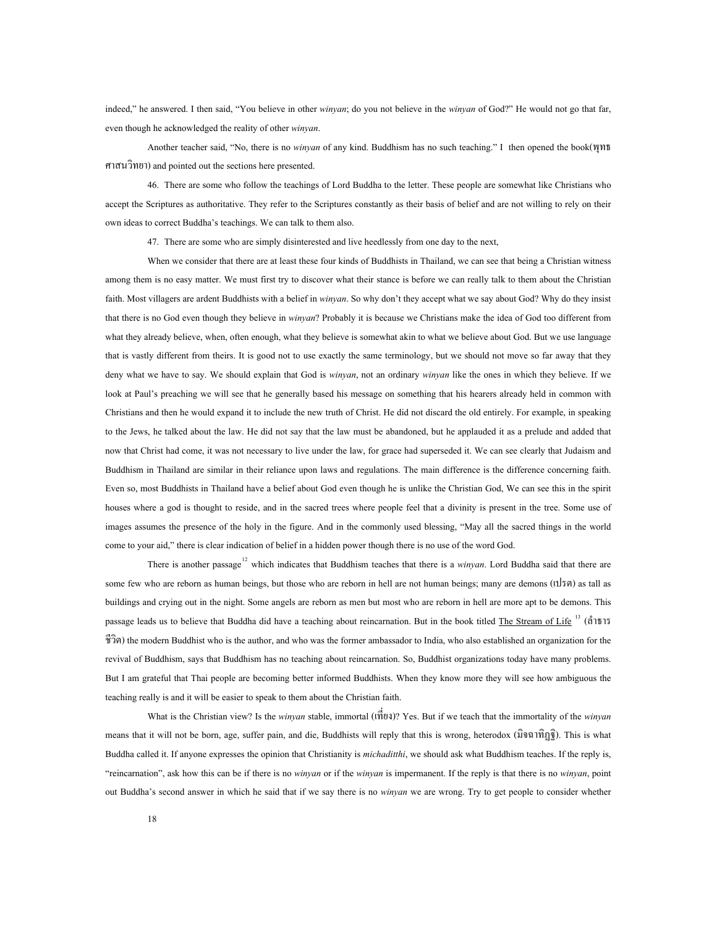indeed," he answered. I then said, "You believe in other *winyan*; do you not believe in the *winyan* of God?" He would not go that far, even though he acknowledged the reality of other *winyan*.

Another teacher said, "No, there is no *winyan* of any kind. Buddhism has no such teaching." I then opened the book(พุทธ ศาสนวิทยา) and pointed out the sections here presented.

46. There are some who follow the teachings of Lord Buddha to the letter. These people are somewhat like Christians who accept the Scriptures as authoritative. They refer to the Scriptures constantly as their basis of belief and are not willing to rely on their own ideas to correct Buddha's teachings. We can talk to them also.

47. There are some who are simply disinterested and live heedlessly from one day to the next,

When we consider that there are at least these four kinds of Buddhists in Thailand, we can see that being a Christian witness among them is no easy matter. We must first try to discover what their stance is before we can really talk to them about the Christian faith. Most villagers are ardent Buddhists with a belief in *winyan*. So why don't they accept what we say about God? Why do they insist that there is no God even though they believe in *winyan*? Probably it is because we Christians make the idea of God too different from what they already believe, when, often enough, what they believe is somewhat akin to what we believe about God. But we use language that is vastly different from theirs. It is good not to use exactly the same terminology, but we should not move so far away that they deny what we have to say. We should explain that God is *winyan*, not an ordinary *winyan* like the ones in which they believe. If we look at Paul's preaching we will see that he generally based his message on something that his hearers already held in common with Christians and then he would expand it to include the new truth of Christ. He did not discard the old entirely. For example, in speaking to the Jews, he talked about the law. He did not say that the law must be abandoned, but he applauded it as a prelude and added that now that Christ had come, it was not necessary to live under the law, for grace had superseded it. We can see clearly that Judaism and Buddhism in Thailand are similar in their reliance upon laws and regulations. The main difference is the difference concerning faith. Even so, most Buddhists in Thailand have a belief about God even though he is unlike the Christian God, We can see this in the spirit houses where a god is thought to reside, and in the sacred trees where people feel that a divinity is present in the tree. Some use of images assumes the presence of the holy in the figure. And in the commonly used blessing, "May all the sacred things in the world come to your aid," there is clear indication of belief in a hidden power though there is no use of the word God.

There is another passage<sup>[12](#page-74-11)</sup> which indicates that Buddhism teaches that there is a *winyan*. Lord Buddha said that there are some few who are reborn as human beings, but those who are reborn in hell are not human beings; many are demons (เปรต) as tall as buildings and crying out in the night. Some angels are reborn as men but most who are reborn in hell are more apt to be demons. This passage leads us to believe that Buddha did have a teaching about reincarnation. But in the book titled The Stream of Life  $13$  (a<sup>13</sup>) ชีวิต) the modern Buddhist who is the author, and who was the former ambassador to India, who also established an organization for the revival of Buddhism, says that Buddhism has no teaching about reincarnation. So, Buddhist organizations today have many problems. But I am grateful that Thai people are becoming better informed Buddhists. When they know more they will see how ambiguous the teaching really is and it will be easier to speak to them about the Christian faith.

What is the Christian view? Is the *winyan* stable, immortal (เพื่ยง)? Yes. But if we teach that the immortality of the *winyan* ี่ means that it will not be born, age, suffer pain, and die, Buddhists will reply that this is wrong, heterodox (มิจฉาทิฏฐิ). This is what Buddha called it. If anyone expresses the opinion that Christianity is *michaditthi*, we should ask what Buddhism teaches. If the reply is, "reincarnation", ask how this can be if there is no *winyan* or if the *winyan* is impermanent. If the reply is that there is no *winyan*, point out Buddha's second answer in which he said that if we say there is no *winyan* we are wrong. Try to get people to consider whether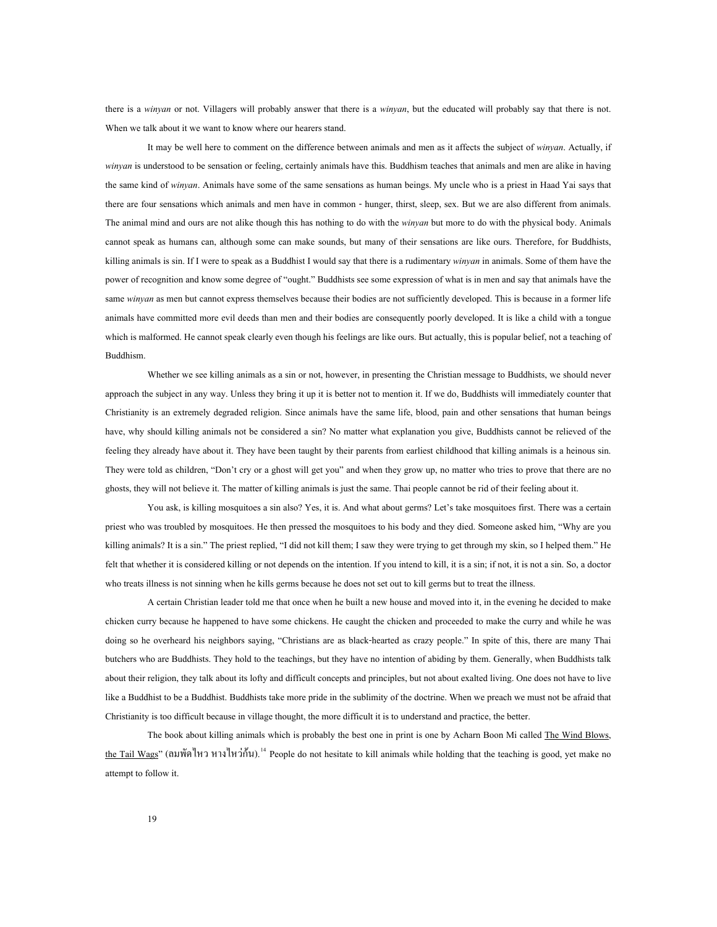there is a *winyan* or not. Villagers will probably answer that there is a *winyan*, but the educated will probably say that there is not. When we talk about it we want to know where our hearers stand.

It may be well here to comment on the difference between animals and men as it affects the subject of *winyan*. Actually, if *winyan* is understood to be sensation or feeling, certainly animals have this. Buddhism teaches that animals and men are alike in having the same kind of *winyan*. Animals have some of the same sensations as human beings. My uncle who is a priest in Haad Yai says that there are four sensations which animals and men have in common - hunger, thirst, sleep, sex. But we are also different from animals. The animal mind and ours are not alike though this has nothing to do with the *winyan* but more to do with the physical body. Animals cannot speak as humans can, although some can make sounds, but many of their sensations are like ours. Therefore, for Buddhists, killing animals is sin. If I were to speak as a Buddhist I would say that there is a rudimentary *winyan* in animals. Some of them have the power of recognition and know some degree of "ought." Buddhists see some expression of what is in men and say that animals have the same *winyan* as men but cannot express themselves because their bodies are not sufficiently developed. This is because in a former life animals have committed more evil deeds than men and their bodies are consequently poorly developed. It is like a child with a tongue which is malformed. He cannot speak clearly even though his feelings are like ours. But actually, this is popular belief, not a teaching of Buddhism.

Whether we see killing animals as a sin or not, however, in presenting the Christian message to Buddhists, we should never approach the subject in any way. Unless they bring it up it is better not to mention it. If we do, Buddhists will immediately counter that Christianity is an extremely degraded religion. Since animals have the same life, blood, pain and other sensations that human beings have, why should killing animals not be considered a sin? No matter what explanation you give, Buddhists cannot be relieved of the feeling they already have about it. They have been taught by their parents from earliest childhood that killing animals is a heinous sin. They were told as children, "Don't cry or a ghost will get you" and when they grow up, no matter who tries to prove that there are no ghosts, they will not believe it. The matter of killing animals is just the same. Thai people cannot be rid of their feeling about it.

You ask, is killing mosquitoes a sin also? Yes, it is. And what about germs? Let's take mosquitoes first. There was a certain priest who was troubled by mosquitoes. He then pressed the mosquitoes to his body and they died. Someone asked him, "Why are you killing animals? It is a sin." The priest replied, "I did not kill them; I saw they were trying to get through my skin, so I helped them." He felt that whether it is considered killing or not depends on the intention. If you intend to kill, it is a sin; if not, it is not a sin. So, a doctor who treats illness is not sinning when he kills germs because he does not set out to kill germs but to treat the illness.

A certain Christian leader told me that once when he built a new house and moved into it, in the evening he decided to make chicken curry because he happened to have some chickens. He caught the chicken and proceeded to make the curry and while he was doing so he overheard his neighbors saying, "Christians are as black-hearted as crazy people." In spite of this, there are many Thai butchers who are Buddhists. They hold to the teachings, but they have no intention of abiding by them. Generally, when Buddhists talk about their religion, they talk about its lofty and difficult concepts and principles, but not about exalted living. One does not have to live like a Buddhist to be a Buddhist. Buddhists take more pride in the sublimity of the doctrine. When we preach we must not be afraid that Christianity is too difficult because in village thought, the more difficult it is to understand and practice, the better.

The book about killing animals which is probably the best one in print is one by Acharn Boon Mi called The Wind Blows, the Tail Wags" (ลมพัดไหว หางไหว่กัน).<sup>[14](#page-74-13)</sup> People do not hesitate to kill animals while holding that the teaching is good, yet make no attempt to follow it.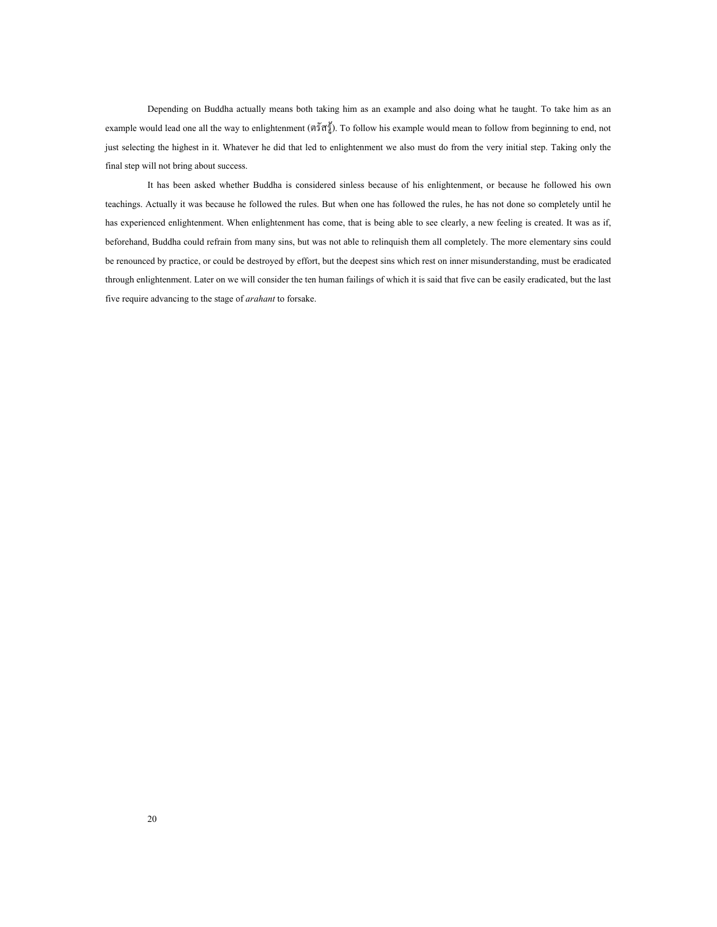Depending on Buddha actually means both taking him as an example and also doing what he taught. To take him as an example would lead one all the way to enlightenment (ตรัสรู). To follow his example would mean to follow from beginning to end, not just selecting the highest in it. Whatever he did that led to enlightenment we also must do from the very initial step. Taking only the final step will not bring about success.

It has been asked whether Buddha is considered sinless because of his enlightenment, or because he followed his own teachings. Actually it was because he followed the rules. But when one has followed the rules, he has not done so completely until he has experienced enlightenment. When enlightenment has come, that is being able to see clearly, a new feeling is created. It was as if, beforehand, Buddha could refrain from many sins, but was not able to relinquish them all completely. The more elementary sins could be renounced by practice, or could be destroyed by effort, but the deepest sins which rest on inner misunderstanding, must be eradicated through enlightenment. Later on we will consider the ten human failings of which it is said that five can be easily eradicated, but the last five require advancing to the stage of *arahant* to forsake.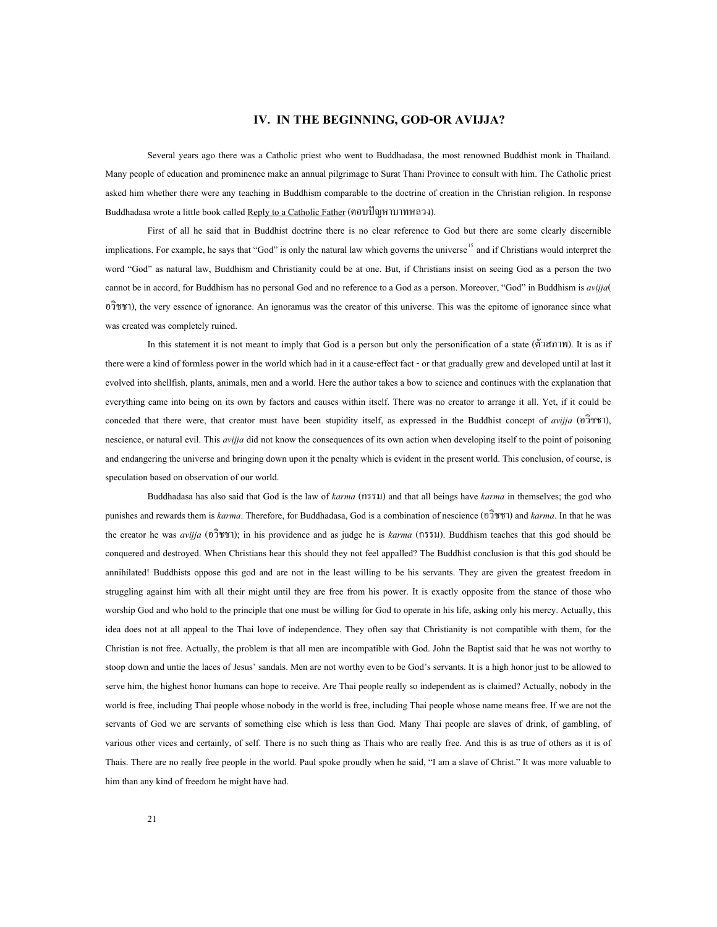#### **IV. IN THE BEGINNING, GOD-OR AVIJJA?**

<span id="page-25-0"></span>Several years ago there was a Catholic priest who went to Buddhadasa, the most renowned Buddhist monk in Thailand. Many people of education and prominence make an annual pilgrimage to Surat Thani Province to consult with him. The Catholic priest asked him whether there were any teaching in Buddhism comparable to the doctrine of creation in the Christian religion. In response Buddhadasa wrote a little book called Reply to a Catholic Father (ตอบปญหาบาทหลวง).

First of all he said that in Buddhist doctrine there is no clear reference to God but there are some clearly discernible implications. For example, he says that "God" is only the natural law which governs the universe<sup>[15](#page-74-14)</sup> and if Christians would interpret the word "God" as natural law, Buddhism and Christianity could be at one. But, if Christians insist on seeing God as a person the two cannot be in accord, for Buddhism has no personal God and no reference to a God as a person. Moreover, "God" in Buddhism is *avijja*( อวิชชา), the very essence of ignorance. An ignoramus was the creator of this universe. This was the epitome of ignorance since what was created was completely ruined.

In this statement it is not meant to imply that God is a person but only the personification of a state (ตัวสภาพ). It is as if there were a kind of formless power in the world which had in it a cause-effect fact - or that gradually grew and developed until at last it evolved into shellfish, plants, animals, men and a world. Here the author takes a bow to science and continues with the explanation that everything came into being on its own by factors and causes within itself. There was no creator to arrange it all. Yet, if it could be conceded that there were, that creator must have been stupidity itself, as expressed in the Buddhist concept of *avijja* (อวิชชา), nescience, or natural evil. This *avijja* did not know the consequences of its own action when developing itself to the point of poisoning and endangering the universe and bringing down upon it the penalty which is evident in the present world. This conclusion, of course, is speculation based on observation of our world.

Buddhadasa has also said that God is the law of *karma* (กรรม) and that all beings have *karma* in themselves; the god who punishes and rewards them is *karma*. Therefore, for Buddhadasa, God is a combination of nescience (อวิชชา) and *karma*. In that he was the creator he was *avijja* (อวิชชา); in his providence and as judge he is *karma* (กรรม). Buddhism teaches that this god should be conquered and destroyed. When Christians hear this should they not feel appalled? The Buddhist conclusion is that this god should be annihilated! Buddhists oppose this god and are not in the least willing to be his servants. They are given the greatest freedom in struggling against him with all their might until they are free from his power. It is exactly opposite from the stance of those who worship God and who hold to the principle that one must be willing for God to operate in his life, asking only his mercy. Actually, this idea does not at all appeal to the Thai love of independence. They often say that Christianity is not compatible with them, for the Christian is not free. Actually, the problem is that all men are incompatible with God. John the Baptist said that he was not worthy to stoop down and untie the laces of Jesus' sandals. Men are not worthy even to be God's servants. It is a high honor just to be allowed to serve him, the highest honor humans can hope to receive. Are Thai people really so independent as is claimed? Actually, nobody in the world is free, including Thai people whose nobody in the world is free, including Thai people whose name means free. If we are not the servants of God we are servants of something else which is less than God. Many Thai people are slaves of drink, of gambling, of various other vices and certainly, of self. There is no such thing as Thais who are really free. And this is as true of others as it is of Thais. There are no really free people in the world. Paul spoke proudly when he said, "I am a slave of Christ." It was more valuable to him than any kind of freedom he might have had.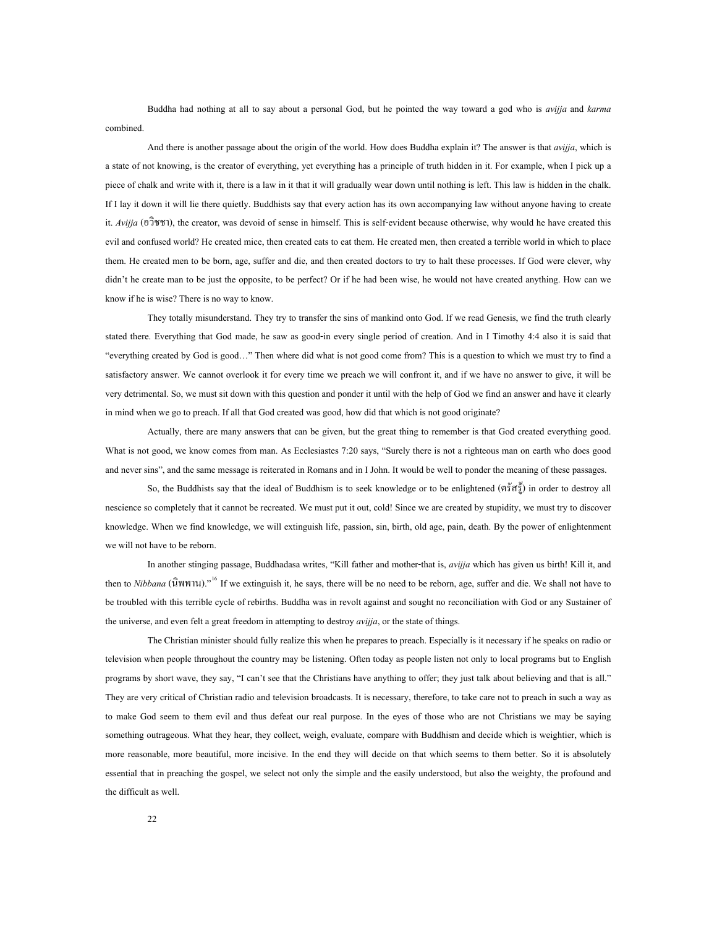Buddha had nothing at all to say about a personal God, but he pointed the way toward a god who is *avijja* and *karma* combined.

And there is another passage about the origin of the world. How does Buddha explain it? The answer is that *avijja*, which is a state of not knowing, is the creator of everything, yet everything has a principle of truth hidden in it. For example, when I pick up a piece of chalk and write with it, there is a law in it that it will gradually wear down until nothing is left. This law is hidden in the chalk. If I lay it down it will lie there quietly. Buddhists say that every action has its own accompanying law without anyone having to create it. *Avijja* (อวิชชา), the creator, was devoid of sense in himself. This is self-evident because otherwise, why would he have created this evil and confused world? He created mice, then created cats to eat them. He created men, then created a terrible world in which to place them. He created men to be born, age, suffer and die, and then created doctors to try to halt these processes. If God were clever, why didn't he create man to be just the opposite, to be perfect? Or if he had been wise, he would not have created anything. How can we know if he is wise? There is no way to know.

They totally misunderstand. They try to transfer the sins of mankind onto God. If we read Genesis, we find the truth clearly stated there. Everything that God made, he saw as good-in every single period of creation. And in I Timothy 4:4 also it is said that "everything created by God is good…" Then where did what is not good come from? This is a question to which we must try to find a satisfactory answer. We cannot overlook it for every time we preach we will confront it, and if we have no answer to give, it will be very detrimental. So, we must sit down with this question and ponder it until with the help of God we find an answer and have it clearly in mind when we go to preach. If all that God created was good, how did that which is not good originate?

Actually, there are many answers that can be given, but the great thing to remember is that God created everything good. What is not good, we know comes from man. As Ecclesiastes 7:20 says, "Surely there is not a righteous man on earth who does good and never sins", and the same message is reiterated in Romans and in I John. It would be well to ponder the meaning of these passages.

So, the Buddhists say that the ideal of Buddhism is to seek knowledge or to be enlightened (ตุรัสรู้) in order to destroy all nescience so completely that it cannot be recreated. We must put it out, cold! Since we are created by stupidity, we must try to discover knowledge. When we find knowledge, we will extinguish life, passion, sin, birth, old age, pain, death. By the power of enlightenment we will not have to be reborn.

In another stinging passage, Buddhadasa writes, "Kill father and mother-that is, *avijja* which has given us birth! Kill it, and then to *Nibbana* (นิพพาน)."<sup>16</sup> If we extinguish it, he says, there will be no need to be reborn, age, suffer and die. We shall not have to be troubled with this terrible cycle of rebirths. Buddha was in revolt against and sought no reconciliation with God or any Sustainer of the universe, and even felt a great freedom in attempting to destroy *avijja*, or the state of things.

The Christian minister should fully realize this when he prepares to preach. Especially is it necessary if he speaks on radio or television when people throughout the country may be listening. Often today as people listen not only to local programs but to English programs by short wave, they say, "I can't see that the Christians have anything to offer; they just talk about believing and that is all." They are very critical of Christian radio and television broadcasts. It is necessary, therefore, to take care not to preach in such a way as to make God seem to them evil and thus defeat our real purpose. In the eyes of those who are not Christians we may be saying something outrageous. What they hear, they collect, weigh, evaluate, compare with Buddhism and decide which is weightier, which is more reasonable, more beautiful, more incisive. In the end they will decide on that which seems to them better. So it is absolutely essential that in preaching the gospel, we select not only the simple and the easily understood, but also the weighty, the profound and the difficult as well.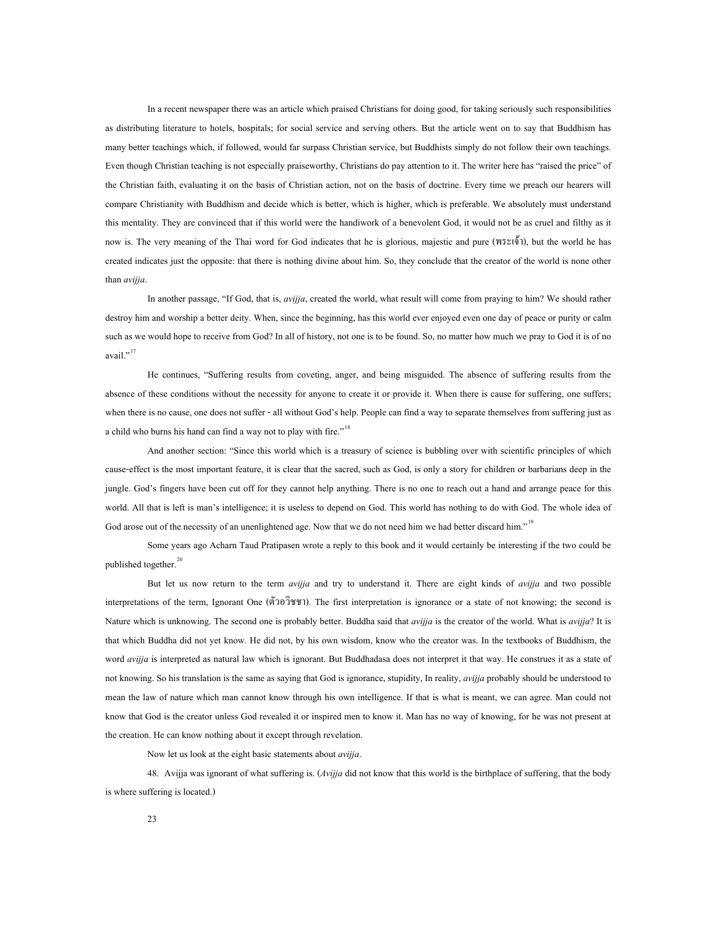In a recent newspaper there was an article which praised Christians for doing good, for taking seriously such responsibilities as distributing literature to hotels, hospitals; for social service and serving others. But the article went on to say that Buddhism has many better teachings which, if followed, would far surpass Christian service, but Buddhists simply do not follow their own teachings. Even though Christian teaching is not especially praiseworthy, Christians do pay attention to it. The writer here has "raised the price" of the Christian faith, evaluating it on the basis of Christian action, not on the basis of doctrine. Every time we preach our hearers will compare Christianity with Buddhism and decide which is better, which is higher, which is preferable. We absolutely must understand this mentality. They are convinced that if this world were the handiwork of a benevolent God, it would not be as cruel and filthy as it now is. The very meaning of the Thai word for God indicates that he is glorious, majestic and pure (พระเจา), but the world he has created indicates just the opposite: that there is nothing divine about him. So, they conclude that the creator of the world is none other than *avijja*.

In another passage, "If God, that is, *avijja*, created the world, what result will come from praying to him? We should rather destroy him and worship a better deity. When, since the beginning, has this world ever enjoyed even one day of peace or purity or calm such as we would hope to receive from God? In all of history, not one is to be found. So, no matter how much we pray to God it is of no avail."<sup>[17](#page-74-16)</sup>

He continues, "Suffering results from coveting, anger, and being misguided. The absence of suffering results from the absence of these conditions without the necessity for anyone to create it or provide it. When there is cause for suffering, one suffers; when there is no cause, one does not suffer - all without God's help. People can find a way to separate themselves from suffering just as a child who burns his hand can find a way not to play with fire."<sup>[18](#page-74-17)</sup>

And another section: "Since this world which is a treasury of science is bubbling over with scientific principles of which cause-effect is the most important feature, it is clear that the sacred, such as God, is only a story for children or barbarians deep in the jungle. God's fingers have been cut off for they cannot help anything. There is no one to reach out a hand and arrange peace for this world. All that is left is man's intelligence; it is useless to depend on God. This world has nothing to do with God. The whole idea of God arose out of the necessity of an unenlightened age. Now that we do not need him we had better discard him."<sup>[19](#page-75-0)</sup>

Some years ago Acharn Taud Pratipasen wrote a reply to this book and it would certainly be interesting if the two could be published together. $20$ 

But let us now return to the term *avijja* and try to understand it. There are eight kinds of *avijja* and two possible interpretations of the term, Ignorant One (ตัวอวิชชา). The first interpretation is ignorance or a state of not knowing; the second is Nature which is unknowing. The second one is probably better. Buddha said that *avijja* is the creator of the world. What is *avijja*? It is that which Buddha did not yet know. He did not, by his own wisdom, know who the creator was. In the textbooks of Buddhism, the word *avijja* is interpreted as natural law which is ignorant. But Buddhadasa does not interpret it that way. He construes it as a state of not knowing. So his translation is the same as saying that God is ignorance, stupidity, In reality, *avijja* probably should be understood to mean the law of nature which man cannot know through his own intelligence. If that is what is meant, we can agree. Man could not know that God is the creator unless God revealed it or inspired men to know it. Man has no way of knowing, for he was not present at the creation. He can know nothing about it except through revelation.

Now let us look at the eight basic statements about *avijja*.

48. Avijja was ignorant of what suffering is. (*Avijja* did not know that this world is the birthplace of suffering, that the body is where suffering is located.)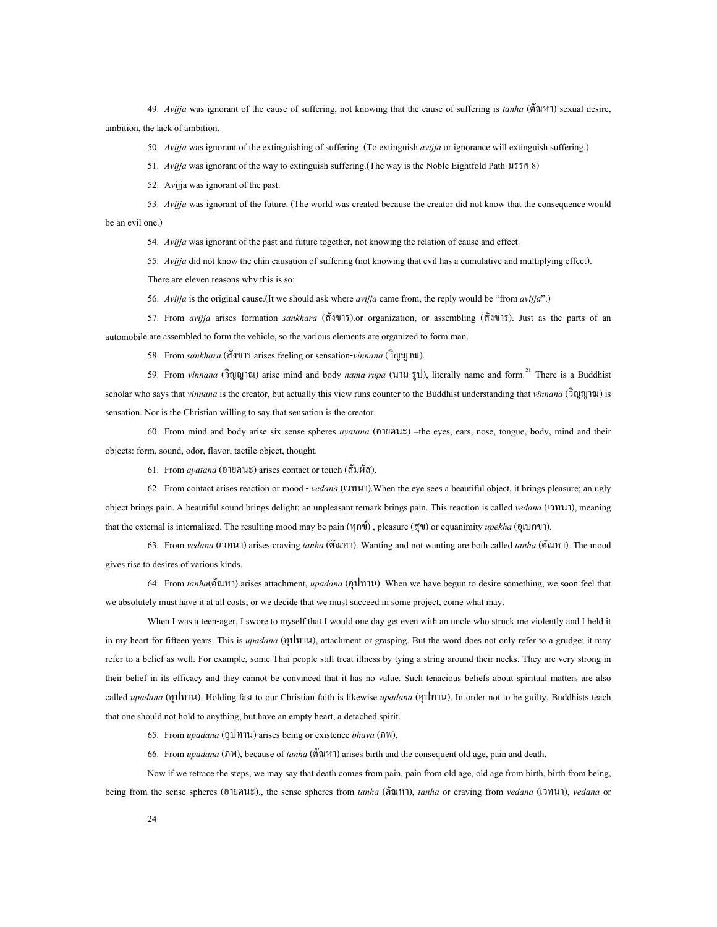49. *Avijja* was ignorant of the cause of suffering, not knowing that the cause of suffering is *tanha* (ตัณหา) sexual desire, ambition, the lack of ambition.

50. *Avijja* was ignorant of the extinguishing of suffering. (To extinguish *avijja* or ignorance will extinguish suffering.)

51. *Avijja* was ignorant of the way to extinguish suffering.(The way is the Noble Eightfold Path-มรรค 8)

52. A*v*ijja was ignorant of the past.

53. *Avijja* was ignorant of the future. (The world was created because the creator did not know that the consequence would be an evil one.)

54. *Avijja* was ignorant of the past and future together, not knowing the relation of cause and effect.

55. *Avijja* did not know the chin causation of suffering (not knowing that evil has a cumulative and multiplying effect).

There are eleven reasons why this is so:

56. *Avijja* is the original cause.(It we should ask where *avijja* came from, the reply would be "from *avijja*".)

57. From *avijja* arises formation *sankhara* (สังขาร).or organization, or assembling (สังขาร). Just as the parts of an automobile are assembled to form the vehicle, so the various elements are organized to form man.

58. From *sankhara* (สังขาร arises feeling or sensation-*vinnana* (วิญญาณ).

59. From *vinnana* (วิฒฒาณ) arise mind and body *nama-rupa* (นาม-รูป), literally name and form.<sup>21</sup> There is a Buddhist scholar who says that *vinnana* is the creator, but actually this view runs counter to the Buddhist understanding that *vinnana* (วิญญาณ) is sensation. Nor is the Christian willing to say that sensation is the creator.

60. From mind and body arise six sense spheres *ayatana* (อายตนะ) –the eyes, ears, nose, tongue, body, mind and their objects: form, sound, odor, flavor, tactile object, thought.

61. From *ayatana* (อายตนะ) arises contact or touch (สัมผัส).

62. From contact arises reaction or mood - *vedana* (เวทนา).When the eye sees a beautiful object, it brings pleasure; an ugly object brings pain. A beautiful sound brings delight; an unpleasant remark brings pain. This reaction is called *vedana* (เวทนา), meaning that the external is internalized. The resulting mood may be pain (ทุกข) , pleasure (สุข) or equanimity *upekha* (อุเบกขา).

63. From *vedana* (เวทนา) arises craving *tanha* (ตัณหา). Wanting and not wanting are both called *tanha* (ตัณหา) .The mood gives rise to desires of various kinds.

64. From *tanha*(ตัณหา) arises attachment, *upadana* (อุปทาน). When we have begun to desire something, we soon feel that we absolutely must have it at all costs; or we decide that we must succeed in some project, come what may.

When I was a teen-ager, I swore to myself that I would one day get even with an uncle who struck me violently and I held it in my heart for fifteen years. This is *upadana* (อุปทาน), attachment or grasping. But the word does not only refer to a grudge; it may refer to a belief as well. For example, some Thai people still treat illness by tying a string around their necks. They are very strong in their belief in its efficacy and they cannot be convinced that it has no value. Such tenacious beliefs about spiritual matters are also called *upadana* (อุปทาน). Holding fast to our Christian faith is likewise *upadana* (อุปทาน). In order not to be guilty, Buddhists teach that one should not hold to anything, but have an empty heart, a detached spirit.

65. From *upadana* (อุปทาน) arises being or existence *bhava* (ภพ).

66. From *upadana* (ภพ), because of *tanha* (ตัณหา) arises birth and the consequent old age, pain and death.

Now if we retrace the steps, we may say that death comes from pain, pain from old age, old age from birth, birth from being, being from the sense spheres (อายตนะ)., the sense spheres from *tanha* (ตัณหา), *tanha* or craving from *vedana* (เวทนา), *vedana* or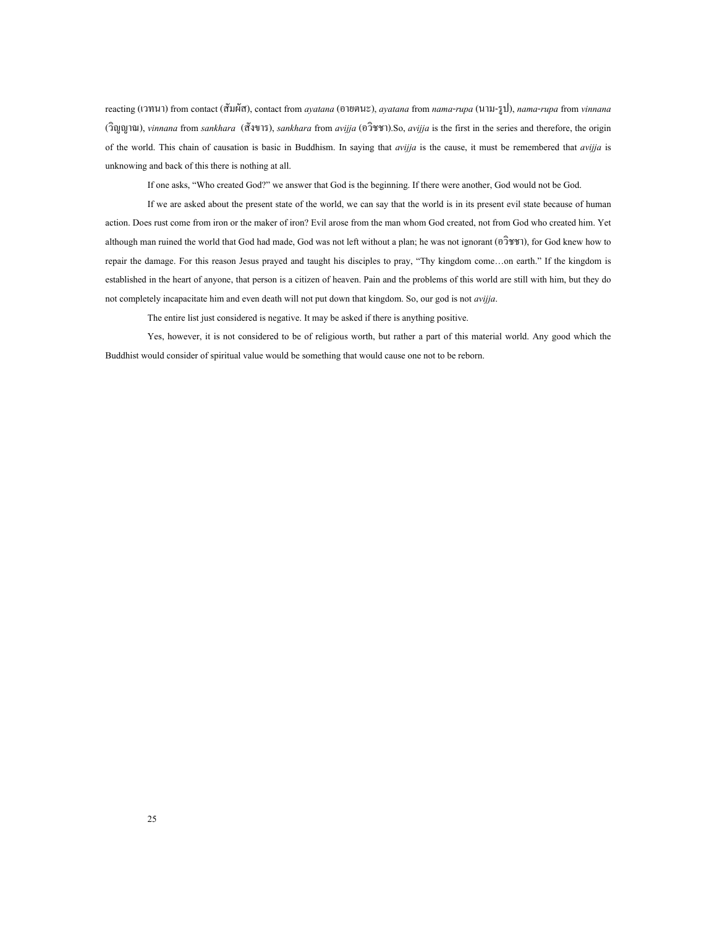reacting (เวทนา) from contact (สัมผัส), contact from *ayatana* (อายตนะ), *ayatana* from *nama*-*rupa* (นาม-รูป), *nama*-*rupa* from *vinnana* (วิญญาณ), *vinnana* from *sankhara* (สังขาร), *sankhara* from *avijja* (อวิชชา).So, *avijja* is the first in the series and therefore, the origin of the world. This chain of causation is basic in Buddhism. In saying that *avijja* is the cause, it must be remembered that *avijja* is unknowing and back of this there is nothing at all.

If one asks, "Who created God?" we answer that God is the beginning. If there were another, God would not be God.

If we are asked about the present state of the world, we can say that the world is in its present evil state because of human action. Does rust come from iron or the maker of iron? Evil arose from the man whom God created, not from God who created him. Yet although man ruined the world that God had made, God was not left without a plan; he was not ignorant (อวิชชา), for God knew how to repair the damage. For this reason Jesus prayed and taught his disciples to pray, "Thy kingdom come…on earth." If the kingdom is established in the heart of anyone, that person is a citizen of heaven. Pain and the problems of this world are still with him, but they do not completely incapacitate him and even death will not put down that kingdom. So, our god is not *avijja*.

The entire list just considered is negative. It may be asked if there is anything positive.

Yes, however, it is not considered to be of religious worth, but rather a part of this material world. Any good which the Buddhist would consider of spiritual value would be something that would cause one not to be reborn.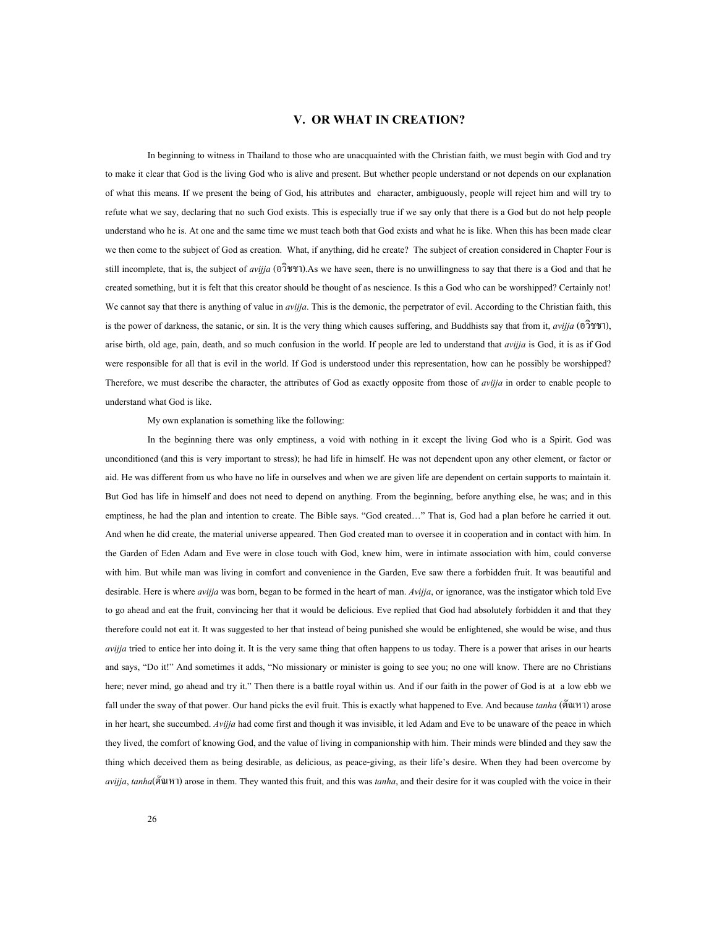#### **V. OR WHAT IN CREATION?**

<span id="page-30-0"></span>In beginning to witness in Thailand to those who are unacquainted with the Christian faith, we must begin with God and try to make it clear that God is the living God who is alive and present. But whether people understand or not depends on our explanation of what this means. If we present the being of God, his attributes and character, ambiguously, people will reject him and will try to refute what we say, declaring that no such God exists. This is especially true if we say only that there is a God but do not help people understand who he is. At one and the same time we must teach both that God exists and what he is like. When this has been made clear we then come to the subject of God as creation. What, if anything, did he create? The subject of creation considered in Chapter Four is still incomplete, that is, the subject of *avijja* (อวิชชา).As we have seen, there is no unwillingness to say that there is a God and that he created something, but it is felt that this creator should be thought of as nescience. Is this a God who can be worshipped? Certainly not! We cannot say that there is anything of value in *avijja*. This is the demonic, the perpetrator of evil. According to the Christian faith, this is the power of darkness, the satanic, or sin. It is the very thing which causes suffering, and Buddhists say that from it, *avijja* (อวิชชา), arise birth, old age, pain, death, and so much confusion in the world. If people are led to understand that *avijja* is God, it is as if God were responsible for all that is evil in the world. If God is understood under this representation, how can he possibly be worshipped? Therefore, we must describe the character, the attributes of God as exactly opposite from those of *avijja* in order to enable people to understand what God is like.

My own explanation is something like the following:

In the beginning there was only emptiness, a void with nothing in it except the living God who is a Spirit. God was unconditioned (and this is very important to stress); he had life in himself. He was not dependent upon any other element, or factor or aid. He was different from us who have no life in ourselves and when we are given life are dependent on certain supports to maintain it. But God has life in himself and does not need to depend on anything. From the beginning, before anything else, he was; and in this emptiness, he had the plan and intention to create. The Bible says. "God created…" That is, God had a plan before he carried it out. And when he did create, the material universe appeared. Then God created man to oversee it in cooperation and in contact with him. In the Garden of Eden Adam and Eve were in close touch with God, knew him, were in intimate association with him, could converse with him. But while man was living in comfort and convenience in the Garden, Eve saw there a forbidden fruit. It was beautiful and desirable. Here is where *avijja* was born, began to be formed in the heart of man. *Avijja*, or ignorance, was the instigator which told Eve to go ahead and eat the fruit, convincing her that it would be delicious. Eve replied that God had absolutely forbidden it and that they therefore could not eat it. It was suggested to her that instead of being punished she would be enlightened, she would be wise, and thus *avijja* tried to entice her into doing it. It is the very same thing that often happens to us today. There is a power that arises in our hearts and says, "Do it!" And sometimes it adds, "No missionary or minister is going to see you; no one will know. There are no Christians here; never mind, go ahead and try it." Then there is a battle royal within us. And if our faith in the power of God is at a low ebb we fall under the sway of that power. Our hand picks the evil fruit. This is exactly what happened to Eve. And because *tanha* (ตัณหา) arose in her heart, she succumbed. *Avijja* had come first and though it was invisible, it led Adam and Eve to be unaware of the peace in which they lived, the comfort of knowing God, and the value of living in companionship with him. Their minds were blinded and they saw the thing which deceived them as being desirable, as delicious, as peace-giving, as their life's desire. When they had been overcome by *avijja*, *tanha*(ตัณหา) arose in them. They wanted this fruit, and this was *tanha*, and their desire for it was coupled with the voice in their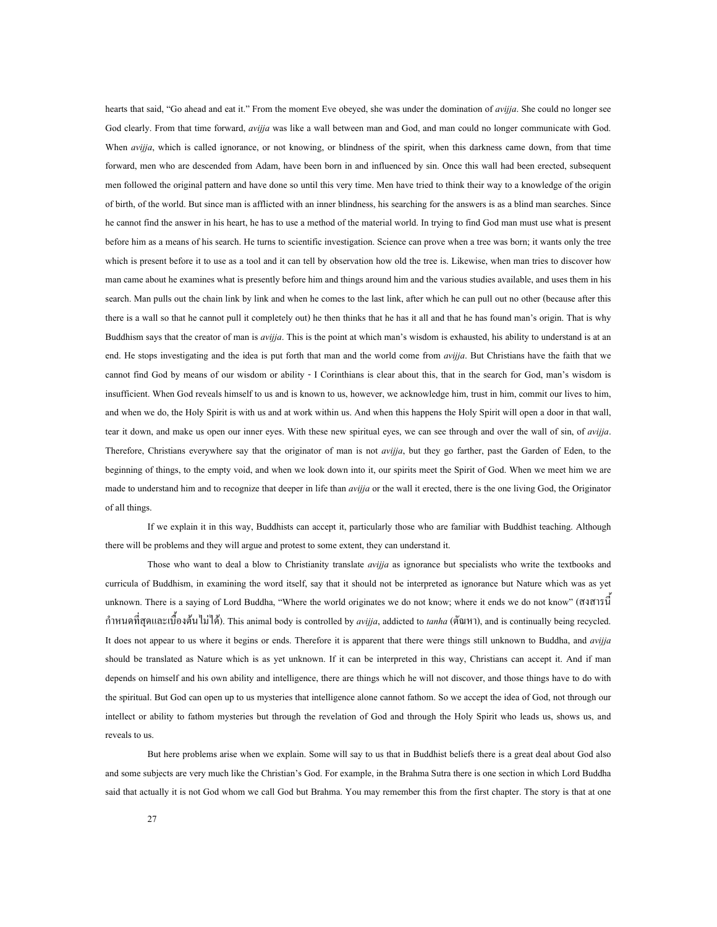hearts that said, "Go ahead and eat it." From the moment Eve obeyed, she was under the domination of *avijja*. She could no longer see God clearly. From that time forward, *avijja* was like a wall between man and God, and man could no longer communicate with God. When *avijja*, which is called ignorance, or not knowing, or blindness of the spirit, when this darkness came down, from that time forward, men who are descended from Adam, have been born in and influenced by sin. Once this wall had been erected, subsequent men followed the original pattern and have done so until this very time. Men have tried to think their way to a knowledge of the origin of birth, of the world. But since man is afflicted with an inner blindness, his searching for the answers is as a blind man searches. Since he cannot find the answer in his heart, he has to use a method of the material world. In trying to find God man must use what is present before him as a means of his search. He turns to scientific investigation. Science can prove when a tree was born; it wants only the tree which is present before it to use as a tool and it can tell by observation how old the tree is. Likewise, when man tries to discover how man came about he examines what is presently before him and things around him and the various studies available, and uses them in his search. Man pulls out the chain link by link and when he comes to the last link, after which he can pull out no other (because after this there is a wall so that he cannot pull it completely out) he then thinks that he has it all and that he has found man's origin. That is why Buddhism says that the creator of man is *avijja*. This is the point at which man's wisdom is exhausted, his ability to understand is at an end. He stops investigating and the idea is put forth that man and the world come from *avijja*. But Christians have the faith that we cannot find God by means of our wisdom or ability - I Corinthians is clear about this, that in the search for God, man's wisdom is insufficient. When God reveals himself to us and is known to us, however, we acknowledge him, trust in him, commit our lives to him, and when we do, the Holy Spirit is with us and at work within us. And when this happens the Holy Spirit will open a door in that wall, tear it down, and make us open our inner eyes. With these new spiritual eyes, we can see through and over the wall of sin, of *avijja*. Therefore, Christians everywhere say that the originator of man is not *avijja*, but they go farther, past the Garden of Eden, to the beginning of things, to the empty void, and when we look down into it, our spirits meet the Spirit of God. When we meet him we are made to understand him and to recognize that deeper in life than *avijja* or the wall it erected, there is the one living God, the Originator of all things.

If we explain it in this way, Buddhists can accept it, particularly those who are familiar with Buddhist teaching. Although there will be problems and they will argue and protest to some extent, they can understand it.

Those who want to deal a blow to Christianity translate *avijja* as ignorance but specialists who write the textbooks and curricula of Buddhism, in examining the word itself, say that it should not be interpreted as ignorance but Nature which was as yet unknown. There is a saying of Lord Buddha, "Where the world originates we do not know; where it ends we do not know" (สงสารน กำหนดที่สุดและเบื้องต้น ไม่ได้). This animal body is controlled by *avijja*, addicted to *tanha* (ตัณหา), and is continually being recycled. ื้ It does not appear to us where it begins or ends. Therefore it is apparent that there were things still unknown to Buddha, and *avijja* should be translated as Nature which is as yet unknown. If it can be interpreted in this way, Christians can accept it. And if man depends on himself and his own ability and intelligence, there are things which he will not discover, and those things have to do with the spiritual. But God can open up to us mysteries that intelligence alone cannot fathom. So we accept the idea of God, not through our intellect or ability to fathom mysteries but through the revelation of God and through the Holy Spirit who leads us, shows us, and reveals to us.

But here problems arise when we explain. Some will say to us that in Buddhist beliefs there is a great deal about God also and some subjects are very much like the Christian's God. For example, in the Brahma Sutra there is one section in which Lord Buddha said that actually it is not God whom we call God but Brahma. You may remember this from the first chapter. The story is that at one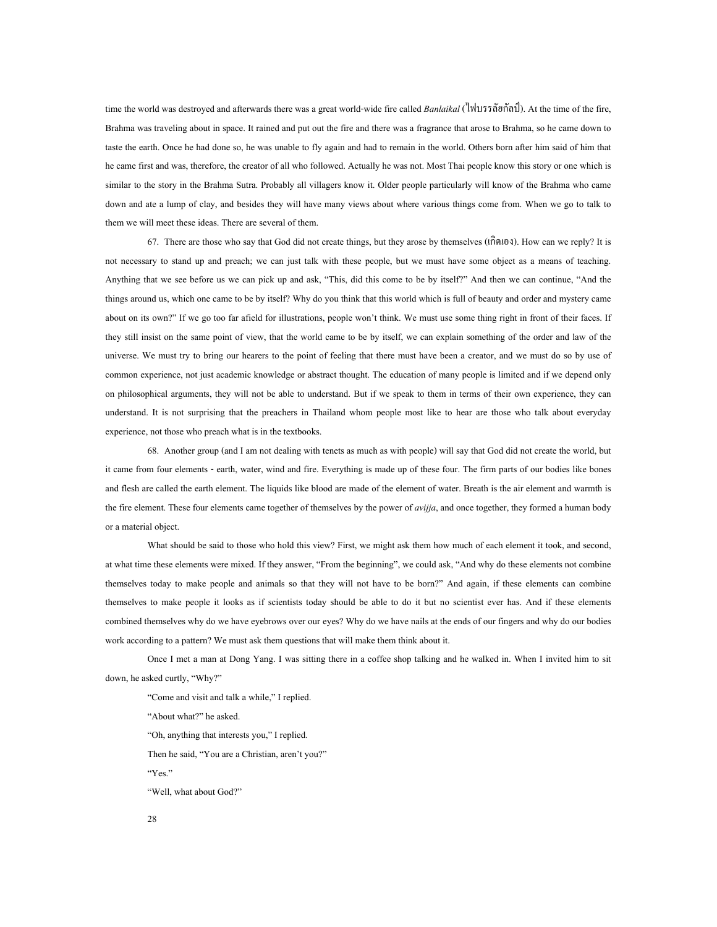time the world was destroyed and afterwards there was a great world-wide fire called *Banlaikal* (ไฟบรรลัยกัลป). At the time of the fire, Brahma was traveling about in space. It rained and put out the fire and there was a fragrance that arose to Brahma, so he came down to taste the earth. Once he had done so, he was unable to fly again and had to remain in the world. Others born after him said of him that he came first and was, therefore, the creator of all who followed. Actually he was not. Most Thai people know this story or one which is similar to the story in the Brahma Sutra. Probably all villagers know it. Older people particularly will know of the Brahma who came down and ate a lump of clay, and besides they will have many views about where various things come from. When we go to talk to them we will meet these ideas. There are several of them.

67. There are those who say that God did not create things, but they arose by themselves ( $\hat{\text{in}}(0, \hat{\text{in}})$ ). How can we reply? It is not necessary to stand up and preach; we can just talk with these people, but we must have some object as a means of teaching. Anything that we see before us we can pick up and ask, "This, did this come to be by itself?" And then we can continue, "And the things around us, which one came to be by itself? Why do you think that this world which is full of beauty and order and mystery came about on its own?" If we go too far afield for illustrations, people won't think. We must use some thing right in front of their faces. If they still insist on the same point of view, that the world came to be by itself, we can explain something of the order and law of the universe. We must try to bring our hearers to the point of feeling that there must have been a creator, and we must do so by use of common experience, not just academic knowledge or abstract thought. The education of many people is limited and if we depend only on philosophical arguments, they will not be able to understand. But if we speak to them in terms of their own experience, they can understand. It is not surprising that the preachers in Thailand whom people most like to hear are those who talk about everyday experience, not those who preach what is in the textbooks.

68. Another group (and I am not dealing with tenets as much as with people) will say that God did not create the world, but it came from four elements - earth, water, wind and fire. Everything is made up of these four. The firm parts of our bodies like bones and flesh are called the earth element. The liquids like blood are made of the element of water. Breath is the air element and warmth is the fire element. These four elements came together of themselves by the power of *avijja*, and once together, they formed a human body or a material object.

What should be said to those who hold this view? First, we might ask them how much of each element it took, and second, at what time these elements were mixed. If they answer, "From the beginning", we could ask, "And why do these elements not combine themselves today to make people and animals so that they will not have to be born?" And again, if these elements can combine themselves to make people it looks as if scientists today should be able to do it but no scientist ever has. And if these elements combined themselves why do we have eyebrows over our eyes? Why do we have nails at the ends of our fingers and why do our bodies work according to a pattern? We must ask them questions that will make them think about it.

Once I met a man at Dong Yang. I was sitting there in a coffee shop talking and he walked in. When I invited him to sit down, he asked curtly, "Why?"

"Come and visit and talk a while," I replied. "About what?" he asked. "Oh, anything that interests you," I replied. Then he said, "You are a Christian, aren't you?" "Yes." "Well, what about God?"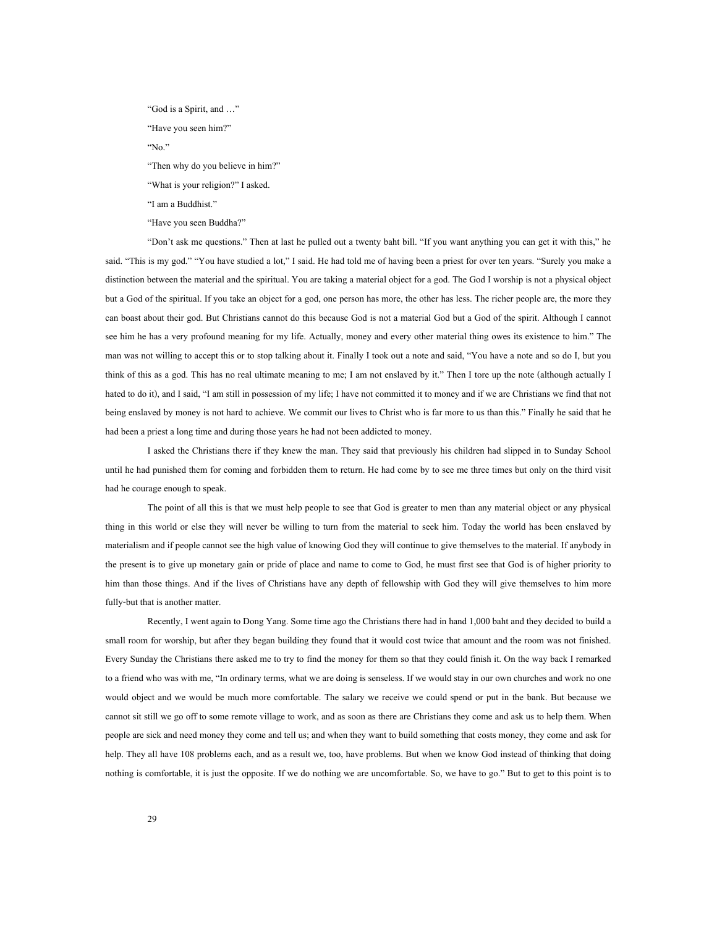"God is a Spirit, and …" "Have you seen him?" "No." "Then why do you believe in him?" "What is your religion?" I asked. "I am a Buddhist." "Have you seen Buddha?"

"Don't ask me questions." Then at last he pulled out a twenty baht bill. "If you want anything you can get it with this," he said. "This is my god." "You have studied a lot," I said. He had told me of having been a priest for over ten years. "Surely you make a distinction between the material and the spiritual. You are taking a material object for a god. The God I worship is not a physical object but a God of the spiritual. If you take an object for a god, one person has more, the other has less. The richer people are, the more they can boast about their god. But Christians cannot do this because God is not a material God but a God of the spirit. Although I cannot see him he has a very profound meaning for my life. Actually, money and every other material thing owes its existence to him." The man was not willing to accept this or to stop talking about it. Finally I took out a note and said, "You have a note and so do I, but you think of this as a god. This has no real ultimate meaning to me; I am not enslaved by it." Then I tore up the note (although actually I hated to do it), and I said, "I am still in possession of my life; I have not committed it to money and if we are Christians we find that not being enslaved by money is not hard to achieve. We commit our lives to Christ who is far more to us than this." Finally he said that he had been a priest a long time and during those years he had not been addicted to money.

I asked the Christians there if they knew the man. They said that previously his children had slipped in to Sunday School until he had punished them for coming and forbidden them to return. He had come by to see me three times but only on the third visit had he courage enough to speak.

The point of all this is that we must help people to see that God is greater to men than any material object or any physical thing in this world or else they will never be willing to turn from the material to seek him. Today the world has been enslaved by materialism and if people cannot see the high value of knowing God they will continue to give themselves to the material. If anybody in the present is to give up monetary gain or pride of place and name to come to God, he must first see that God is of higher priority to him than those things. And if the lives of Christians have any depth of fellowship with God they will give themselves to him more fully-but that is another matter.

Recently, I went again to Dong Yang. Some time ago the Christians there had in hand 1,000 baht and they decided to build a small room for worship, but after they began building they found that it would cost twice that amount and the room was not finished. Every Sunday the Christians there asked me to try to find the money for them so that they could finish it. On the way back I remarked to a friend who was with me, "In ordinary terms, what we are doing is senseless. If we would stay in our own churches and work no one would object and we would be much more comfortable. The salary we receive we could spend or put in the bank. But because we cannot sit still we go off to some remote village to work, and as soon as there are Christians they come and ask us to help them. When people are sick and need money they come and tell us; and when they want to build something that costs money, they come and ask for help. They all have 108 problems each, and as a result we, too, have problems. But when we know God instead of thinking that doing nothing is comfortable, it is just the opposite. If we do nothing we are uncomfortable. So, we have to go." But to get to this point is to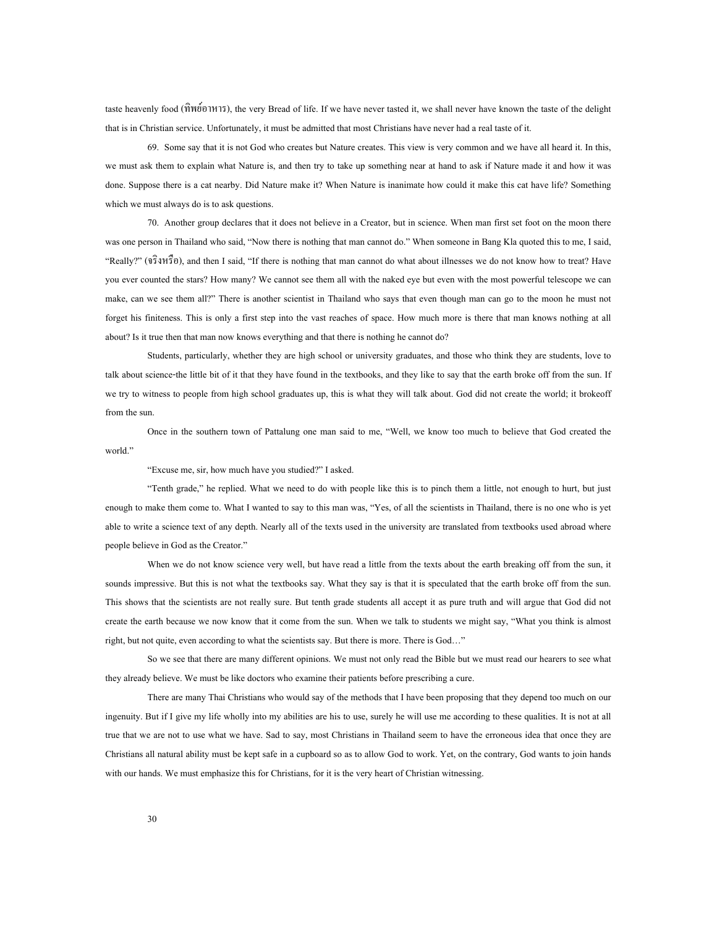taste heavenly food (ทิพย์อาหาร), the very Bread of life. If we have never tasted it, we shall never have known the taste of the delight that is in Christian service. Unfortunately, it must be admitted that most Christians have never had a real taste of it.

69. Some say that it is not God who creates but Nature creates. This view is very common and we have all heard it. In this, we must ask them to explain what Nature is, and then try to take up something near at hand to ask if Nature made it and how it was done. Suppose there is a cat nearby. Did Nature make it? When Nature is inanimate how could it make this cat have life? Something which we must always do is to ask questions.

70. Another group declares that it does not believe in a Creator, but in science. When man first set foot on the moon there was one person in Thailand who said, "Now there is nothing that man cannot do." When someone in Bang Kla quoted this to me, I said, "Really?" (จริงหรือ), and then I said, "If there is nothing that man cannot do what about illnesses we do not know how to treat? Have you ever counted the stars? How many? We cannot see them all with the naked eye but even with the most powerful telescope we can make, can we see them all?" There is another scientist in Thailand who says that even though man can go to the moon he must not forget his finiteness. This is only a first step into the vast reaches of space. How much more is there that man knows nothing at all about? Is it true then that man now knows everything and that there is nothing he cannot do?

Students, particularly, whether they are high school or university graduates, and those who think they are students, love to talk about science-the little bit of it that they have found in the textbooks, and they like to say that the earth broke off from the sun. If we try to witness to people from high school graduates up, this is what they will talk about. God did not create the world; it brokeoff from the sun.

Once in the southern town of Pattalung one man said to me, "Well, we know too much to believe that God created the world."

"Excuse me, sir, how much have you studied?" I asked.

"Tenth grade," he replied. What we need to do with people like this is to pinch them a little, not enough to hurt, but just enough to make them come to. What I wanted to say to this man was, "Yes, of all the scientists in Thailand, there is no one who is yet able to write a science text of any depth. Nearly all of the texts used in the university are translated from textbooks used abroad where people believe in God as the Creator."

When we do not know science very well, but have read a little from the texts about the earth breaking off from the sun, it sounds impressive. But this is not what the textbooks say. What they say is that it is speculated that the earth broke off from the sun. This shows that the scientists are not really sure. But tenth grade students all accept it as pure truth and will argue that God did not create the earth because we now know that it come from the sun. When we talk to students we might say, "What you think is almost right, but not quite, even according to what the scientists say. But there is more. There is God…"

So we see that there are many different opinions. We must not only read the Bible but we must read our hearers to see what they already believe. We must be like doctors who examine their patients before prescribing a cure.

There are many Thai Christians who would say of the methods that I have been proposing that they depend too much on our ingenuity. But if I give my life wholly into my abilities are his to use, surely he will use me according to these qualities. It is not at all true that we are not to use what we have. Sad to say, most Christians in Thailand seem to have the erroneous idea that once they are Christians all natural ability must be kept safe in a cupboard so as to allow God to work. Yet, on the contrary, God wants to join hands with our hands. We must emphasize this for Christians, for it is the very heart of Christian witnessing.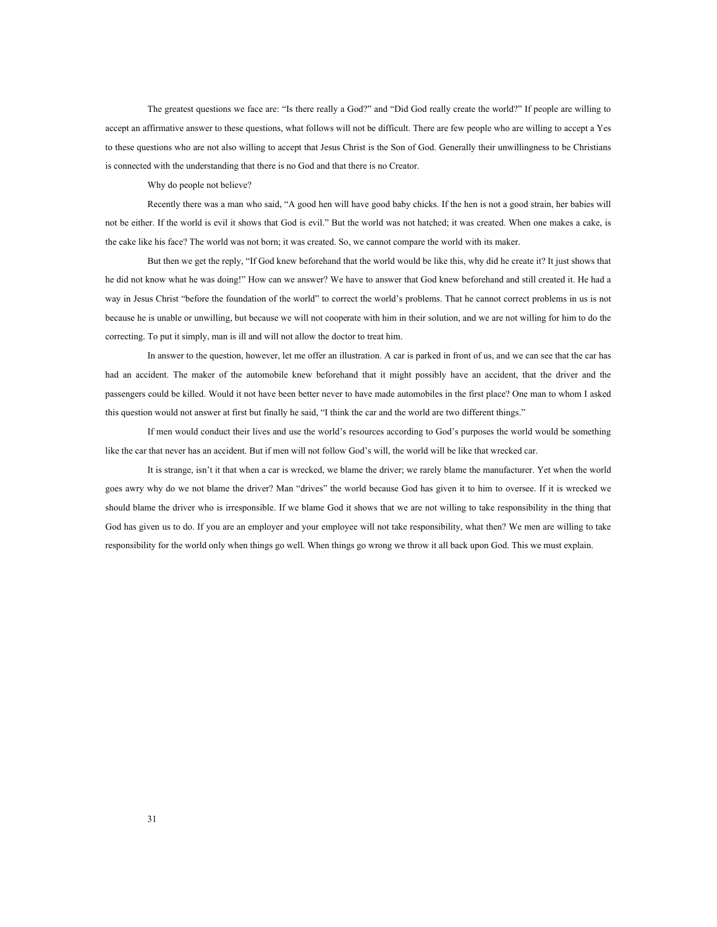The greatest questions we face are: "Is there really a God?" and "Did God really create the world?" If people are willing to accept an affirmative answer to these questions, what follows will not be difficult. There are few people who are willing to accept a Yes to these questions who are not also willing to accept that Jesus Christ is the Son of God. Generally their unwillingness to be Christians is connected with the understanding that there is no God and that there is no Creator.

Why do people not believe?

Recently there was a man who said, "A good hen will have good baby chicks. If the hen is not a good strain, her babies will not be either. If the world is evil it shows that God is evil." But the world was not hatched; it was created. When one makes a cake, is the cake like his face? The world was not born; it was created. So, we cannot compare the world with its maker.

But then we get the reply, "If God knew beforehand that the world would be like this, why did he create it? It just shows that he did not know what he was doing!" How can we answer? We have to answer that God knew beforehand and still created it. He had a way in Jesus Christ "before the foundation of the world" to correct the world's problems. That he cannot correct problems in us is not because he is unable or unwilling, but because we will not cooperate with him in their solution, and we are not willing for him to do the correcting. To put it simply, man is ill and will not allow the doctor to treat him.

In answer to the question, however, let me offer an illustration. A car is parked in front of us, and we can see that the car has had an accident. The maker of the automobile knew beforehand that it might possibly have an accident, that the driver and the passengers could be killed. Would it not have been better never to have made automobiles in the first place? One man to whom I asked this question would not answer at first but finally he said, "I think the car and the world are two different things."

If men would conduct their lives and use the world's resources according to God's purposes the world would be something like the car that never has an accident. But if men will not follow God's will, the world will be like that wrecked car.

It is strange, isn't it that when a car is wrecked, we blame the driver; we rarely blame the manufacturer. Yet when the world goes awry why do we not blame the driver? Man "drives" the world because God has given it to him to oversee. If it is wrecked we should blame the driver who is irresponsible. If we blame God it shows that we are not willing to take responsibility in the thing that God has given us to do. If you are an employer and your employee will not take responsibility, what then? We men are willing to take responsibility for the world only when things go well. When things go wrong we throw it all back upon God. This we must explain.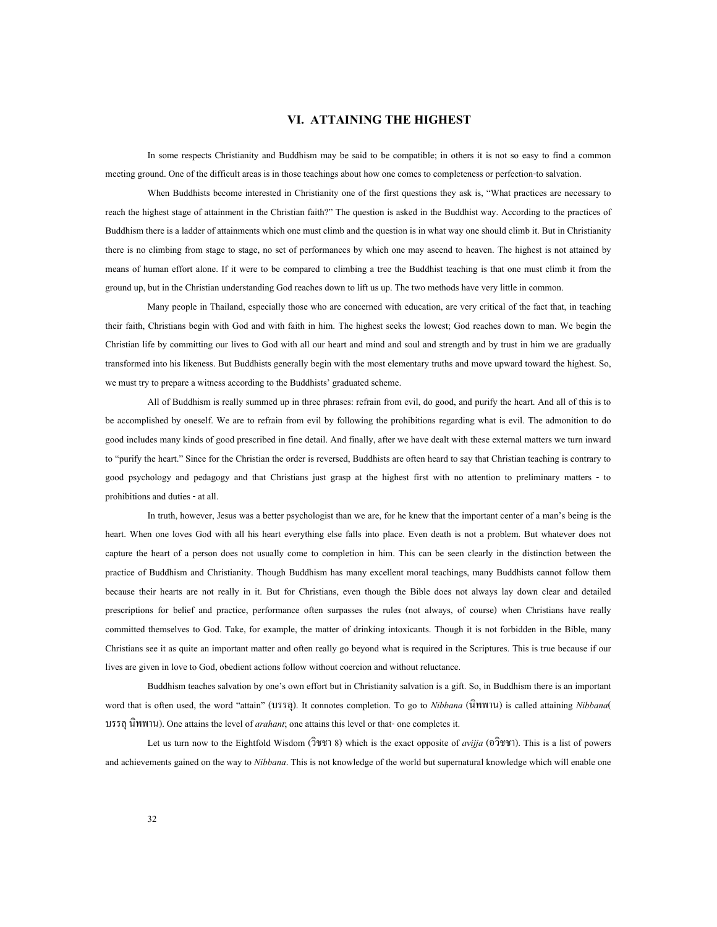## **VI. ATTAINING THE HIGHEST**

In some respects Christianity and Buddhism may be said to be compatible; in others it is not so easy to find a common meeting ground. One of the difficult areas is in those teachings about how one comes to completeness or perfection-to salvation.

When Buddhists become interested in Christianity one of the first questions they ask is, "What practices are necessary to reach the highest stage of attainment in the Christian faith?" The question is asked in the Buddhist way. According to the practices of Buddhism there is a ladder of attainments which one must climb and the question is in what way one should climb it. But in Christianity there is no climbing from stage to stage, no set of performances by which one may ascend to heaven. The highest is not attained by means of human effort alone. If it were to be compared to climbing a tree the Buddhist teaching is that one must climb it from the ground up, but in the Christian understanding God reaches down to lift us up. The two methods have very little in common.

Many people in Thailand, especially those who are concerned with education, are very critical of the fact that, in teaching their faith, Christians begin with God and with faith in him. The highest seeks the lowest; God reaches down to man. We begin the Christian life by committing our lives to God with all our heart and mind and soul and strength and by trust in him we are gradually transformed into his likeness. But Buddhists generally begin with the most elementary truths and move upward toward the highest. So, we must try to prepare a witness according to the Buddhists' graduated scheme.

All of Buddhism is really summed up in three phrases: refrain from evil, do good, and purify the heart. And all of this is to be accomplished by oneself. We are to refrain from evil by following the prohibitions regarding what is evil. The admonition to do good includes many kinds of good prescribed in fine detail. And finally, after we have dealt with these external matters we turn inward to "purify the heart." Since for the Christian the order is reversed, Buddhists are often heard to say that Christian teaching is contrary to good psychology and pedagogy and that Christians just grasp at the highest first with no attention to preliminary matters - to prohibitions and duties - at all.

In truth, however, Jesus was a better psychologist than we are, for he knew that the important center of a man's being is the heart. When one loves God with all his heart everything else falls into place. Even death is not a problem. But whatever does not capture the heart of a person does not usually come to completion in him. This can be seen clearly in the distinction between the practice of Buddhism and Christianity. Though Buddhism has many excellent moral teachings, many Buddhists cannot follow them because their hearts are not really in it. But for Christians, even though the Bible does not always lay down clear and detailed prescriptions for belief and practice, performance often surpasses the rules (not always, of course) when Christians have really committed themselves to God. Take, for example, the matter of drinking intoxicants. Though it is not forbidden in the Bible, many Christians see it as quite an important matter and often really go beyond what is required in the Scriptures. This is true because if our lives are given in love to God, obedient actions follow without coercion and without reluctance.

Buddhism teaches salvation by one's own effort but in Christianity salvation is a gift. So, in Buddhism there is an important word that is often used, the word "attain" (บรรลุ). It connotes completion. To go to *Nibbana* (นิพพาน) is called attaining *Nibbana*( บรรลุนิพพาน). One attains the level of *arahant*; one attains this level or that- one completes it.

Let us turn now to the Eightfold Wisdom ( $\frac{\partial \mathcal{V}(\mathcal{V})}{\partial \mathcal{V}}$ ) which is the exact opposite of *avijja* ( $\frac{\partial \mathcal{V}(\mathcal{V})}{\partial \mathcal{V}}$ ). This is a list of powers and achievements gained on the way to *Nibbana*. This is not knowledge of the world but supernatural knowledge which will enable one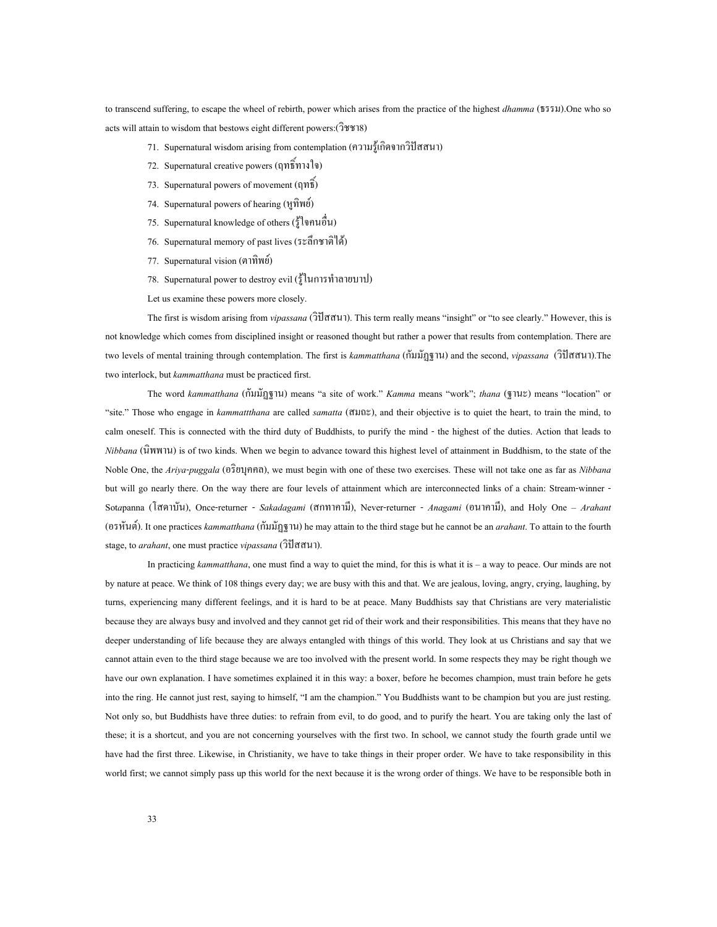to transcend suffering, to escape the wheel of rebirth, power which arises from the practice of the highest *dhamma* (ธรรม).One who so acts will attain to wisdom that bestows eight different powers:(วิชชา8)

- 71. Supernatural wisdom arising from contemplation (ความรู้เกิดจากวิปัสสนา)
- 72. Supernatural creative powers (ฤทธิ์ทางใจ)
- 73. Supernatural powers of movement  $(ηη<sup>§</sup>)$
- 74. Supernatural powers of hearing (หูทิพย)
- 75. Supernatural knowledge of others (รูใจคนอื่น)
- 76. Supernatural memory of past lives (ระลึกชาติได)
- 77. Supernatural vision (ตาทิพย)
- 78. Supernatural power to destroy evil (รูในการทําลายบาป)
- Let us examine these powers more closely.

The first is wisdom arising from *vipassana* (วิปสสนา). This term really means "insight" or "to see clearly." However, this is not knowledge which comes from disciplined insight or reasoned thought but rather a power that results from contemplation. There are two levels of mental training through contemplation. The first is *kammatthana* (กัมมัฏฐาน) and the second, *vipassana* (วิปสสนา).The two interlock, but *kammatthana* must be practiced first.

The word *kammatthana* (กัมมัฏฐาน) means "a site of work." *Kamma* means "work"; *thana* (ฐานะ) means "location" or "site." Those who engage in *kammattthana* are called *samatta* (สมถะ), and their objective is to quiet the heart, to train the mind, to calm oneself. This is connected with the third duty of Buddhists, to purify the mind - the highest of the duties. Action that leads to *Nibbana* (นิพพาน) is of two kinds. When we begin to advance toward this highest level of attainment in Buddhism, to the state of the Noble One, the *Ariya*-*puggala* (อริยบุคคล), we must begin with one of these two exercises. These will not take one as far as *Nibbana* but will go nearly there. On the way there are four levels of attainment which are interconnected links of a chain: Stream-winner - Sot*a*panna (โสดาบัน), Once-returner - *Sakadagami* (สกทาคามี), Never-returner - *Anagami* (อนาคามี), and Holy One – *Arahant* (อรหันต). It one practices *kammatthana* (กัมมัฏฐาน) he may attain to the third stage but he cannot be an *arahant*. To attain to the fourth stage, to *arahant*, one must practice *vipassana* (วิปสสนา).

In practicing *kammatthana*, one must find a way to quiet the mind, for this is what it is – a way to peace. Our minds are not by nature at peace. We think of 108 things every day; we are busy with this and that. We are jealous, loving, angry, crying, laughing, by turns, experiencing many different feelings, and it is hard to be at peace. Many Buddhists say that Christians are very materialistic because they are always busy and involved and they cannot get rid of their work and their responsibilities. This means that they have no deeper understanding of life because they are always entangled with things of this world. They look at us Christians and say that we cannot attain even to the third stage because we are too involved with the present world. In some respects they may be right though we have our own explanation. I have sometimes explained it in this way: a boxer, before he becomes champion, must train before he gets into the ring. He cannot just rest, saying to himself, "I am the champion." You Buddhists want to be champion but you are just resting. Not only so, but Buddhists have three duties: to refrain from evil, to do good, and to purify the heart. You are taking only the last of these; it is a shortcut, and you are not concerning yourselves with the first two. In school, we cannot study the fourth grade until we have had the first three. Likewise, in Christianity, we have to take things in their proper order. We have to take responsibility in this world first; we cannot simply pass up this world for the next because it is the wrong order of things. We have to be responsible both in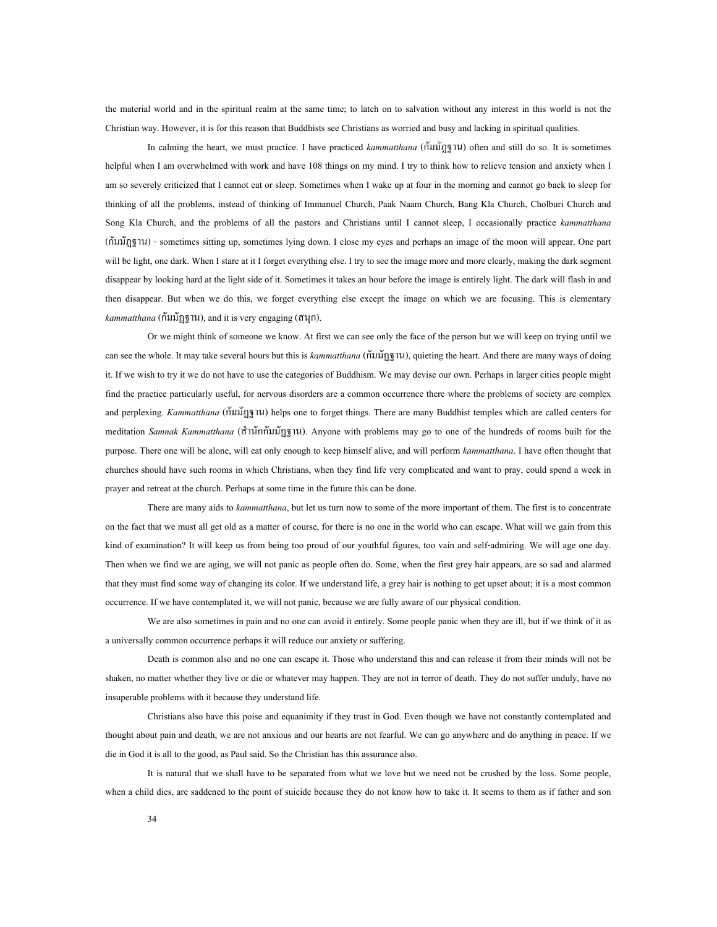the material world and in the spiritual realm at the same time; to latch on to salvation without any interest in this world is not the Christian way. However, it is for this reason that Buddhists see Christians as worried and busy and lacking in spiritual qualities.

In calming the heart, we must practice. I have practiced *kammatthana* (กัมมัฏฐาน) often and still do so. It is sometimes helpful when I am overwhelmed with work and have 108 things on my mind. I try to think how to relieve tension and anxiety when I am so severely criticized that I cannot eat or sleep. Sometimes when I wake up at four in the morning and cannot go back to sleep for thinking of all the problems, instead of thinking of Immanuel Church, Paak Naam Church, Bang Kla Church, Cholburi Church and Song Kla Church, and the problems of all the pastors and Christians until I cannot sleep, I occasionally practice *kammatthana* (กัมมัฏฐาน) - sometimes sitting up, sometimes lying down. I close my eyes and perhaps an image of the moon will appear. One part will be light, one dark. When I stare at it I forget everything else. I try to see the image more and more clearly, making the dark segment disappear by looking hard at the light side of it. Sometimes it takes an hour before the image is entirely light. The dark will flash in and then disappear. But when we do this, we forget everything else except the image on which we are focusing. This is elementary *kammatthana* (กัมมัฏฐาน), and it is very engaging (สนุก).

Or we might think of someone we know. At first we can see only the face of the person but we will keep on trying until we can see the whole. It may take several hours but this is *kammatthana* (กัมมัฏฐาน), quieting the heart. And there are many ways of doing it. If we wish to try it we do not have to use the categories of Buddhism. We may devise our own. Perhaps in larger cities people might find the practice particularly useful, for nervous disorders are a common occurrence there where the problems of society are complex and perplexing. *Kammatthana* (กัมมัฏฐาน) helps one to forget things. There are many Buddhist temples which are called centers for meditation *Samnak Kammatthana* (สํานักกัมมัฏฐาน). Anyone with problems may go to one of the hundreds of rooms built for the purpose. There one will be alone, will eat only enough to keep himself alive, and will perform *kammatthana*. I have often thought that churches should have such rooms in which Christians, when they find life very complicated and want to pray, could spend a week in prayer and retreat at the church. Perhaps at some time in the future this can be done.

There are many aids to *kammatthana*, but let us turn now to some of the more important of them. The first is to concentrate on the fact that we must all get old as a matter of course, for there is no one in the world who can escape. What will we gain from this kind of examination? It will keep us from being too proud of our youthful figures, too vain and self-admiring. We will age one day. Then when we find we are aging, we will not panic as people often do. Some, when the first grey hair appears, are so sad and alarmed that they must find some way of changing its color. If we understand life, a grey hair is nothing to get upset about; it is a most common occurrence. If we have contemplated it, we will not panic, because we are fully aware of our physical condition.

We are also sometimes in pain and no one can avoid it entirely. Some people panic when they are ill, but if we think of it as a universally common occurrence perhaps it will reduce our anxiety or suffering.

Death is common also and no one can escape it. Those who understand this and can release it from their minds will not be shaken, no matter whether they live or die or whatever may happen. They are not in terror of death. They do not suffer unduly, have no insuperable problems with it because they understand life.

Christians also have this poise and equanimity if they trust in God. Even though we have not constantly contemplated and thought about pain and death, we are not anxious and our hearts are not fearful. We can go anywhere and do anything in peace. If we die in God it is all to the good, as Paul said. So the Christian has this assurance also.

It is natural that we shall have to be separated from what we love but we need not be crushed by the loss. Some people, when a child dies, are saddened to the point of suicide because they do not know how to take it. It seems to them as if father and son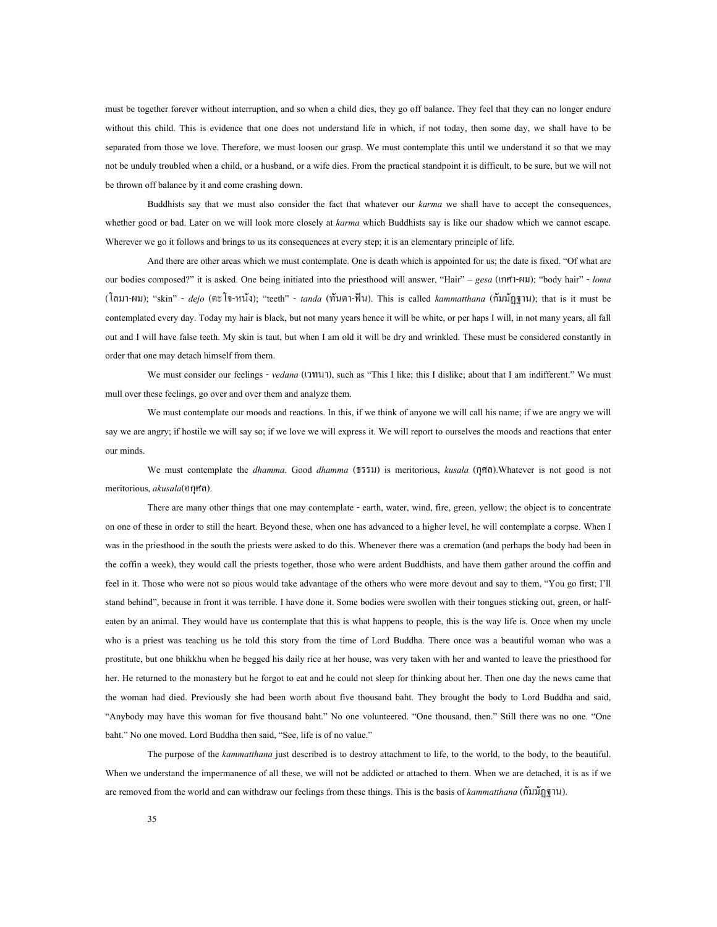must be together forever without interruption, and so when a child dies, they go off balance. They feel that they can no longer endure without this child. This is evidence that one does not understand life in which, if not today, then some day, we shall have to be separated from those we love. Therefore, we must loosen our grasp. We must contemplate this until we understand it so that we may not be unduly troubled when a child, or a husband, or a wife dies. From the practical standpoint it is difficult, to be sure, but we will not be thrown off balance by it and come crashing down.

Buddhists say that we must also consider the fact that whatever our *karma* we shall have to accept the consequences, whether good or bad. Later on we will look more closely at *karma* which Buddhists say is like our shadow which we cannot escape. Wherever we go it follows and brings to us its consequences at every step; it is an elementary principle of life.

And there are other areas which we must contemplate. One is death which is appointed for us; the date is fixed. "Of what are our bodies composed?" it is asked. One being initiated into the priesthood will answer, "Hair" – *gesa* (เกศา-ผม); "body hair" - *loma* (โลมา-ผม); "skin" - *dejo* (ตะโจ-หนัง); "teeth" - *tanda* (ทันตา-ฟน). This is called *kammatthana* (กัมมัฏฐาน); that is it must be contemplated every day. Today my hair is black, but not many years hence it will be white, or per haps I will, in not many years, all fall out and I will have false teeth. My skin is taut, but when I am old it will be dry and wrinkled. These must be considered constantly in order that one may detach himself from them.

We must consider our feelings - *vedana* (เวทนา), such as "This I like; this I dislike; about that I am indifferent." We must mull over these feelings, go over and over them and analyze them.

We must contemplate our moods and reactions. In this, if we think of anyone we will call his name; if we are angry we will say we are angry; if hostile we will say so; if we love we will express it. We will report to ourselves the moods and reactions that enter our minds.

We must contemplate the *dhamma*. Good *dhamma* (ธรรม) is meritorious, *kusala* (กุศล).Whatever is not good is not meritorious, *akusala*(อกุศล).

There are many other things that one may contemplate - earth, water, wind, fire, green, yellow; the object is to concentrate on one of these in order to still the heart. Beyond these, when one has advanced to a higher level, he will contemplate a corpse. When I was in the priesthood in the south the priests were asked to do this. Whenever there was a cremation (and perhaps the body had been in the coffin a week), they would call the priests together, those who were ardent Buddhists, and have them gather around the coffin and feel in it. Those who were not so pious would take advantage of the others who were more devout and say to them, "You go first; I'll stand behind", because in front it was terrible. I have done it. Some bodies were swollen with their tongues sticking out, green, or halfeaten by an animal. They would have us contemplate that this is what happens to people, this is the way life is. Once when my uncle who is a priest was teaching us he told this story from the time of Lord Buddha. There once was a beautiful woman who was a prostitute, but one bhikkhu when he begged his daily rice at her house, was very taken with her and wanted to leave the priesthood for her. He returned to the monastery but he forgot to eat and he could not sleep for thinking about her. Then one day the news came that the woman had died. Previously she had been worth about five thousand baht. They brought the body to Lord Buddha and said, "Anybody may have this woman for five thousand baht." No one volunteered. "One thousand, then." Still there was no one. "One baht." No one moved. Lord Buddha then said, "See, life is of no value."

The purpose of the *kammatthana* just described is to destroy attachment to life, to the world, to the body, to the beautiful. When we understand the impermanence of all these, we will not be addicted or attached to them. When we are detached, it is as if we are removed from the world and can withdraw our feelings from these things. This is the basis of *kammatthana* (กัมมัฏฐาน).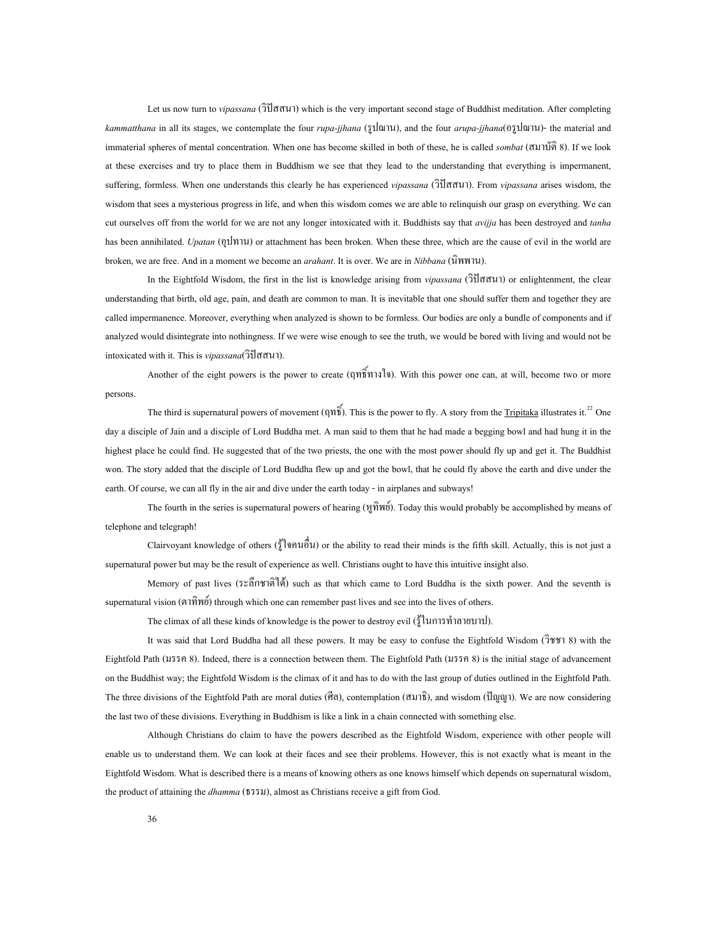Let us now turn to *vipassana* (วิปสสนา) which is the very important second stage of Buddhist meditation. After completing *kammatthana* in all its stages, we contemplate the four *rupa-jjhana* (รูปฌาน), and the four *arupa-jjhana*(อรูปฌาน)- the material and immaterial spheres of mental concentration. When one has become skilled in both of these, he is called *sombat* (สมาบัติ 8). If we look at these exercises and try to place them in Buddhism we see that they lead to the understanding that everything is impermanent, suffering, formless. When one understands this clearly he has experienced *vipassana* (วิปสสนา). From *vipassana* arises wisdom, the wisdom that sees a mysterious progress in life, and when this wisdom comes we are able to relinquish our grasp on everything. We can cut ourselves off from the world for we are not any longer intoxicated with it. Buddhists say that *avijja* has been destroyed and *tanha* has been annihilated. *Upatan* (อุปทาน) or attachment has been broken. When these three, which are the cause of evil in the world are broken, we are free. And in a moment we become an *arahant*. It is over. We are in *Nibbana* (นิพพาน).

In the Eightfold Wisdom, the first in the list is knowledge arising from *vipassana* (วิปสสนา) or enlightenment, the clear understanding that birth, old age, pain, and death are common to man. It is inevitable that one should suffer them and together they are called impermanence. Moreover, everything when analyzed is shown to be formless. Our bodies are only a bundle of components and if analyzed would disintegrate into nothingness. If we were wise enough to see the truth, we would be bored with living and would not be intoxicated with it. This is *vipassana*(วิปสสนา).

Another of the eight powers is the power to create (ฤทธิ์ทางใจ). With this power one can, at will, become two or more persons.<br> [22](#page-75-0) The third is supernatural powers of movement (ฤทธิ์). This is the power to fly. A story from the Tripitaka illustrates it.<sup>22</sup> One

day a disciple of Jain and a disciple of Lord Buddha met. A man said to them that he had made a begging bowl and had hung it in the highest place he could find. He suggested that of the two priests, the one with the most power should fly up and get it. The Buddhist won. The story added that the disciple of Lord Buddha flew up and got the bowl, that he could fly above the earth and dive under the earth. Of course, we can all fly in the air and dive under the earth today - in airplanes and subways!

The fourth in the series is supernatural powers of hearing  $(\hat{M} \hat{M} \hat{W} \hat{U})$ . Today this would probably be accomplished by means of telephone and telegraph!

Clairvoyant knowledge of others (รูใจคนอื่น) or the ability to read their minds is the fifth skill. Actually, this is not just a supernatural power but may be the result of experience as well. Christians ought to have this intuitive insight also.

Memory of past lives (ระลึกชาติได) such as that which came to Lord Buddha is the sixth power. And the seventh is supernatural vision (ตาทิพย) through which one can remember past lives and see into the lives of others.

The climax of all these kinds of knowledge is the power to destroy evil (ร้ในการทำลายบาป).

It was said that Lord Buddha had all these powers. It may be easy to confuse the Eightfold Wisdom (วิชชา 8) with the Eightfold Path (มรรค 8). Indeed, there is a connection between them. The Eightfold Path (มรรค 8) is the initial stage of advancement on the Buddhist way; the Eightfold Wisdom is the climax of it and has to do with the last group of duties outlined in the Eightfold Path. The three divisions of the Eightfold Path are moral duties (ศีล), contemplation (สมาธิ), and wisdom (ปญญา). We are now considering the last two of these divisions. Everything in Buddhism is like a link in a chain connected with something else.

Although Christians do claim to have the powers described as the Eightfold Wisdom, experience with other people will enable us to understand them. We can look at their faces and see their problems. However, this is not exactly what is meant in the Eightfold Wisdom. What is described there is a means of knowing others as one knows himself which depends on supernatural wisdom, the product of attaining the *dhamma* (ธรรม), almost as Christians receive a gift from God.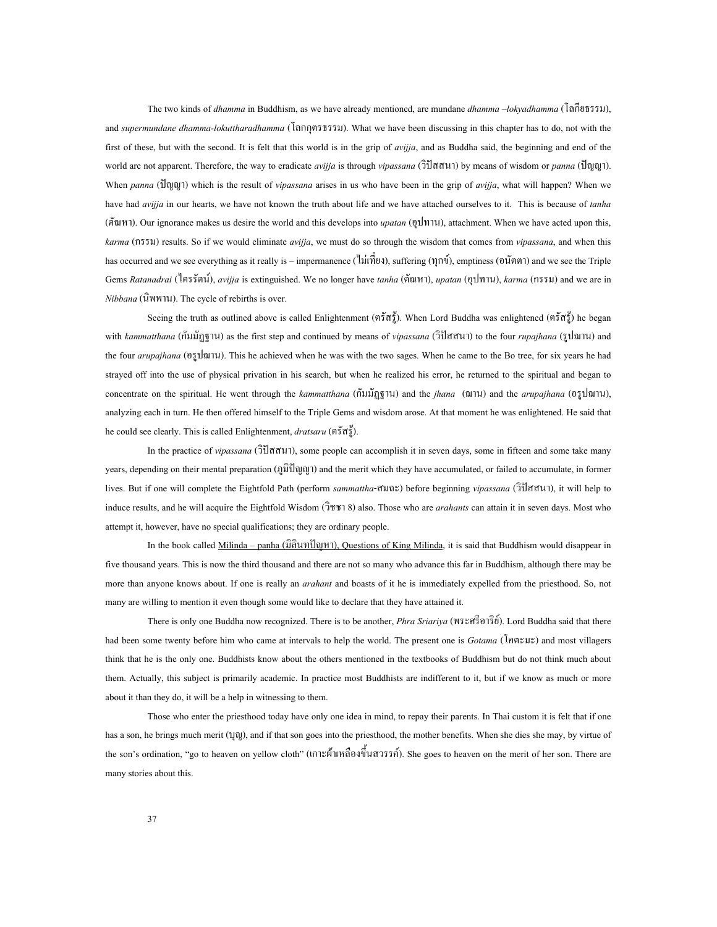The two kinds of *dhamma* in Buddhism, as we have already mentioned, are mundane *dhamma –lokyadhamma* (โลกียธรรม), and *supermundane dhamma-lokuttharadhamma* (โลกกุตรธรรม). What we have been discussing in this chapter has to do, not with the first of these, but with the second. It is felt that this world is in the grip of *avijja*, and as Buddha said, the beginning and end of the world are not apparent. Therefore, the way to eradicate *avijja* is through *vipassana* (วิปสสนา) by means of wisdom or *panna* (ปญญา). When *panna* (ปญญา) which is the result of *vipassana* arises in us who have been in the grip of *avijja*, what will happen? When we have had *avijja* in our hearts, we have not known the truth about life and we have attached ourselves to it. This is because of *tanha* (ตัณหา). Our ignorance makes us desire the world and this develops into *upatan* (อุปทาน), attachment. When we have acted upon this, *karma* (กรรม) results. So if we would eliminate *avijja*, we must do so through the wisdom that comes from *vipassana*, and when this has occurred and we see everything as it really is – impermanence (ไมเท ยง), suffering (ทุกข), emptiness (อนัตตา) and we see the Triple ี่ Gems *Ratanadrai* (ไตรรัตน), *avijja* is extinguished. We no longer have *tanha* (ตัณหา), *upatan* (อุปทาน), *karma* (กรรม) and we are in *Nibbana* (นิพพาน). The cycle of rebirths is over.

Seeing the truth as outlined above is called Enlightenment (ตรัสรู้). When Lord Buddha was enlightened (ตรัสรู้) he began with *kammatthana* (กัมมัฏฐาน) as the first step and continued by means of *vipassana* (วิปสสนา) to the four *rupajhana* (รูปฌาน) and the four *arupajhana* (อรูปฌาน). This he achieved when he was with the two sages. When he came to the Bo tree, for six years he had strayed off into the use of physical privation in his search, but when he realized his error, he returned to the spiritual and began to concentrate on the spiritual. He went through the *kammatthana* (กัมมัฏฐาน) and the *jhana* (ฌาน) and the *arupajhana* (อรูปฌาน), analyzing each in turn. He then offered himself to the Triple Gems and wisdom arose. At that moment he was enlightened. He said that he could see clearly. This is called Enlightenment, *dratsaru* (ตรัสรู).

In the practice of *vipassana* (วิปสสนา), some people can accomplish it in seven days, some in fifteen and some take many years, depending on their mental preparation (ภูมิปญญา) and the merit which they have accumulated, or failed to accumulate, in former lives. But if one will complete the Eightfold Path (perform *sammattha*-สมถะ) before beginning *vipassana* (วิปสสนา), it will help to induce results, and he will acquire the Eightfold Wisdom (วิชชา 8) also. Those who are *arahants* can attain it in seven days. Most who attempt it, however, have no special qualifications; they are ordinary people.

In the book called Milinda – panha (มิลินทปญหา), Questions of King Milinda, it is said that Buddhism would disappear in five thousand years. This is now the third thousand and there are not so many who advance this far in Buddhism, although there may be more than anyone knows about. If one is really an *arahant* and boasts of it he is immediately expelled from the priesthood. So, not many are willing to mention it even though some would like to declare that they have attained it.

There is only one Buddha now recognized. There is to be another, *Phra Sriariya* (พระศรีอาริย). Lord Buddha said that there had been some twenty before him who came at intervals to help the world. The present one is *Gotama* (โคตะมะ) and most villagers think that he is the only one. Buddhists know about the others mentioned in the textbooks of Buddhism but do not think much about them. Actually, this subject is primarily academic. In practice most Buddhists are indifferent to it, but if we know as much or more about it than they do, it will be a help in witnessing to them.

Those who enter the priesthood today have only one idea in mind, to repay their parents. In Thai custom it is felt that if one has a son, he brings much merit (110), and if that son goes into the priesthood, the mother benefits. When she dies she may, by virtue of the son's ordination, "go to heaven on yellow cloth" (เกาะผ้าเหลืองขึ้นสวรรค์). She goes to heaven on the merit of her son. There are ึ้ many stories about this.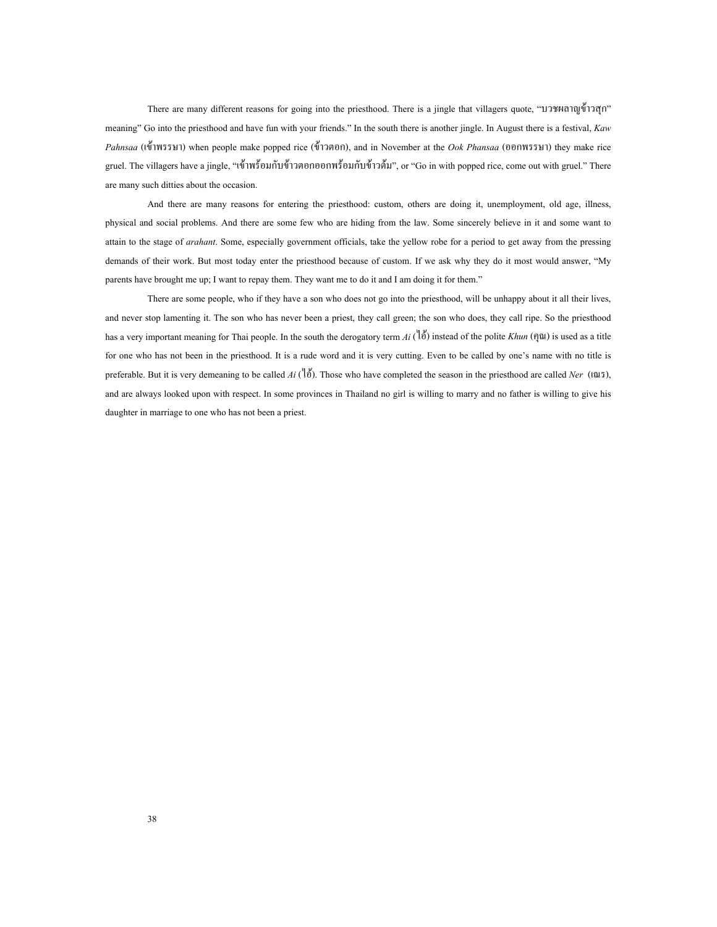There are many different reasons for going into the priesthood. There is a jingle that villagers quote, "บวชผลาญขาวสุก" meaning" Go into the priesthood and have fun with your friends." In the south there is another jingle. In August there is a festival, *Kaw Pahnsaa* (เขาพรรษา) when people make popped rice (ขาวตอก), and in November at the *Ook Phansaa* (ออกพรรษา) they make rice gruel. The villagers have a jingle, "เข้าพร้อมกับข้าวตอกออกพร้อมกับข้าวต้ม", or "Go in with popped rice, come out with gruel." There are many such ditties about the occasion.

And there are many reasons for entering the priesthood: custom, others are doing it, unemployment, old age, illness, physical and social problems. And there are some few who are hiding from the law. Some sincerely believe in it and some want to attain to the stage of *arahant*. Some, especially government officials, take the yellow robe for a period to get away from the pressing demands of their work. But most today enter the priesthood because of custom. If we ask why they do it most would answer, "My parents have brought me up; I want to repay them. They want me to do it and I am doing it for them."

There are some people, who if they have a son who does not go into the priesthood, will be unhappy about it all their lives, and never stop lamenting it. The son who has never been a priest, they call green; the son who does, they call ripe. So the priesthood has a very important meaning for Thai people. In the south the derogatory term *Ai* (ไอ) instead of the polite *Khun* (คุณ) is used as a title for one who has not been in the priesthood. It is a rude word and it is very cutting. Even to be called by one's name with no title is preferable. But it is very demeaning to be called  $Ai(\overrightarrow{a})$ . Those who have completed the season in the priesthood are called *Ner* (turn), and are always looked upon with respect. In some provinces in Thailand no girl is willing to marry and no father is willing to give his daughter in marriage to one who has not been a priest.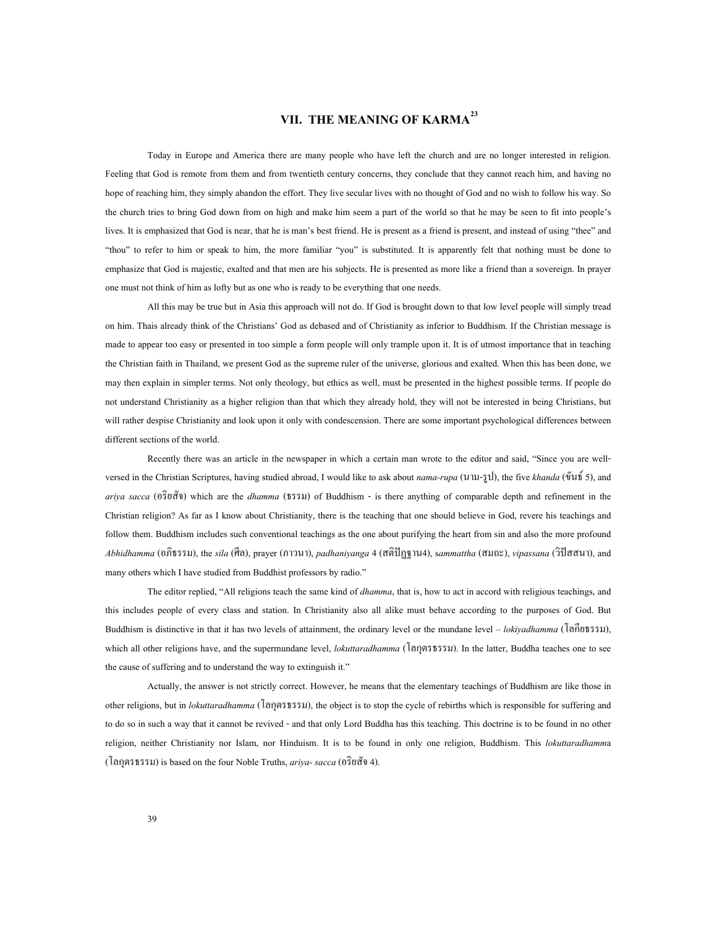# **VII. THE MEANING OF KARMA[23](#page-75-1)**

Today in Europe and America there are many people who have left the church and are no longer interested in religion. Feeling that God is remote from them and from twentieth century concerns, they conclude that they cannot reach him, and having no hope of reaching him, they simply abandon the effort. They live secular lives with no thought of God and no wish to follow his way. So the church tries to bring God down from on high and make him seem a part of the world so that he may be seen to fit into people's lives. It is emphasized that God is near, that he is man's best friend. He is present as a friend is present, and instead of using "thee" and "thou" to refer to him or speak to him, the more familiar "you" is substituted. It is apparently felt that nothing must be done to emphasize that God is majestic, exalted and that men are his subjects. He is presented as more like a friend than a sovereign. In prayer one must not think of him as lofty but as one who is ready to be everything that one needs.

All this may be true but in Asia this approach will not do. If God is brought down to that low level people will simply tread on him. Thais already think of the Christians' God as debased and of Christianity as inferior to Buddhism. If the Christian message is made to appear too easy or presented in too simple a form people will only trample upon it. It is of utmost importance that in teaching the Christian faith in Thailand, we present God as the supreme ruler of the universe, glorious and exalted. When this has been done, we may then explain in simpler terms. Not only theology, but ethics as well, must be presented in the highest possible terms. If people do not understand Christianity as a higher religion than that which they already hold, they will not be interested in being Christians, but will rather despise Christianity and look upon it only with condescension. There are some important psychological differences between different sections of the world.

Recently there was an article in the newspaper in which a certain man wrote to the editor and said, "Since you are wellversed in the Christian Scriptures, having studied abroad, I would like to ask about *nama-rupa* (นาม-รูป), the five *khanda* (ขันธ 5), and *ariya sacca* (อริยสัจ) which are the *dhamma* (ธรรม) of Buddhism - is there anything of comparable depth and refinement in the Christian religion? As far as I know about Christianity, there is the teaching that one should believe in God, revere his teachings and follow them. Buddhism includes such conventional teachings as the one about purifying the heart from sin and also the more profound *Abhidhamma* (อภิธรรม), the *sila* (ศีล), prayer (ภาวนา), *padhaniyanga* 4 (สติปัฏฐาน4), s*ammattha* (สมถะ), *vipassana* (วิปัสสนา), and many others which I have studied from Buddhist professors by radio."

The editor replied, "All religions teach the same kind of *dhamma*, that is, how to act in accord with religious teachings, and this includes people of every class and station. In Christianity also all alike must behave according to the purposes of God. But Buddhism is distinctive in that it has two levels of attainment, the ordinary level or the mundane level – *lokiyadhamma* (โลกียธรรม), which all other religions have, and the supermundane level, *lokuttaradhamma* (โลกุตรธรรม). In the latter, Buddha teaches one to see the cause of suffering and to understand the way to extinguish it."

Actually, the answer is not strictly correct. However, he means that the elementary teachings of Buddhism are like those in other religions, but in *lokuttaradhamma* (โลกุตรธรรม), the object is to stop the cycle of rebirths which is responsible for suffering and to do so in such a way that it cannot be revived - and that only Lord Buddha has this teaching. This doctrine is to be found in no other religion, neither Christianity nor Islam, nor Hinduism. It is to be found in only one religion, Buddhism. This *lokuttaradhamm*a (โลกุตรธรรม) is based on the four Noble Truths, *ariya- sacca* (อริยสัจ 4).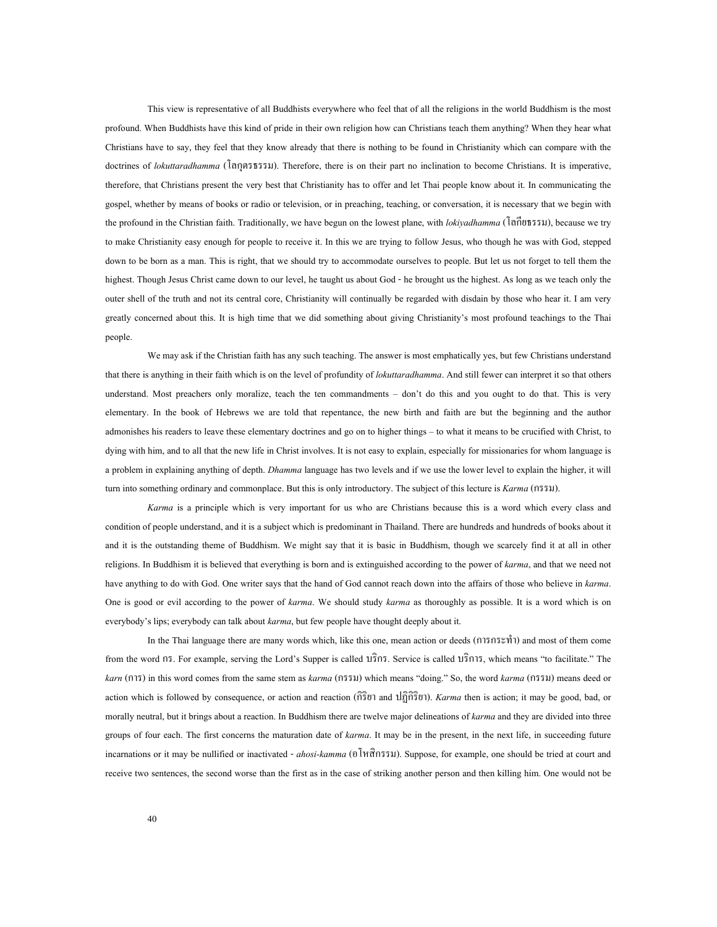This view is representative of all Buddhists everywhere who feel that of all the religions in the world Buddhism is the most profound. When Buddhists have this kind of pride in their own religion how can Christians teach them anything? When they hear what Christians have to say, they feel that they know already that there is nothing to be found in Christianity which can compare with the doctrines of *lokuttaradhamma* (โลกุตรธรรม). Therefore, there is on their part no inclination to become Christians. It is imperative, therefore, that Christians present the very best that Christianity has to offer and let Thai people know about it. In communicating the gospel, whether by means of books or radio or television, or in preaching, teaching, or conversation, it is necessary that we begin with the profound in the Christian faith. Traditionally, we have begun on the lowest plane, with *lokiyadhamma* (โลกียธรรม), because we try to make Christianity easy enough for people to receive it. In this we are trying to follow Jesus, who though he was with God, stepped down to be born as a man. This is right, that we should try to accommodate ourselves to people. But let us not forget to tell them the highest. Though Jesus Christ came down to our level, he taught us about God - he brought us the highest. As long as we teach only the outer shell of the truth and not its central core, Christianity will continually be regarded with disdain by those who hear it. I am very greatly concerned about this. It is high time that we did something about giving Christianity's most profound teachings to the Thai people.

We may ask if the Christian faith has any such teaching. The answer is most emphatically yes, but few Christians understand that there is anything in their faith which is on the level of profundity of *lokuttaradhamma*. And still fewer can interpret it so that others understand. Most preachers only moralize, teach the ten commandments – don't do this and you ought to do that. This is very elementary. In the book of Hebrews we are told that repentance, the new birth and faith are but the beginning and the author admonishes his readers to leave these elementary doctrines and go on to higher things – to what it means to be crucified with Christ, to dying with him, and to all that the new life in Christ involves. It is not easy to explain, especially for missionaries for whom language is a problem in explaining anything of depth. *Dhamma* language has two levels and if we use the lower level to explain the higher, it will turn into something ordinary and commonplace. But this is only introductory. The subject of this lecture is *Karma* (กรรม).

*Karma* is a principle which is very important for us who are Christians because this is a word which every class and condition of people understand, and it is a subject which is predominant in Thailand. There are hundreds and hundreds of books about it and it is the outstanding theme of Buddhism. We might say that it is basic in Buddhism, though we scarcely find it at all in other religions. In Buddhism it is believed that everything is born and is extinguished according to the power of *karma*, and that we need not have anything to do with God. One writer says that the hand of God cannot reach down into the affairs of those who believe in *karma*. One is good or evil according to the power of *karma*. We should study *karma* as thoroughly as possible. It is a word which is on everybody's lips; everybody can talk about *karma*, but few people have thought deeply about it.

In the Thai language there are many words which, like this one, mean action or deeds (การกระทํา) and most of them come from the word กร. For example, serving the Lord's Supper is called บริกร. Service is called บริการ, which means "to facilitate." The *karn* (การ) in this word comes from the same stem as *karma* (กรรม) which means "doing." So, the word *karma* (กรรม) means deed or action which is followed by consequence, or action and reaction (กิริยา and ปฏิกิริยา). *Karma* then is action; it may be good, bad, or morally neutral, but it brings about a reaction. In Buddhism there are twelve major delineations of *karma* and they are divided into three groups of four each. The first concerns the maturation date of *karma*. It may be in the present, in the next life, in succeeding future incarnations or it may be nullified or inactivated - *ahosi-kamma* (อโหสิกรรม). Suppose, for example, one should be tried at court and receive two sentences, the second worse than the first as in the case of striking another person and then killing him. One would not be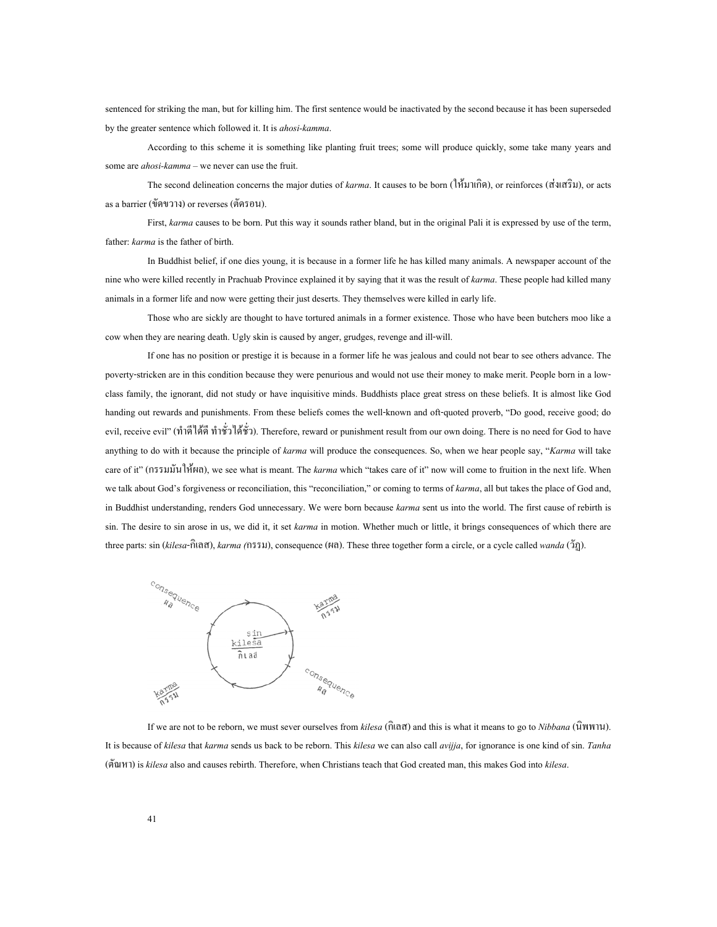sentenced for striking the man, but for killing him. The first sentence would be inactivated by the second because it has been superseded by the greater sentence which followed it. It is *ahosi-kamma*.

According to this scheme it is something like planting fruit trees; some will produce quickly, some take many years and some are *ahosi-kamma* – we never can use the fruit.

The second delineation concerns the major duties of *karma*. It causes to be born (ใหมาเกิด), or reinforces (สงเสริม), or acts as a barrier (ขัดขวาง) or reverses (ตัดรอน).

First, *karma* causes to be born. Put this way it sounds rather bland, but in the original Pali it is expressed by use of the term, father: *karma* is the father of birth.

In Buddhist belief, if one dies young, it is because in a former life he has killed many animals. A newspaper account of the nine who were killed recently in Prachuab Province explained it by saying that it was the result of *karma*. These people had killed many animals in a former life and now were getting their just deserts. They themselves were killed in early life.

Those who are sickly are thought to have tortured animals in a former existence. Those who have been butchers moo like a cow when they are nearing death. Ugly skin is caused by anger, grudges, revenge and ill-will.

If one has no position or prestige it is because in a former life he was jealous and could not bear to see others advance. The poverty-stricken are in this condition because they were penurious and would not use their money to make merit. People born in a lowclass family, the ignorant, did not study or have inquisitive minds. Buddhists place great stress on these beliefs. It is almost like God handing out rewards and punishments. From these beliefs comes the well-known and oft-quoted proverb, "Do good, receive good; do evil, receive evil" (ทำดีใต้ดี ทำชั่วใต้ชั่ว). Therefore, reward or punishment result from our own doing. There is no need for God to have anything to do with it because the principle of *karma* will produce the consequences. So, when we hear people say, "*Karma* will take care of it" (กรรมมันใหผล), we see what is meant. The *karma* which "takes care of it" now will come to fruition in the next life. When we talk about God's forgiveness or reconciliation, this "reconciliation," or coming to terms of *karma*, all but takes the place of God and, in Buddhist understanding, renders God unnecessary. We were born because *karma* sent us into the world. The first cause of rebirth is sin. The desire to sin arose in us, we did it, it set *karma* in motion. Whether much or little, it brings consequences of which there are three parts: sin (*kilesa*-กิเลส), *karma (*กรรม), consequence (ผล). These three together form a circle, or a cycle called *wanda* (วัฏ).



If we are not to be reborn, we must sever ourselves from *kilesa* (กิเลส) and this is what it means to go to *Nibbana* (นิพพาน). It is because of *kilesa* that *karma* sends us back to be reborn. This *kilesa* we can also call *avijja*, for ignorance is one kind of sin. *Tanha* (ตัณหา) is *kilesa* also and causes rebirth. Therefore, when Christians teach that God created man, this makes God into *kilesa*.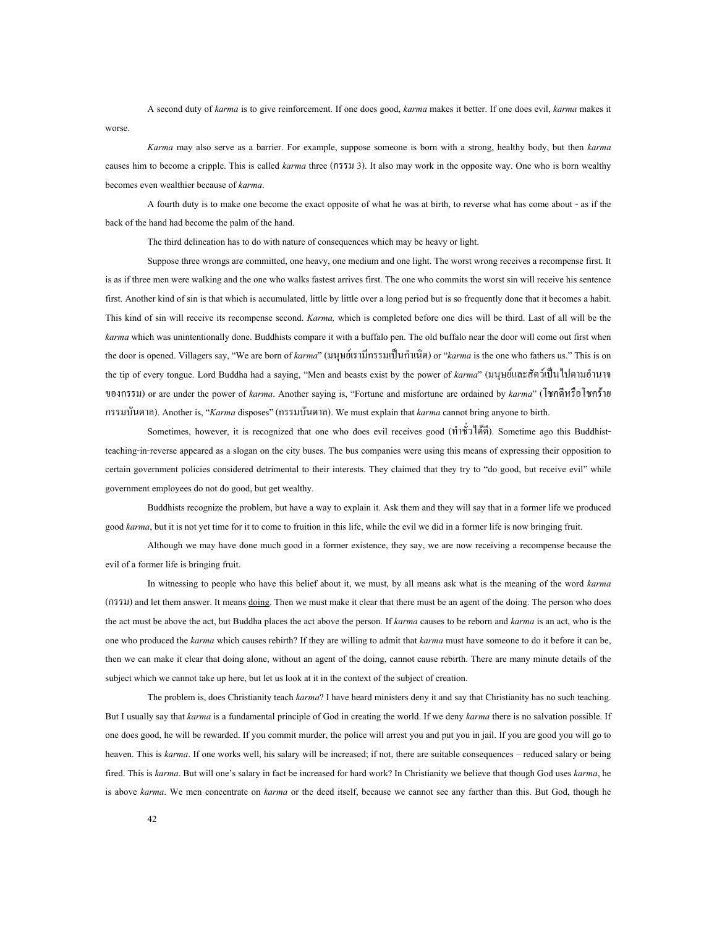A second duty of *karma* is to give reinforcement. If one does good, *karma* makes it better. If one does evil, *karma* makes it worse.

*Karma* may also serve as a barrier. For example, suppose someone is born with a strong, healthy body, but then *karma* causes him to become a cripple. This is called *karma* three (กรรม 3). It also may work in the opposite way. One who is born wealthy becomes even wealthier because of *karma*.

A fourth duty is to make one become the exact opposite of what he was at birth, to reverse what has come about - as if the back of the hand had become the palm of the hand.

The third delineation has to do with nature of consequences which may be heavy or light.

Suppose three wrongs are committed, one heavy, one medium and one light. The worst wrong receives a recompense first. It is as if three men were walking and the one who walks fastest arrives first. The one who commits the worst sin will receive his sentence first. Another kind of sin is that which is accumulated, little by little over a long period but is so frequently done that it becomes a habit. This kind of sin will receive its recompense second. *Karma,* which is completed before one dies will be third. Last of all will be the *karma* which was unintentionally done. Buddhists compare it with a buffalo pen. The old buffalo near the door will come out first when the door is opened. Villagers say, "We are born of *karma*" (มนุษย์เรามีกรรมเป็นกำเนิด) or "*karma* is the one who fathers us." This is on the tip of every tongue. Lord Buddha had a saying, "Men and beasts exist by the power of *karma*" (มนุษย์และสัตว์เป็นไปตามอำนาจ ของกรรม) or are under the power of *karma*. Another saying is, "Fortune and misfortune are ordained by *karma*" (โชคดีหรือโชคราย กรรมบันดาล). Another is, "*Karma* disposes" (กรรมบันดาล). We must explain that *karma* cannot bring anyone to birth.

Sometimes, however, it is recognized that one who does evil receives good (ทําชั่วไดดี). Sometime ago this Buddhistteaching-in-reverse appeared as a slogan on the city buses. The bus companies were using this means of expressing their opposition to certain government policies considered detrimental to their interests. They claimed that they try to "do good, but receive evil" while government employees do not do good, but get wealthy.

Buddhists recognize the problem, but have a way to explain it. Ask them and they will say that in a former life we produced good *karma*, but it is not yet time for it to come to fruition in this life, while the evil we did in a former life is now bringing fruit.

Although we may have done much good in a former existence, they say, we are now receiving a recompense because the evil of a former life is bringing fruit.

In witnessing to people who have this belief about it, we must, by all means ask what is the meaning of the word *karma* (กรรม) and let them answer. It means doing. Then we must make it clear that there must be an agent of the doing. The person who does the act must be above the act, but Buddha places the act above the person. If *karma* causes to be reborn and *karma* is an act, who is the one who produced the *karma* which causes rebirth? If they are willing to admit that *karma* must have someone to do it before it can be, then we can make it clear that doing alone, without an agent of the doing, cannot cause rebirth. There are many minute details of the subject which we cannot take up here, but let us look at it in the context of the subject of creation.

The problem is, does Christianity teach *karma*? I have heard ministers deny it and say that Christianity has no such teaching. But I usually say that *karma* is a fundamental principle of God in creating the world. If we deny *karma* there is no salvation possible. If one does good, he will be rewarded. If you commit murder, the police will arrest you and put you in jail. If you are good you will go to heaven. This is *karma*. If one works well, his salary will be increased; if not, there are suitable consequences – reduced salary or being fired. This is *karma*. But will one's salary in fact be increased for hard work? In Christianity we believe that though God uses *karma*, he is above *karma*. We men concentrate on *karma* or the deed itself, because we cannot see any farther than this. But God, though he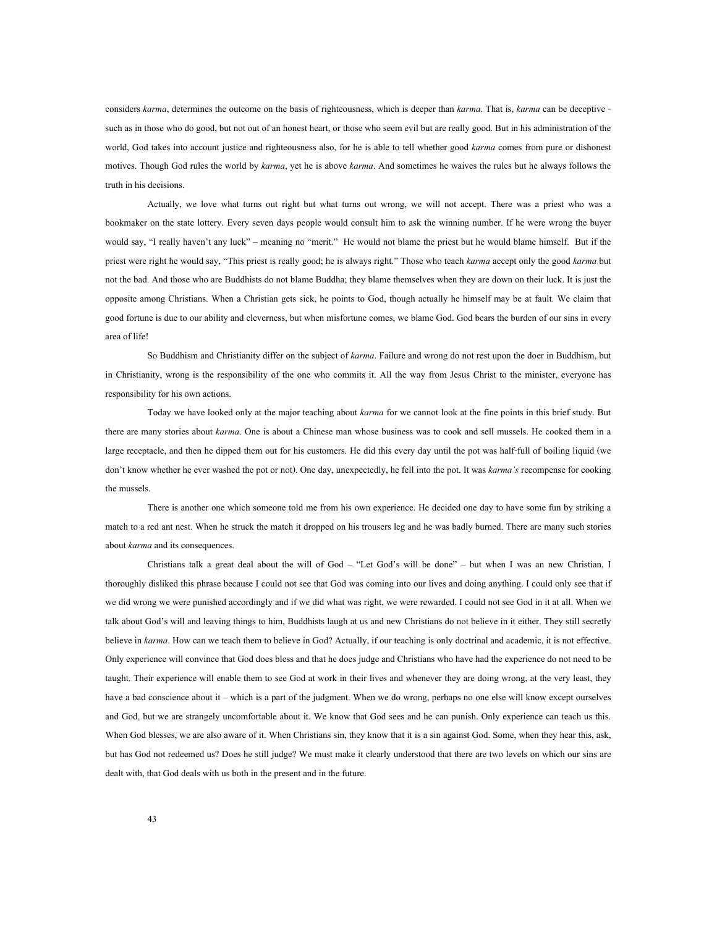considers *karma*, determines the outcome on the basis of righteousness, which is deeper than *karma*. That is, *karma* can be deceptive such as in those who do good, but not out of an honest heart, or those who seem evil but are really good. But in his administration of the world, God takes into account justice and righteousness also, for he is able to tell whether good *karma* comes from pure or dishonest motives. Though God rules the world by *karma*, yet he is above *karma*. And sometimes he waives the rules but he always follows the truth in his decisions.

Actually, we love what turns out right but what turns out wrong, we will not accept. There was a priest who was a bookmaker on the state lottery. Every seven days people would consult him to ask the winning number. If he were wrong the buyer would say, "I really haven't any luck" – meaning no "merit." He would not blame the priest but he would blame himself. But if the priest were right he would say, "This priest is really good; he is always right." Those who teach *karma* accept only the good *karma* but not the bad. And those who are Buddhists do not blame Buddha; they blame themselves when they are down on their luck. It is just the opposite among Christians. When a Christian gets sick, he points to God, though actually he himself may be at fault. We claim that good fortune is due to our ability and cleverness, but when misfortune comes, we blame God. God bears the burden of our sins in every area of life!

So Buddhism and Christianity differ on the subject of *karma*. Failure and wrong do not rest upon the doer in Buddhism, but in Christianity, wrong is the responsibility of the one who commits it. All the way from Jesus Christ to the minister, everyone has responsibility for his own actions.

Today we have looked only at the major teaching about *karma* for we cannot look at the fine points in this brief study. But there are many stories about *karma*. One is about a Chinese man whose business was to cook and sell mussels. He cooked them in a large receptacle, and then he dipped them out for his customers. He did this every day until the pot was half-full of boiling liquid (we don't know whether he ever washed the pot or not). One day, unexpectedly, he fell into the pot. It was *karma's* recompense for cooking the mussels.

There is another one which someone told me from his own experience. He decided one day to have some fun by striking a match to a red ant nest. When he struck the match it dropped on his trousers leg and he was badly burned. There are many such stories about *karma* and its consequences.

Christians talk a great deal about the will of God – "Let God's will be done" – but when I was an new Christian, I thoroughly disliked this phrase because I could not see that God was coming into our lives and doing anything. I could only see that if we did wrong we were punished accordingly and if we did what was right, we were rewarded. I could not see God in it at all. When we talk about God's will and leaving things to him, Buddhists laugh at us and new Christians do not believe in it either. They still secretly believe in *karma*. How can we teach them to believe in God? Actually, if our teaching is only doctrinal and academic, it is not effective. Only experience will convince that God does bless and that he does judge and Christians who have had the experience do not need to be taught. Their experience will enable them to see God at work in their lives and whenever they are doing wrong, at the very least, they have a bad conscience about it – which is a part of the judgment. When we do wrong, perhaps no one else will know except ourselves and God, but we are strangely uncomfortable about it. We know that God sees and he can punish. Only experience can teach us this. When God blesses, we are also aware of it. When Christians sin, they know that it is a sin against God. Some, when they hear this, ask, but has God not redeemed us? Does he still judge? We must make it clearly understood that there are two levels on which our sins are dealt with, that God deals with us both in the present and in the future.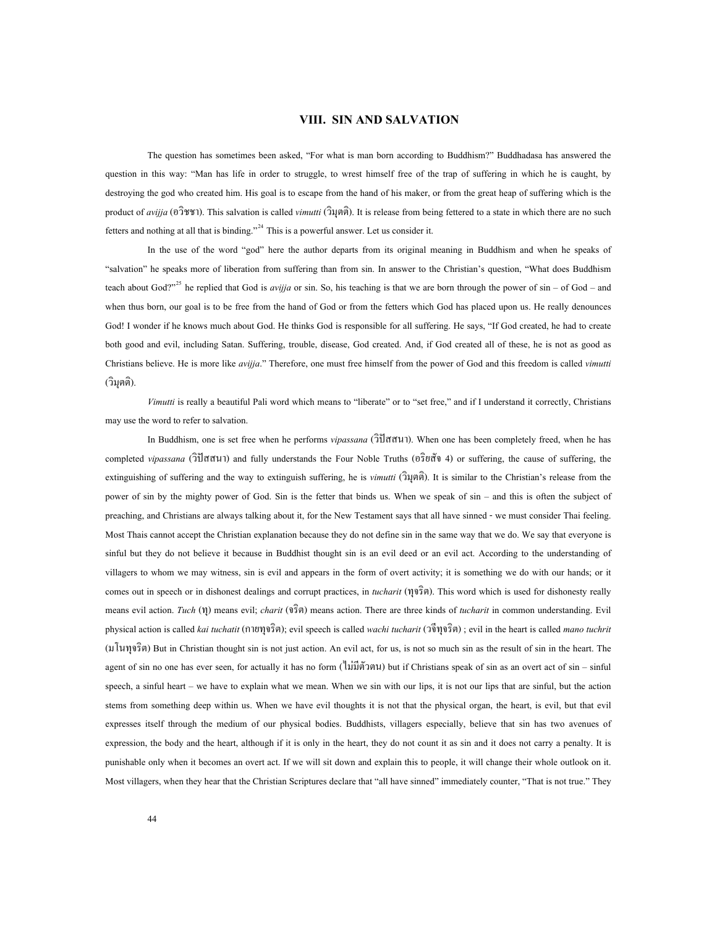### **VIII. SIN AND SALVATION**

The question has sometimes been asked, "For what is man born according to Buddhism?" Buddhadasa has answered the question in this way: "Man has life in order to struggle, to wrest himself free of the trap of suffering in which he is caught, by destroying the god who created him. His goal is to escape from the hand of his maker, or from the great heap of suffering which is the product of *avijja* (อวิชชา). This salvation is called *vimutti* (วิมุตติ). It is release from being fettered to a state in which there are no such fetters and nothing at all that is binding."<sup>[24](#page-75-2)</sup> This is a powerful answer. Let us consider it.

In the use of the word "god" here the author departs from its original meaning in Buddhism and when he speaks of "salvation" he speaks more of liberation from suffering than from sin. In answer to the Christian's question, "What does Buddhism teach about God?"<sup>[25](#page-75-3)</sup> he replied that God is *avijja* or sin. So, his teaching is that we are born through the power of sin – of God – and when thus born, our goal is to be free from the hand of God or from the fetters which God has placed upon us. He really denounces God! I wonder if he knows much about God. He thinks God is responsible for all suffering. He says, "If God created, he had to create both good and evil, including Satan. Suffering, trouble, disease, God created. And, if God created all of these, he is not as good as Christians believe. He is more like *avijja*." Therefore, one must free himself from the power of God and this freedom is called *vimutti* (วิมุตติ).

*Vimutti* is really a beautiful Pali word which means to "liberate" or to "set free," and if I understand it correctly, Christians may use the word to refer to salvation.

In Buddhism, one is set free when he performs *vipassana* (วิปสสนา). When one has been completely freed, when he has completed *vipassana* (วิปสสนา) and fully understands the Four Noble Truths (อริยสัจ 4) or suffering, the cause of suffering, the extinguishing of suffering and the way to extinguish suffering, he is *vimutti* (วิมุตติ). It is similar to the Christian's release from the power of sin by the mighty power of God. Sin is the fetter that binds us. When we speak of sin – and this is often the subject of preaching, and Christians are always talking about it, for the New Testament says that all have sinned - we must consider Thai feeling. Most Thais cannot accept the Christian explanation because they do not define sin in the same way that we do. We say that everyone is sinful but they do not believe it because in Buddhist thought sin is an evil deed or an evil act. According to the understanding of villagers to whom we may witness, sin is evil and appears in the form of overt activity; it is something we do with our hands; or it comes out in speech or in dishonest dealings and corrupt practices, in *tucharit* (ทุจริต). This word which is used for dishonesty really means evil action. *Tuch* (ทุ) means evil; *charit* (จริต) means action. There are three kinds of *tucharit* in common understanding. Evil physical action is called *kai tuchatit* (กายทุจริต); evil speech is called *wachi tucharit* (วจีทุจริต) ; evil in the heart is called *mano tuchrit* (มโนทุจริต) But in Christian thought sin is not just action. An evil act, for us, is not so much sin as the result of sin in the heart. The agent of sin no one has ever seen, for actually it has no form (ไมมีตัวตน) but if Christians speak of sin as an overt act of sin – sinful speech, a sinful heart – we have to explain what we mean. When we sin with our lips, it is not our lips that are sinful, but the action stems from something deep within us. When we have evil thoughts it is not that the physical organ, the heart, is evil, but that evil expresses itself through the medium of our physical bodies. Buddhists, villagers especially, believe that sin has two avenues of expression, the body and the heart, although if it is only in the heart, they do not count it as sin and it does not carry a penalty. It is punishable only when it becomes an overt act. If we will sit down and explain this to people, it will change their whole outlook on it. Most villagers, when they hear that the Christian Scriptures declare that "all have sinned" immediately counter, "That is not true." They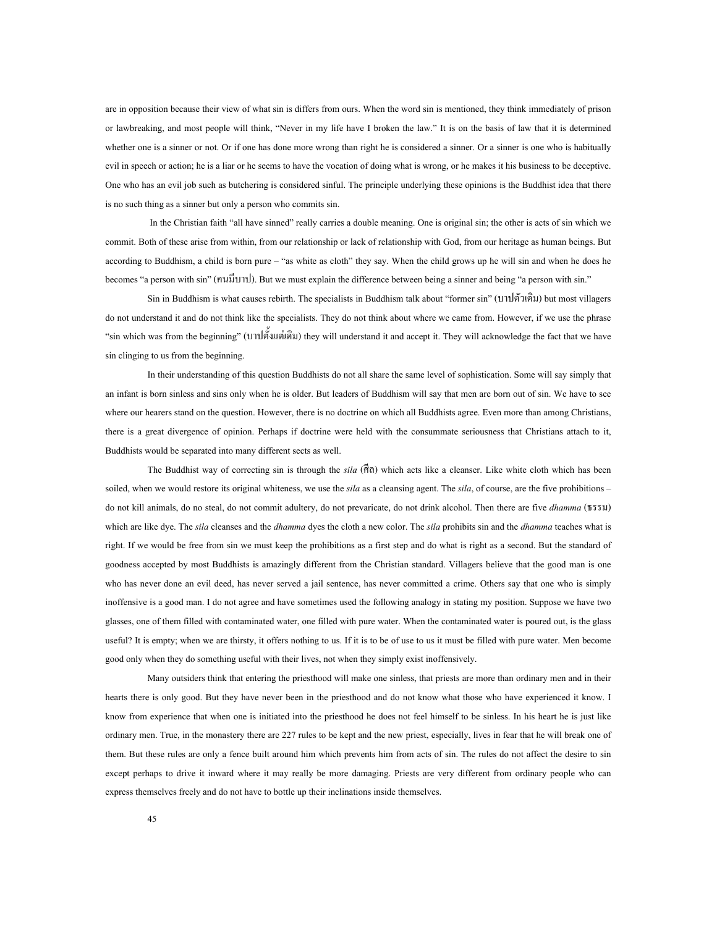are in opposition because their view of what sin is differs from ours. When the word sin is mentioned, they think immediately of prison or lawbreaking, and most people will think, "Never in my life have I broken the law." It is on the basis of law that it is determined whether one is a sinner or not. Or if one has done more wrong than right he is considered a sinner. Or a sinner is one who is habitually evil in speech or action; he is a liar or he seems to have the vocation of doing what is wrong, or he makes it his business to be deceptive. One who has an evil job such as butchering is considered sinful. The principle underlying these opinions is the Buddhist idea that there is no such thing as a sinner but only a person who commits sin.

In the Christian faith "all have sinned" really carries a double meaning. One is original sin; the other is acts of sin which we commit. Both of these arise from within, from our relationship or lack of relationship with God, from our heritage as human beings. But according to Buddhism, a child is born pure – "as white as cloth" they say. When the child grows up he will sin and when he does he becomes "a person with sin" (คนมีบาป). But we must explain the difference between being a sinner and being "a person with sin."

Sin in Buddhism is what causes rebirth. The specialists in Buddhism talk about "former sin" (บาปตัวเดิม) but most villagers do not understand it and do not think like the specialists. They do not think about where we came from. However, if we use the phrase "sin which was from the beginning" (บาปตั้งแตเดิม) they will understand it and accept it. They will acknowledge the fact that we have sin clinging to us from the beginning.

In their understanding of this question Buddhists do not all share the same level of sophistication. Some will say simply that an infant is born sinless and sins only when he is older. But leaders of Buddhism will say that men are born out of sin. We have to see where our hearers stand on the question. However, there is no doctrine on which all Buddhists agree. Even more than among Christians, there is a great divergence of opinion. Perhaps if doctrine were held with the consummate seriousness that Christians attach to it, Buddhists would be separated into many different sects as well.

The Buddhist way of correcting sin is through the *sila* (ศีล) which acts like a cleanser. Like white cloth which has been soiled, when we would restore its original whiteness, we use the *sila* as a cleansing agent. The *sila*, of course, are the five prohibitions – do not kill animals, do no steal, do not commit adultery, do not prevaricate, do not drink alcohol. Then there are five *dhamma* (ธรรม) which are like dye. The *sila* cleanses and the *dhamma* dyes the cloth a new color. The *sila* prohibits sin and the *dhamma* teaches what is right. If we would be free from sin we must keep the prohibitions as a first step and do what is right as a second. But the standard of goodness accepted by most Buddhists is amazingly different from the Christian standard. Villagers believe that the good man is one who has never done an evil deed, has never served a jail sentence, has never committed a crime. Others say that one who is simply inoffensive is a good man. I do not agree and have sometimes used the following analogy in stating my position. Suppose we have two glasses, one of them filled with contaminated water, one filled with pure water. When the contaminated water is poured out, is the glass useful? It is empty; when we are thirsty, it offers nothing to us. If it is to be of use to us it must be filled with pure water. Men become good only when they do something useful with their lives, not when they simply exist inoffensively.

Many outsiders think that entering the priesthood will make one sinless, that priests are more than ordinary men and in their hearts there is only good. But they have never been in the priesthood and do not know what those who have experienced it know. I know from experience that when one is initiated into the priesthood he does not feel himself to be sinless. In his heart he is just like ordinary men. True, in the monastery there are 227 rules to be kept and the new priest, especially, lives in fear that he will break one of them. But these rules are only a fence built around him which prevents him from acts of sin. The rules do not affect the desire to sin except perhaps to drive it inward where it may really be more damaging. Priests are very different from ordinary people who can express themselves freely and do not have to bottle up their inclinations inside themselves.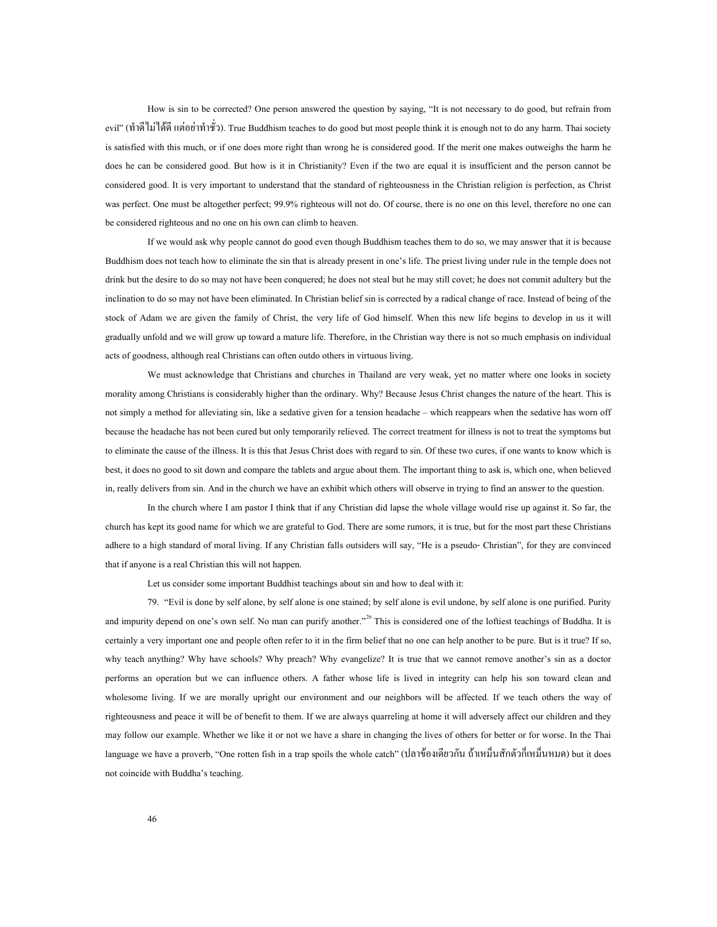How is sin to be corrected? One person answered the question by saying, "It is not necessary to do good, but refrain from evil" (ทำดีไม่ได้ดีแต่อย่าทำชั่ว). True Buddhism teaches to do good but most people think it is enough not to do any harm. Thai society is satisfied with this much, or if one does more right than wrong he is considered good. If the merit one makes outweighs the harm he does he can be considered good. But how is it in Christianity? Even if the two are equal it is insufficient and the person cannot be considered good. It is very important to understand that the standard of righteousness in the Christian religion is perfection, as Christ was perfect. One must be altogether perfect; 99.9% righteous will not do. Of course, there is no one on this level, therefore no one can be considered righteous and no one on his own can climb to heaven.

If we would ask why people cannot do good even though Buddhism teaches them to do so, we may answer that it is because Buddhism does not teach how to eliminate the sin that is already present in one's life. The priest living under rule in the temple does not drink but the desire to do so may not have been conquered; he does not steal but he may still covet; he does not commit adultery but the inclination to do so may not have been eliminated. In Christian belief sin is corrected by a radical change of race. Instead of being of the stock of Adam we are given the family of Christ, the very life of God himself. When this new life begins to develop in us it will gradually unfold and we will grow up toward a mature life. Therefore, in the Christian way there is not so much emphasis on individual acts of goodness, although real Christians can often outdo others in virtuous living.

We must acknowledge that Christians and churches in Thailand are very weak, yet no matter where one looks in society morality among Christians is considerably higher than the ordinary. Why? Because Jesus Christ changes the nature of the heart. This is not simply a method for alleviating sin, like a sedative given for a tension headache – which reappears when the sedative has worn off because the headache has not been cured but only temporarily relieved. The correct treatment for illness is not to treat the symptoms but to eliminate the cause of the illness. It is this that Jesus Christ does with regard to sin. Of these two cures, if one wants to know which is best, it does no good to sit down and compare the tablets and argue about them. The important thing to ask is, which one, when believed in, really delivers from sin. And in the church we have an exhibit which others will observe in trying to find an answer to the question.

In the church where I am pastor I think that if any Christian did lapse the whole village would rise up against it. So far, the church has kept its good name for which we are grateful to God. There are some rumors, it is true, but for the most part these Christians adhere to a high standard of moral living. If any Christian falls outsiders will say, "He is a pseudo- Christian", for they are convinced that if anyone is a real Christian this will not happen.

Let us consider some important Buddhist teachings about sin and how to deal with it:

79. "Evil is done by self alone, by self alone is one stained; by self alone is evil undone, by self alone is one purified. Purity and impurity depend on one's own self. No man can purify another."<sup>[26](#page-75-4)</sup> This is considered one of the loftiest teachings of Buddha. It is certainly a very important one and people often refer to it in the firm belief that no one can help another to be pure. But is it true? If so, why teach anything? Why have schools? Why preach? Why evangelize? It is true that we cannot remove another's sin as a doctor performs an operation but we can influence others. A father whose life is lived in integrity can help his son toward clean and wholesome living. If we are morally upright our environment and our neighbors will be affected. If we teach others the way of righteousness and peace it will be of benefit to them. If we are always quarreling at home it will adversely affect our children and they may follow our example. Whether we like it or not we have a share in changing the lives of others for better or for worse. In the Thai language we have a proverb, "One rotten fish in a trap spoils the whole catch" (ปลาของเดยวี กัน ถาเหม็นสักตัวก็เหม็นหมด) but it does not coincide with Buddha's teaching.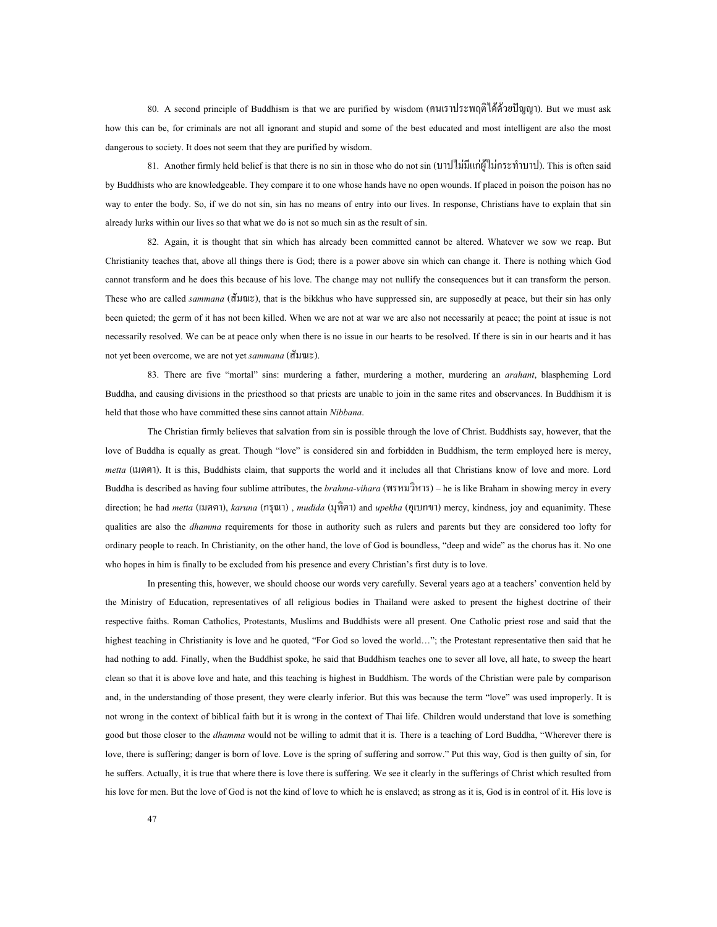80. A second principle of Buddhism is that we are purified by wisdom (คนเราประพฤติไดดวยปญญา). But we must ask how this can be, for criminals are not all ignorant and stupid and some of the best educated and most intelligent are also the most dangerous to society. It does not seem that they are purified by wisdom.

81. Another firmly held belief is that there is no sin in those who do not sin (บาปไมมีแกผูไมกระทําบาป). This is often said by Buddhists who are knowledgeable. They compare it to one whose hands have no open wounds. If placed in poison the poison has no way to enter the body. So, if we do not sin, sin has no means of entry into our lives. In response, Christians have to explain that sin already lurks within our lives so that what we do is not so much sin as the result of sin.

82. Again, it is thought that sin which has already been committed cannot be altered. Whatever we sow we reap. But Christianity teaches that, above all things there is God; there is a power above sin which can change it. There is nothing which God cannot transform and he does this because of his love. The change may not nullify the consequences but it can transform the person. These who are called *sammana* (สัมณะ), that is the bikkhus who have suppressed sin, are supposedly at peace, but their sin has only been quieted; the germ of it has not been killed. When we are not at war we are also not necessarily at peace; the point at issue is not necessarily resolved. We can be at peace only when there is no issue in our hearts to be resolved. If there is sin in our hearts and it has not yet been overcome, we are not yet *sammana* (สัมณะ).

83. There are five "mortal" sins: murdering a father, murdering a mother, murdering an *arahant*, blaspheming Lord Buddha, and causing divisions in the priesthood so that priests are unable to join in the same rites and observances. In Buddhism it is held that those who have committed these sins cannot attain *Nibbana*.

The Christian firmly believes that salvation from sin is possible through the love of Christ. Buddhists say, however, that the love of Buddha is equally as great. Though "love" is considered sin and forbidden in Buddhism, the term employed here is mercy, *metta* (เมตตา). It is this, Buddhists claim, that supports the world and it includes all that Christians know of love and more. Lord Buddha is described as having four sublime attributes, the *brahma-vihara* (พรหมวิหาร) – he is like Braham in showing mercy in every direction; he had *metta* (เมตตา), *karuna* (กรุณา) , *mudida* (มุทิตา) and *upekha* (อุเบกขา) mercy, kindness, joy and equanimity. These qualities are also the *dhamma* requirements for those in authority such as rulers and parents but they are considered too lofty for ordinary people to reach. In Christianity, on the other hand, the love of God is boundless, "deep and wide" as the chorus has it. No one who hopes in him is finally to be excluded from his presence and every Christian's first duty is to love.

In presenting this, however, we should choose our words very carefully. Several years ago at a teachers' convention held by the Ministry of Education, representatives of all religious bodies in Thailand were asked to present the highest doctrine of their respective faiths. Roman Catholics, Protestants, Muslims and Buddhists were all present. One Catholic priest rose and said that the highest teaching in Christianity is love and he quoted, "For God so loved the world…"; the Protestant representative then said that he had nothing to add. Finally, when the Buddhist spoke, he said that Buddhism teaches one to sever all love, all hate, to sweep the heart clean so that it is above love and hate, and this teaching is highest in Buddhism. The words of the Christian were pale by comparison and, in the understanding of those present, they were clearly inferior. But this was because the term "love" was used improperly. It is not wrong in the context of biblical faith but it is wrong in the context of Thai life. Children would understand that love is something good but those closer to the *dhamma* would not be willing to admit that it is. There is a teaching of Lord Buddha, "Wherever there is love, there is suffering; danger is born of love. Love is the spring of suffering and sorrow." Put this way, God is then guilty of sin, for he suffers. Actually, it is true that where there is love there is suffering. We see it clearly in the sufferings of Christ which resulted from his love for men. But the love of God is not the kind of love to which he is enslaved; as strong as it is, God is in control of it. His love is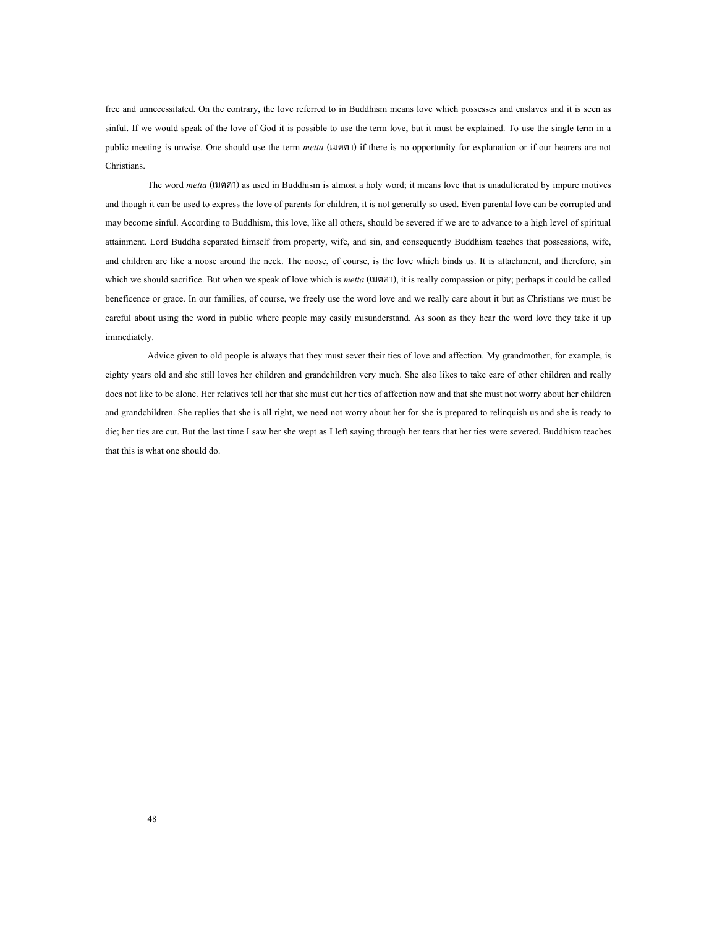free and unnecessitated. On the contrary, the love referred to in Buddhism means love which possesses and enslaves and it is seen as sinful. If we would speak of the love of God it is possible to use the term love, but it must be explained. To use the single term in a public meeting is unwise. One should use the term *metta* (เมตตา) if there is no opportunity for explanation or if our hearers are not Christians.

The word *metta* (เมตตา) as used in Buddhism is almost a holy word; it means love that is unadulterated by impure motives and though it can be used to express the love of parents for children, it is not generally so used. Even parental love can be corrupted and may become sinful. According to Buddhism, this love, like all others, should be severed if we are to advance to a high level of spiritual attainment. Lord Buddha separated himself from property, wife, and sin, and consequently Buddhism teaches that possessions, wife, and children are like a noose around the neck. The noose, of course, is the love which binds us. It is attachment, and therefore, sin which we should sacrifice. But when we speak of love which is *metta* (เมตตา), it is really compassion or pity; perhaps it could be called beneficence or grace. In our families, of course, we freely use the word love and we really care about it but as Christians we must be careful about using the word in public where people may easily misunderstand. As soon as they hear the word love they take it up immediately.

Advice given to old people is always that they must sever their ties of love and affection. My grandmother, for example, is eighty years old and she still loves her children and grandchildren very much. She also likes to take care of other children and really does not like to be alone. Her relatives tell her that she must cut her ties of affection now and that she must not worry about her children and grandchildren. She replies that she is all right, we need not worry about her for she is prepared to relinquish us and she is ready to die; her ties are cut. But the last time I saw her she wept as I left saying through her tears that her ties were severed. Buddhism teaches that this is what one should do.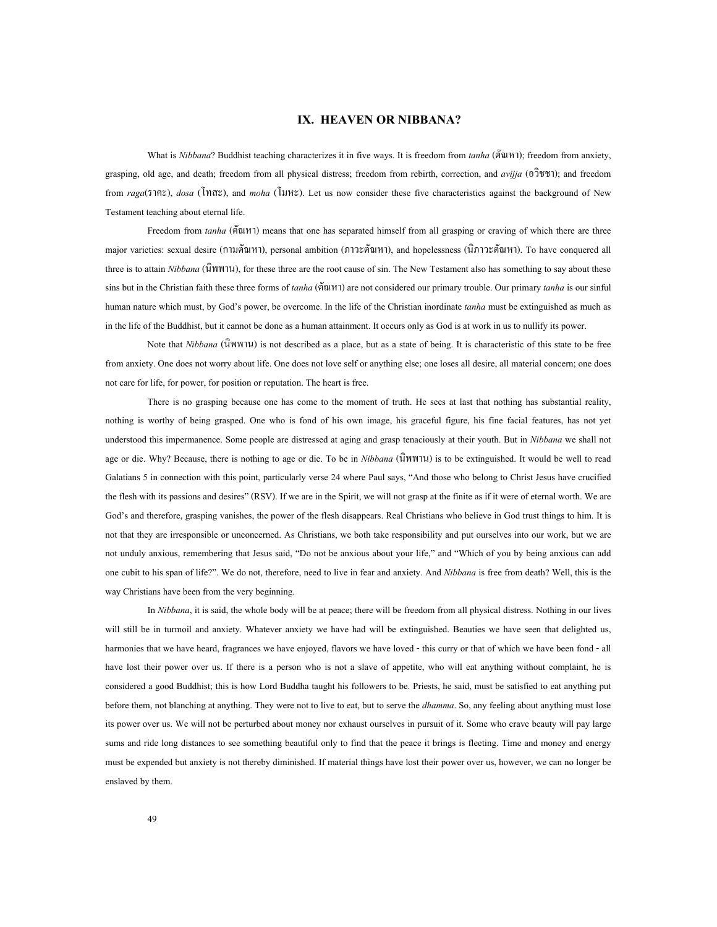## **IX. HEAVEN OR NIBBANA?**

What is *Nibbana*? Buddhist teaching characterizes it in five ways. It is freedom from *tanha* (ตัณหา); freedom from anxiety, grasping, old age, and death; freedom from all physical distress; freedom from rebirth, correction, and *avijja* (อวิชชา); and freedom from *raga*(ราคะ), *dosa* (โทสะ), and *moha* (โมหะ). Let us now consider these five characteristics against the background of New Testament teaching about eternal life.

Freedom from *tanha* (ตัณหา) means that one has separated himself from all grasping or craving of which there are three major varieties: sexual desire (กามตัณหา), personal ambition (ภาวะตัณหา), and hopelessness (นิภาวะตัณหา). To have conquered all three is to attain *Nibbana* (นิพพาน), for these three are the root cause of sin. The New Testament also has something to say about these sins but in the Christian faith these three forms of *tanha* (ตัณหา) are not considered our primary trouble. Our primary *tanha* is our sinful human nature which must, by God's power, be overcome. In the life of the Christian inordinate *tanha* must be extinguished as much as in the life of the Buddhist, but it cannot be done as a human attainment. It occurs only as God is at work in us to nullify its power.

Note that *Nibbana* (นิพพาน) is not described as a place, but as a state of being. It is characteristic of this state to be free from anxiety. One does not worry about life. One does not love self or anything else; one loses all desire, all material concern; one does not care for life, for power, for position or reputation. The heart is free.

There is no grasping because one has come to the moment of truth. He sees at last that nothing has substantial reality, nothing is worthy of being grasped. One who is fond of his own image, his graceful figure, his fine facial features, has not yet understood this impermanence. Some people are distressed at aging and grasp tenaciously at their youth. But in *Nibbana* we shall not age or die. Why? Because, there is nothing to age or die. To be in *Nibbana* (นิพพาน) is to be extinguished. It would be well to read Galatians 5 in connection with this point, particularly verse 24 where Paul says, "And those who belong to Christ Jesus have crucified the flesh with its passions and desires" (RSV). If we are in the Spirit, we will not grasp at the finite as if it were of eternal worth. We are God's and therefore, grasping vanishes, the power of the flesh disappears. Real Christians who believe in God trust things to him. It is not that they are irresponsible or unconcerned. As Christians, we both take responsibility and put ourselves into our work, but we are not unduly anxious, remembering that Jesus said, "Do not be anxious about your life," and "Which of you by being anxious can add one cubit to his span of life?". We do not, therefore, need to live in fear and anxiety. And *Nibbana* is free from death? Well, this is the way Christians have been from the very beginning.

In *Nibbana*, it is said, the whole body will be at peace; there will be freedom from all physical distress. Nothing in our lives will still be in turmoil and anxiety. Whatever anxiety we have had will be extinguished. Beauties we have seen that delighted us, harmonies that we have heard, fragrances we have enjoyed, flavors we have loved - this curry or that of which we have been fond - all have lost their power over us. If there is a person who is not a slave of appetite, who will eat anything without complaint, he is considered a good Buddhist; this is how Lord Buddha taught his followers to be. Priests, he said, must be satisfied to eat anything put before them, not blanching at anything. They were not to live to eat, but to serve the *dhamma*. So, any feeling about anything must lose its power over us. We will not be perturbed about money nor exhaust ourselves in pursuit of it. Some who crave beauty will pay large sums and ride long distances to see something beautiful only to find that the peace it brings is fleeting. Time and money and energy must be expended but anxiety is not thereby diminished. If material things have lost their power over us, however, we can no longer be enslaved by them.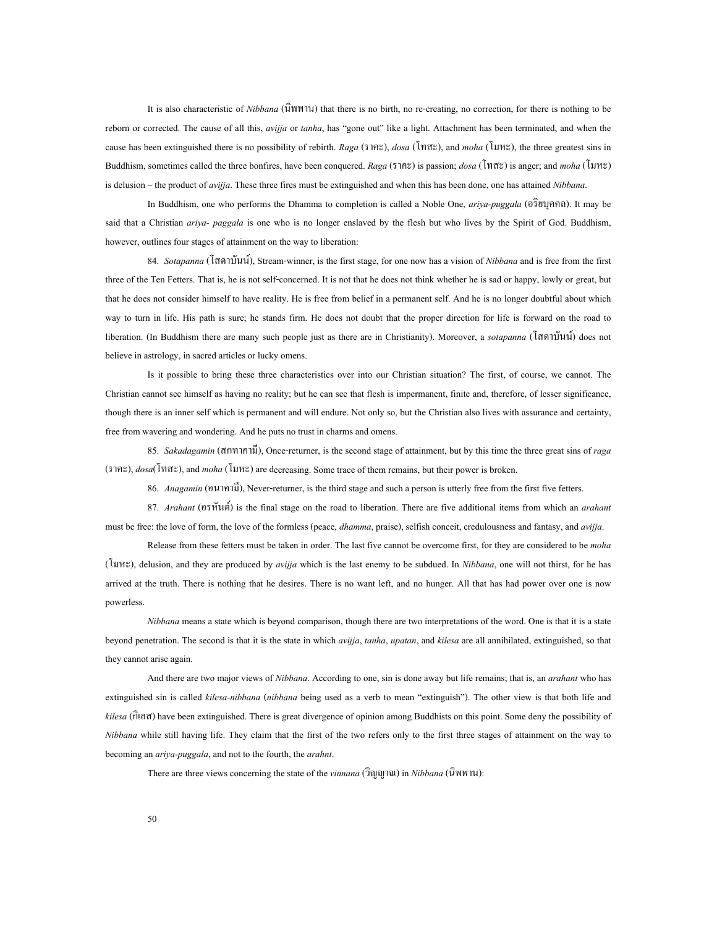It is also characteristic of *Nibbana* (นิพพาน) that there is no birth, no re-creating, no correction, for there is nothing to be reborn or corrected. The cause of all this, *avijja* or *tanha*, has "gone out" like a light. Attachment has been terminated, and when the cause has been extinguished there is no possibility of rebirth. *Raga* (ราคะ), *dosa* (โทสะ), and *moha* (โมหะ), the three greatest sins in Buddhism, sometimes called the three bonfires, have been conquered. *Raga* (ราคะ) is passion; *dosa* (โทสะ) is anger; and *moha* (โมหะ) is delusion – the product of *avijja*. These three fires must be extinguished and when this has been done, one has attained *Nibbana*.

In Buddhism, one who performs the Dhamma to completion is called a Noble One, *ariya-puggala* (อริยบุคคล). It may be said that a Christian *ariya- paggala* is one who is no longer enslaved by the flesh but who lives by the Spirit of God. Buddhism, however, outlines four stages of attainment on the way to liberation:

84. *Sotapanna* (โสดาบันน), Stream-winner, is the first stage, for one now has a vision of *Nibbana* and is free from the first three of the Ten Fetters. That is, he is not self-concerned. It is not that he does not think whether he is sad or happy, lowly or great, but that he does not consider himself to have reality. He is free from belief in a permanent self. And he is no longer doubtful about which way to turn in life. His path is sure; he stands firm. He does not doubt that the proper direction for life is forward on the road to liberation. (In Buddhism there are many such people just as there are in Christianity). Moreover, a *sotapanna* (โสดาบันน) does not believe in astrology, in sacred articles or lucky omens.

Is it possible to bring these three characteristics over into our Christian situation? The first, of course, we cannot. The Christian cannot see himself as having no reality; but he can see that flesh is impermanent, finite and, therefore, of lesser significance, though there is an inner self which is permanent and will endure. Not only so, but the Christian also lives with assurance and certainty, free from wavering and wondering. And he puts no trust in charms and omens.

85. *Sakadagamin* (สกทาคามี), Once-returner, is the second stage of attainment, but by this time the three great sins of *raga* (ราคะ), *dosa*(โทสะ), and *moha* (โมหะ) are decreasing. Some trace of them remains, but their power is broken.

86. *Anagamin* (อนาคามี), Never-returner, is the third stage and such a person is utterly free from the first five fetters.

87. *Arahant* (อรหันต) is the final stage on the road to liberation. There are five additional items from which an *arahant* must be free: the love of form, the love of the formless (peace, *dhamma*, praise), selfish conceit, credulousness and fantasy, and *avijja*.

Release from these fetters must be taken in order. The last five cannot be overcome first, for they are considered to be *moha* (โมหะ), delusion, and they are produced by *avijja* which is the last enemy to be subdued. In *Nibbana*, one will not thirst, for he has arrived at the truth. There is nothing that he desires. There is no want left, and no hunger. All that has had power over one is now powerless.

*Nibbana* means a state which is beyond comparison, though there are two interpretations of the word. One is that it is a state beyond penetration. The second is that it is the state in which *avijja*, *tanha*, *upatan*, and *kilesa* are all annihilated, extinguished, so that they cannot arise again.

And there are two major views of *Nibbana*. According to one, sin is done away but life remains; that is, an *arahant* who has extinguished sin is called *kilesa-nibbana* (*nibbana* being used as a verb to mean "extinguish"). The other view is that both life and *kilesa* (กิเลส) have been extinguished. There is great divergence of opinion among Buddhists on this point. Some deny the possibility of *Nibbana* while still having life. They claim that the first of the two refers only to the first three stages of attainment on the way to becoming an *ariya-puggala*, and not to the fourth, the *arahnt*.

There are three views concerning the state of the *vinnana* (วิญญาณ) in *Nibbana* (นิพพาน):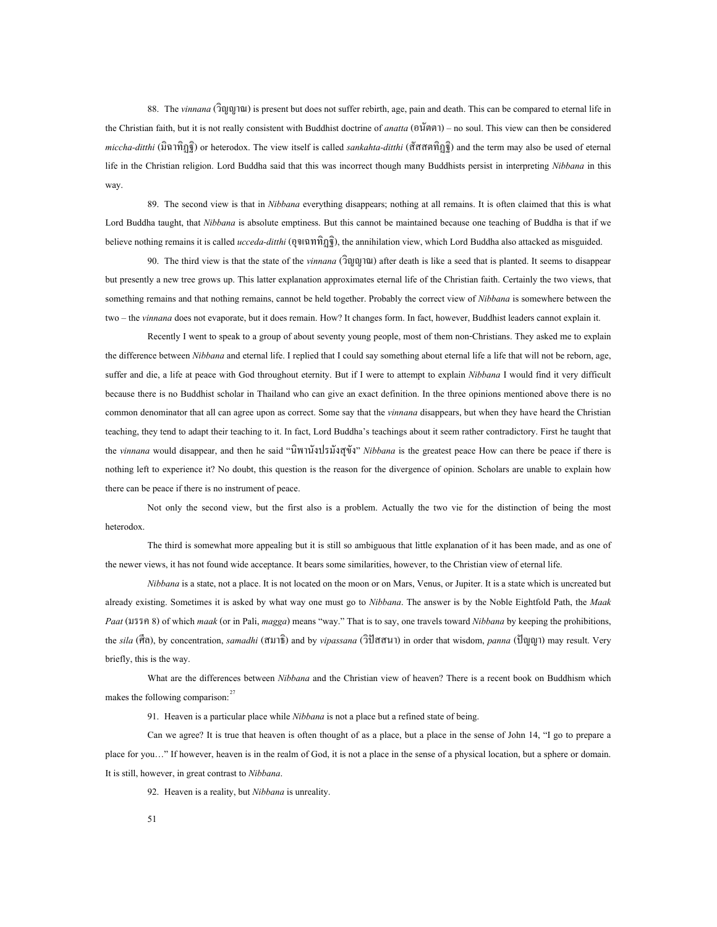88. The *vinnana* (วิญญาณ) is present but does not suffer rebirth, age, pain and death. This can be compared to eternal life in the Christian faith, but it is not really consistent with Buddhist doctrine of *anatta* (อนัตตา) – no soul. This view can then be considered *miccha-ditthi* (มิฉาทิฏฐิ) or heterodox. The view itself is called *sankahta-ditthi* (สัสสตทิฏฐิ) and the term may also be used of eternal life in the Christian religion. Lord Buddha said that this was incorrect though many Buddhists persist in interpreting *Nibbana* in this way.

89. The second view is that in *Nibbana* everything disappears; nothing at all remains. It is often claimed that this is what Lord Buddha taught, that *Nibbana* is absolute emptiness. But this cannot be maintained because one teaching of Buddha is that if we believe nothing remains it is called *ucceda-ditthi* (อุจเฉททิฏฐิ), the annihilation view, which Lord Buddha also attacked as misguided.

90. The third view is that the state of the *vinnana* (วิญญาณ) after death is like a seed that is planted. It seems to disappear but presently a new tree grows up. This latter explanation approximates eternal life of the Christian faith. Certainly the two views, that something remains and that nothing remains, cannot be held together. Probably the correct view of *Nibbana* is somewhere between the two – the *vinnana* does not evaporate, but it does remain. How? It changes form. In fact, however, Buddhist leaders cannot explain it.

Recently I went to speak to a group of about seventy young people, most of them non-Christians. They asked me to explain the difference between *Nibbana* and eternal life. I replied that I could say something about eternal life a life that will not be reborn, age, suffer and die, a life at peace with God throughout eternity. But if I were to attempt to explain *Nibbana* I would find it very difficult because there is no Buddhist scholar in Thailand who can give an exact definition. In the three opinions mentioned above there is no common denominator that all can agree upon as correct. Some say that the *vinnana* disappears, but when they have heard the Christian teaching, they tend to adapt their teaching to it. In fact, Lord Buddha's teachings about it seem rather contradictory. First he taught that the *vinnana* would disappear, and then he said "นิพานังปรมังสุขัง" *Nibbana* is the greatest peace How can there be peace if there is nothing left to experience it? No doubt, this question is the reason for the divergence of opinion. Scholars are unable to explain how there can be peace if there is no instrument of peace.

Not only the second view, but the first also is a problem. Actually the two vie for the distinction of being the most heterodox.

The third is somewhat more appealing but it is still so ambiguous that little explanation of it has been made, and as one of the newer views, it has not found wide acceptance. It bears some similarities, however, to the Christian view of eternal life.

*Nibbana* is a state, not a place. It is not located on the moon or on Mars, Venus, or Jupiter. It is a state which is uncreated but already existing. Sometimes it is asked by what way one must go to *Nibbana*. The answer is by the Noble Eightfold Path, the *Maak Paat* (มรรค 8) of which *maak* (or in Pali, *magga*) means "way." That is to say, one travels toward *Nibbana* by keeping the prohibitions, the *sila* (ศีล), by concentration, *samadhi* (สมาธิ) and by *vipassana* (วิปสสนา) in order that wisdom, *panna* (ปญญา) may result. Very briefly, this is the way.

What are the differences between *Nibbana* and the Christian view of heaven? There is a recent book on Buddhism which makes the following comparison: $27$ 

91. Heaven is a particular place while *Nibbana* is not a place but a refined state of being.

Can we agree? It is true that heaven is often thought of as a place, but a place in the sense of John 14, "I go to prepare a place for you…" If however, heaven is in the realm of God, it is not a place in the sense of a physical location, but a sphere or domain. It is still, however, in great contrast to *Nibbana*.

92. Heaven is a reality, but *Nibbana* is unreality.

51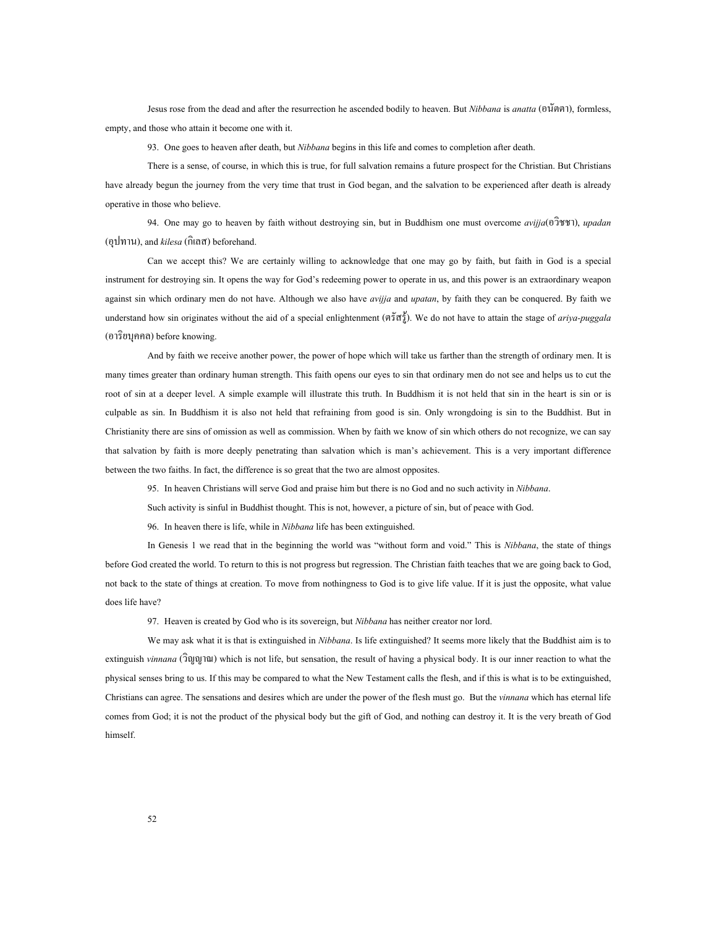Jesus rose from the dead and after the resurrection he ascended bodily to heaven. But *Nibbana* is *anatta* (อนัตตา), formless, empty, and those who attain it become one with it.

93. One goes to heaven after death, but *Nibbana* begins in this life and comes to completion after death.

There is a sense, of course, in which this is true, for full salvation remains a future prospect for the Christian. But Christians have already begun the journey from the very time that trust in God began, and the salvation to be experienced after death is already operative in those who believe.

94. One may go to heaven by faith without destroying sin, but in Buddhism one must overcome *avijja*(อวิชชา), *upadan* (อุปทาน), and *kilesa* (กิเลส) beforehand.

Can we accept this? We are certainly willing to acknowledge that one may go by faith, but faith in God is a special instrument for destroying sin. It opens the way for God's redeeming power to operate in us, and this power is an extraordinary weapon against sin which ordinary men do not have. Although we also have *avijja* and *upatan*, by faith they can be conquered. By faith we understand how sin originates without the aid of a special enlightenment (ตรัสรู). We do not have to attain the stage of *ariya-puggala* (อาริยบุคคล) before knowing.

And by faith we receive another power, the power of hope which will take us farther than the strength of ordinary men. It is many times greater than ordinary human strength. This faith opens our eyes to sin that ordinary men do not see and helps us to cut the root of sin at a deeper level. A simple example will illustrate this truth. In Buddhism it is not held that sin in the heart is sin or is culpable as sin. In Buddhism it is also not held that refraining from good is sin. Only wrongdoing is sin to the Buddhist. But in Christianity there are sins of omission as well as commission. When by faith we know of sin which others do not recognize, we can say that salvation by faith is more deeply penetrating than salvation which is man's achievement. This is a very important difference between the two faiths. In fact, the difference is so great that the two are almost opposites.

95. In heaven Christians will serve God and praise him but there is no God and no such activity in *Nibbana*.

Such activity is sinful in Buddhist thought. This is not, however, a picture of sin, but of peace with God.

96. In heaven there is life, while in *Nibbana* life has been extinguished.

In Genesis 1 we read that in the beginning the world was "without form and void." This is *Nibbana*, the state of things before God created the world. To return to this is not progress but regression. The Christian faith teaches that we are going back to God, not back to the state of things at creation. To move from nothingness to God is to give life value. If it is just the opposite, what value does life have?

97. Heaven is created by God who is its sovereign, but *Nibbana* has neither creator nor lord.

We may ask what it is that is extinguished in *Nibbana*. Is life extinguished? It seems more likely that the Buddhist aim is to extinguish *vinnana* (วิญญาณ) which is not life, but sensation, the result of having a physical body. It is our inner reaction to what the physical senses bring to us. If this may be compared to what the New Testament calls the flesh, and if this is what is to be extinguished, Christians can agree. The sensations and desires which are under the power of the flesh must go. But the *vinnana* which has eternal life comes from God; it is not the product of the physical body but the gift of God, and nothing can destroy it. It is the very breath of God himself.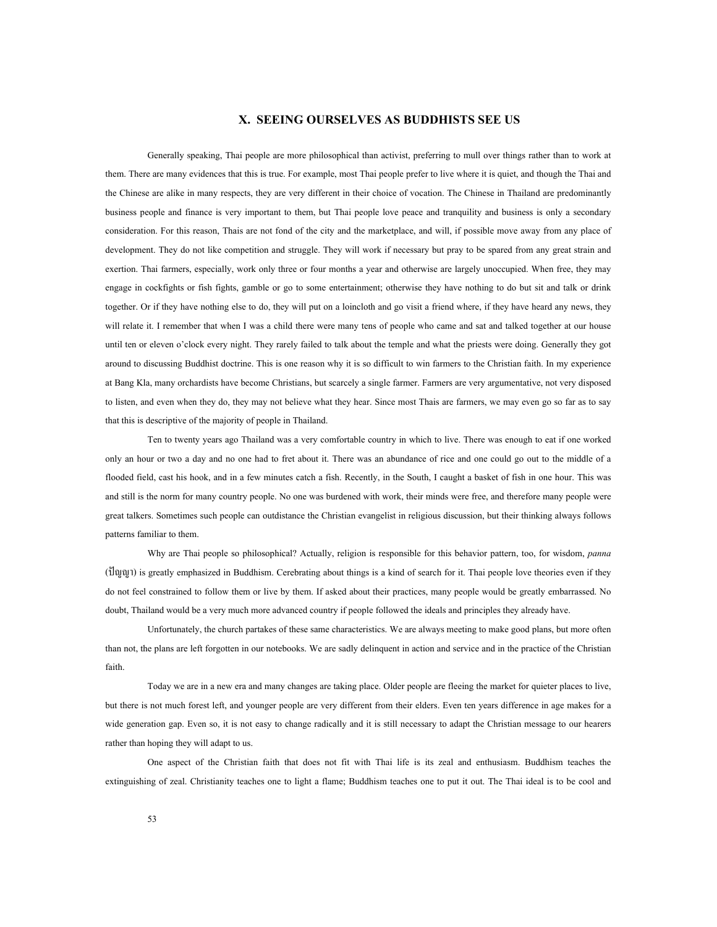## **X. SEEING OURSELVES AS BUDDHISTS SEE US**

Generally speaking, Thai people are more philosophical than activist, preferring to mull over things rather than to work at them. There are many evidences that this is true. For example, most Thai people prefer to live where it is quiet, and though the Thai and the Chinese are alike in many respects, they are very different in their choice of vocation. The Chinese in Thailand are predominantly business people and finance is very important to them, but Thai people love peace and tranquility and business is only a secondary consideration. For this reason, Thais are not fond of the city and the marketplace, and will, if possible move away from any place of development. They do not like competition and struggle. They will work if necessary but pray to be spared from any great strain and exertion. Thai farmers, especially, work only three or four months a year and otherwise are largely unoccupied. When free, they may engage in cockfights or fish fights, gamble or go to some entertainment; otherwise they have nothing to do but sit and talk or drink together. Or if they have nothing else to do, they will put on a loincloth and go visit a friend where, if they have heard any news, they will relate it. I remember that when I was a child there were many tens of people who came and sat and talked together at our house until ten or eleven o'clock every night. They rarely failed to talk about the temple and what the priests were doing. Generally they got around to discussing Buddhist doctrine. This is one reason why it is so difficult to win farmers to the Christian faith. In my experience at Bang Kla, many orchardists have become Christians, but scarcely a single farmer. Farmers are very argumentative, not very disposed to listen, and even when they do, they may not believe what they hear. Since most Thais are farmers, we may even go so far as to say that this is descriptive of the majority of people in Thailand.

Ten to twenty years ago Thailand was a very comfortable country in which to live. There was enough to eat if one worked only an hour or two a day and no one had to fret about it. There was an abundance of rice and one could go out to the middle of a flooded field, cast his hook, and in a few minutes catch a fish. Recently, in the South, I caught a basket of fish in one hour. This was and still is the norm for many country people. No one was burdened with work, their minds were free, and therefore many people were great talkers. Sometimes such people can outdistance the Christian evangelist in religious discussion, but their thinking always follows patterns familiar to them.

Why are Thai people so philosophical? Actually, religion is responsible for this behavior pattern, too, for wisdom, *panna* (ปญญา) is greatly emphasized in Buddhism. Cerebrating about things is a kind of search for it. Thai people love theories even if they do not feel constrained to follow them or live by them. If asked about their practices, many people would be greatly embarrassed. No doubt, Thailand would be a very much more advanced country if people followed the ideals and principles they already have.

Unfortunately, the church partakes of these same characteristics. We are always meeting to make good plans, but more often than not, the plans are left forgotten in our notebooks. We are sadly delinquent in action and service and in the practice of the Christian faith.

Today we are in a new era and many changes are taking place. Older people are fleeing the market for quieter places to live, but there is not much forest left, and younger people are very different from their elders. Even ten years difference in age makes for a wide generation gap. Even so, it is not easy to change radically and it is still necessary to adapt the Christian message to our hearers rather than hoping they will adapt to us.

One aspect of the Christian faith that does not fit with Thai life is its zeal and enthusiasm. Buddhism teaches the extinguishing of zeal. Christianity teaches one to light a flame; Buddhism teaches one to put it out. The Thai ideal is to be cool and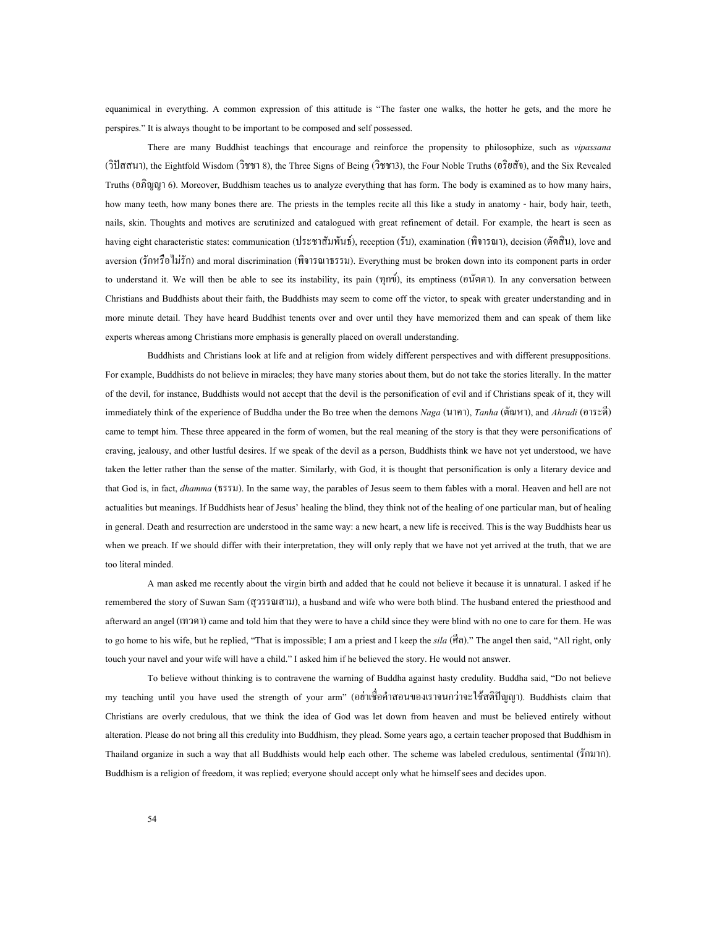equanimical in everything. A common expression of this attitude is "The faster one walks, the hotter he gets, and the more he perspires." It is always thought to be important to be composed and self possessed.

There are many Buddhist teachings that encourage and reinforce the propensity to philosophize, such as *vipassana* (วิปสสนา), the Eightfold Wisdom (วิชชา 8), the Three Signs of Being (วิชชา3), the Four Noble Truths (อริยสัจ), and the Six Revealed Truths (อภิญญา 6). Moreover, Buddhism teaches us to analyze everything that has form. The body is examined as to how many hairs, how many teeth, how many bones there are. The priests in the temples recite all this like a study in anatomy - hair, body hair, teeth, nails, skin. Thoughts and motives are scrutinized and catalogued with great refinement of detail. For example, the heart is seen as having eight characteristic states: communication (ประชาสัมพันธ), reception (รับ), examination (พิจารณา), decision (ตัดสิน), love and aversion (รักหรือไมรัก) and moral discrimination (พิจารณาธรรม). Everything must be broken down into its component parts in order to understand it. We will then be able to see its instability, its pain (ทุกข), its emptiness (อนัตตา). In any conversation between Christians and Buddhists about their faith, the Buddhists may seem to come off the victor, to speak with greater understanding and in more minute detail. They have heard Buddhist tenents over and over until they have memorized them and can speak of them like experts whereas among Christians more emphasis is generally placed on overall understanding.

Buddhists and Christians look at life and at religion from widely different perspectives and with different presuppositions. For example, Buddhists do not believe in miracles; they have many stories about them, but do not take the stories literally. In the matter of the devil, for instance, Buddhists would not accept that the devil is the personification of evil and if Christians speak of it, they will immediately think of the experience of Buddha under the Bo tree when the demons *Naga* (นาคา), *Tanha* (ตัณหา), and *Ahradi* (อาระดี) came to tempt him. These three appeared in the form of women, but the real meaning of the story is that they were personifications of craving, jealousy, and other lustful desires. If we speak of the devil as a person, Buddhists think we have not yet understood, we have taken the letter rather than the sense of the matter. Similarly, with God, it is thought that personification is only a literary device and that God is, in fact, *dhamma* (ธรรม). In the same way, the parables of Jesus seem to them fables with a moral. Heaven and hell are not actualities but meanings. If Buddhists hear of Jesus' healing the blind, they think not of the healing of one particular man, but of healing in general. Death and resurrection are understood in the same way: a new heart, a new life is received. This is the way Buddhists hear us when we preach. If we should differ with their interpretation, they will only reply that we have not yet arrived at the truth, that we are too literal minded.

A man asked me recently about the virgin birth and added that he could not believe it because it is unnatural. I asked if he remembered the story of Suwan Sam (สุวรรณสาม), a husband and wife who were both blind. The husband entered the priesthood and afterward an angel (เทวดา) came and told him that they were to have a child since they were blind with no one to care for them. He was to go home to his wife, but he replied, "That is impossible; I am a priest and I keep the *sila* (ศีล)." The angel then said, "All right, only touch your navel and your wife will have a child." I asked him if he believed the story. He would not answer.

To believe without thinking is to contravene the warning of Buddha against hasty credulity. Buddha said, "Do not believe my teaching until you have used the strength of your arm" (อย่าเชื่อคำสอนของเราจนกว่าจะใช้สติปัญญา). Buddhists claim that Christians are overly credulous, that we think the idea of God was let down from heaven and must be believed entirely without alteration. Please do not bring all this credulity into Buddhism, they plead. Some years ago, a certain teacher proposed that Buddhism in Thailand organize in such a way that all Buddhists would help each other. The scheme was labeled credulous, sentimental (รักมาก). Buddhism is a religion of freedom, it was replied; everyone should accept only what he himself sees and decides upon.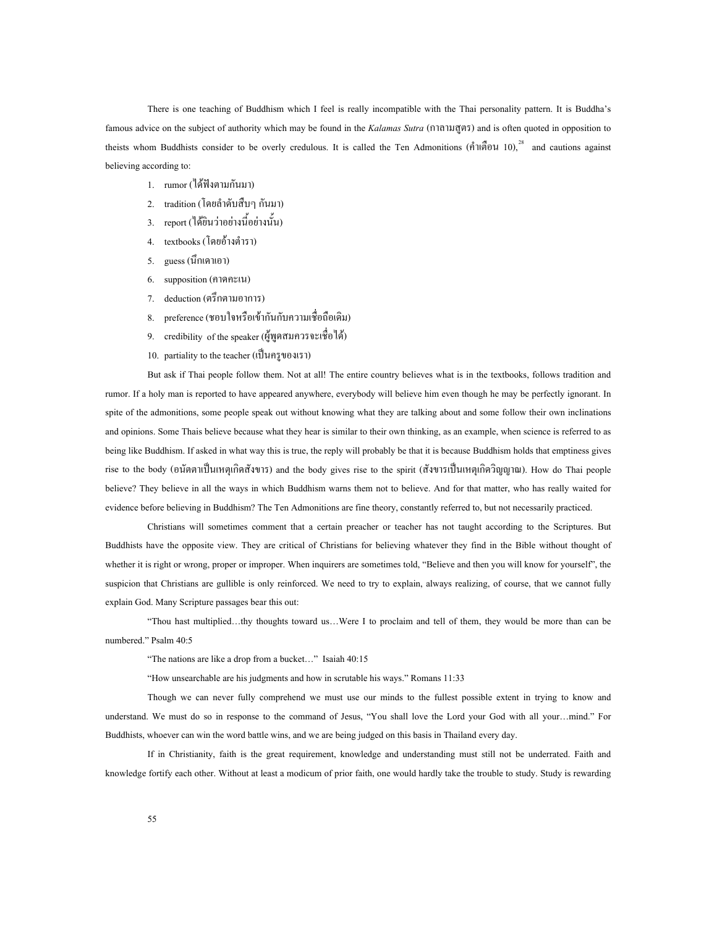believing according to: There is one teaching of Buddhism which I feel is really incompatible with the Thai personality pattern. It is Buddha's famous advice on the subject of authority which may be found in the *Kalamas Sutra* (กาลามสูตร) and is often quoted in opposition to theists whom Buddhists consider to be overly credulous. It is called the Ten Admonitions (คำเตือน 10),<sup>[28](#page-75-6)</sup> and cautions against

- 1. rumor (ได้ฟังตามกันมา)
- 2. tradition (โดยลําดับสืบๆ กันมา)
- 3. report (ใด้ยินว่าอย่างนี้อย่างนั้น)
- 4. textbooks (โดยอ้างตำรา)
- 5. guess (นึกเดาเอา)
- 6. supposition (คาดคะเน)
- 7. deduction (ตรึกตามอาการ)
- 8. preference (ชอบใจหรือเขากันกับความเช อถือเดิม) ื่
- 9. credibility of the speaker (ผูพูดสมควรจะเช ื่อได)
- 10. partiality to the teacher (เปนครูของเรา)

But ask if Thai people follow them. Not at all! The entire country believes what is in the textbooks, follows tradition and rumor. If a holy man is reported to have appeared anywhere, everybody will believe him even though he may be perfectly ignorant. In spite of the admonitions, some people speak out without knowing what they are talking about and some follow their own inclinations and opinions. Some Thais believe because what they hear is similar to their own thinking, as an example, when science is referred to as being like Buddhism. If asked in what way this is true, the reply will probably be that it is because Buddhism holds that emptiness gives rise to the body (อนัตตาเปนเหตุเกิดสังขาร) and the body gives rise to the spirit (สังขารเปนเหตุเกิดวิญญาณ). How do Thai people believe? They believe in all the ways in which Buddhism warns them not to believe. And for that matter, who has really waited for evidence before believing in Buddhism? The Ten Admonitions are fine theory, constantly referred to, but not necessarily practiced.

Christians will sometimes comment that a certain preacher or teacher has not taught according to the Scriptures. But Buddhists have the opposite view. They are critical of Christians for believing whatever they find in the Bible without thought of whether it is right or wrong, proper or improper. When inquirers are sometimes told, "Believe and then you will know for yourself", the suspicion that Christians are gullible is only reinforced. We need to try to explain, always realizing, of course, that we cannot fully explain God. Many Scripture passages bear this out:

"Thou hast multiplied…thy thoughts toward us…Were I to proclaim and tell of them, they would be more than can be numbered." Psalm 40:5

"The nations are like a drop from a bucket…" Isaiah 40:15

"How unsearchable are his judgments and how in scrutable his ways." Romans 11:33

Though we can never fully comprehend we must use our minds to the fullest possible extent in trying to know and understand. We must do so in response to the command of Jesus, "You shall love the Lord your God with all your…mind." For Buddhists, whoever can win the word battle wins, and we are being judged on this basis in Thailand every day.

If in Christianity, faith is the great requirement, knowledge and understanding must still not be underrated. Faith and knowledge fortify each other. Without at least a modicum of prior faith, one would hardly take the trouble to study. Study is rewarding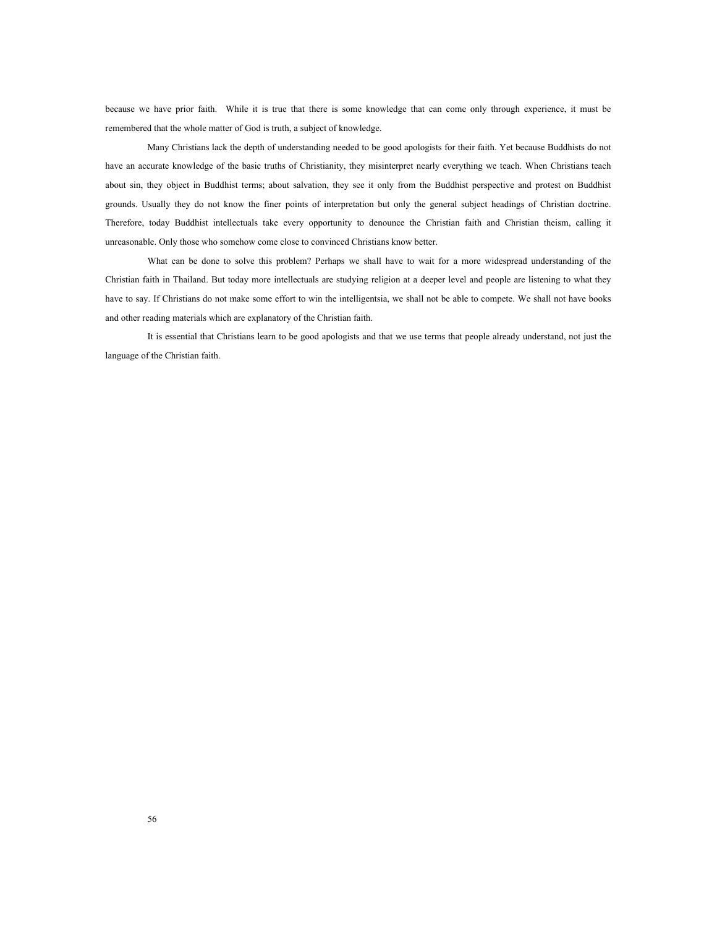because we have prior faith. While it is true that there is some knowledge that can come only through experience, it must be remembered that the whole matter of God is truth, a subject of knowledge.

Many Christians lack the depth of understanding needed to be good apologists for their faith. Yet because Buddhists do not have an accurate knowledge of the basic truths of Christianity, they misinterpret nearly everything we teach. When Christians teach about sin, they object in Buddhist terms; about salvation, they see it only from the Buddhist perspective and protest on Buddhist grounds. Usually they do not know the finer points of interpretation but only the general subject headings of Christian doctrine. Therefore, today Buddhist intellectuals take every opportunity to denounce the Christian faith and Christian theism, calling it unreasonable. Only those who somehow come close to convinced Christians know better.

What can be done to solve this problem? Perhaps we shall have to wait for a more widespread understanding of the Christian faith in Thailand. But today more intellectuals are studying religion at a deeper level and people are listening to what they have to say. If Christians do not make some effort to win the intelligentsia, we shall not be able to compete. We shall not have books and other reading materials which are explanatory of the Christian faith.

It is essential that Christians learn to be good apologists and that we use terms that people already understand, not just the language of the Christian faith.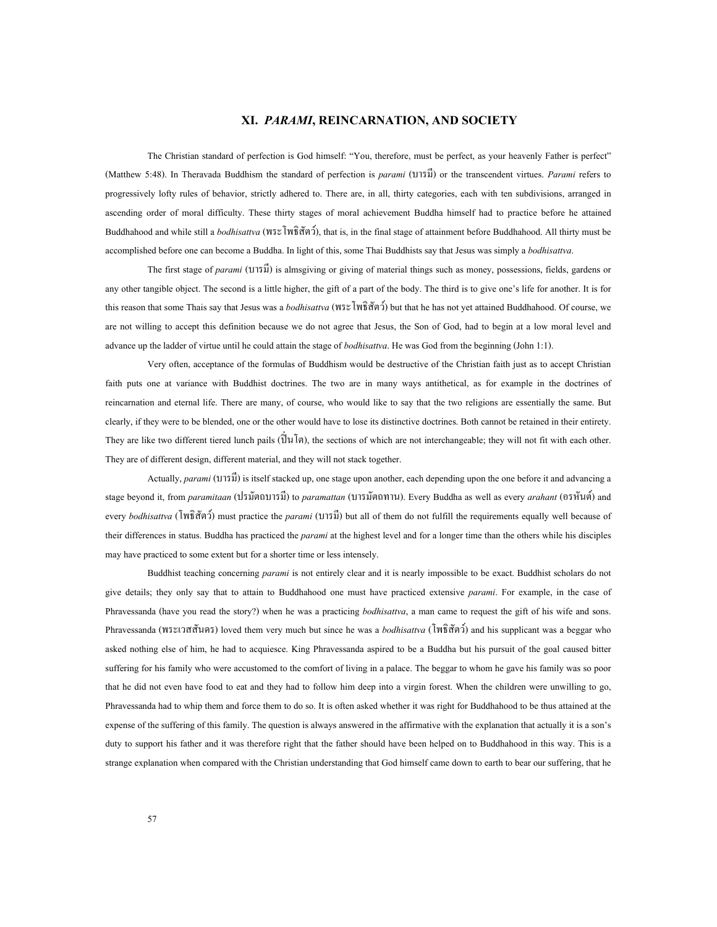### **XI.** *PARAMI***, REINCARNATION, AND SOCIETY**

The Christian standard of perfection is God himself: "You, therefore, must be perfect, as your heavenly Father is perfect" (Matthew 5:48). In Theravada Buddhism the standard of perfection is *parami* (บารมี) or the transcendent virtues. *Parami* refers to progressively lofty rules of behavior, strictly adhered to. There are, in all, thirty categories, each with ten subdivisions, arranged in ascending order of moral difficulty. These thirty stages of moral achievement Buddha himself had to practice before he attained Buddhahood and while still a *bodhisattva* (พระโพธิสัตว), that is, in the final stage of attainment before Buddhahood. All thirty must be accomplished before one can become a Buddha. In light of this, some Thai Buddhists say that Jesus was simply a *bodhisattva*.

The first stage of *parami* (บารมี) is almsgiving or giving of material things such as money, possessions, fields, gardens or any other tangible object. The second is a little higher, the gift of a part of the body. The third is to give one's life for another. It is for this reason that some Thais say that Jesus was a *bodhisattva* (พระโพธิสัตว) but that he has not yet attained Buddhahood. Of course, we are not willing to accept this definition because we do not agree that Jesus, the Son of God, had to begin at a low moral level and advance up the ladder of virtue until he could attain the stage of *bodhisattva*. He was God from the beginning (John 1:1).

Very often, acceptance of the formulas of Buddhism would be destructive of the Christian faith just as to accept Christian faith puts one at variance with Buddhist doctrines. The two are in many ways antithetical, as for example in the doctrines of reincarnation and eternal life. There are many, of course, who would like to say that the two religions are essentially the same. But clearly, if they were to be blended, one or the other would have to lose its distinctive doctrines. Both cannot be retained in their entirety. They are like two different tiered lunch pails  $(\hat{\vec{U}}\mu|\vec{v})$ , the sections of which are not interchangeable; they will not fit with each other. They are of different design, different material, and they will not stack together.

Actually, *parami* (บารมี) is itself stacked up, one stage upon another, each depending upon the one before it and advancing a stage beyond it, from *paramitaan* (ปรมัตถบารมี) to *paramattan* (บารมัตถทาน). Every Buddha as well as every *arahant* (อรหันต) and every *bodhisattva* (โพธิสัตว) must practice the *parami* (บารมี) but all of them do not fulfill the requirements equally well because of their differences in status. Buddha has practiced the *parami* at the highest level and for a longer time than the others while his disciples may have practiced to some extent but for a shorter time or less intensely.

Buddhist teaching concerning *parami* is not entirely clear and it is nearly impossible to be exact. Buddhist scholars do not give details; they only say that to attain to Buddhahood one must have practiced extensive *parami*. For example, in the case of Phravessanda (have you read the story?) when he was a practicing *bodhisattva*, a man came to request the gift of his wife and sons. Phravessanda (พระเวสสันดร) loved them very much but since he was a *bodhisattva* (โพธิสัตว) and his supplicant was a beggar who asked nothing else of him, he had to acquiesce. King Phravessanda aspired to be a Buddha but his pursuit of the goal caused bitter suffering for his family who were accustomed to the comfort of living in a palace. The beggar to whom he gave his family was so poor that he did not even have food to eat and they had to follow him deep into a virgin forest. When the children were unwilling to go, Phravessanda had to whip them and force them to do so. It is often asked whether it was right for Buddhahood to be thus attained at the expense of the suffering of this family. The question is always answered in the affirmative with the explanation that actually it is a son's duty to support his father and it was therefore right that the father should have been helped on to Buddhahood in this way. This is a strange explanation when compared with the Christian understanding that God himself came down to earth to bear our suffering, that he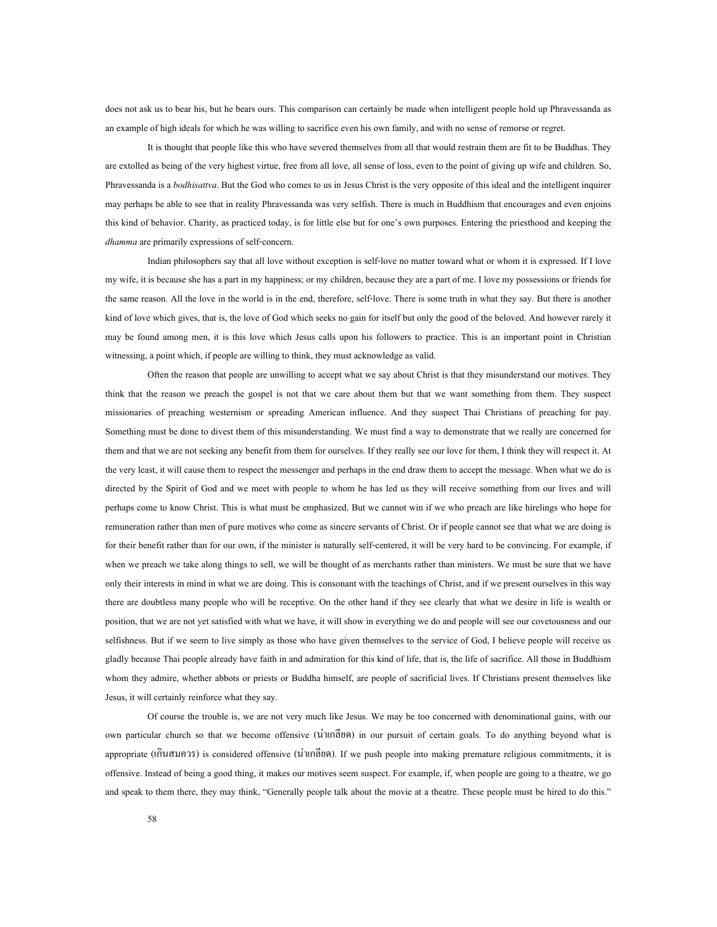does not ask us to bear his, but he bears ours. This comparison can certainly be made when intelligent people hold up Phravessanda as an example of high ideals for which he was willing to sacrifice even his own family, and with no sense of remorse or regret.

It is thought that people like this who have severed themselves from all that would restrain them are fit to be Buddhas. They are extolled as being of the very highest virtue, free from all love, all sense of loss, even to the point of giving up wife and children. So, Phravessanda is a *bodhisattva*. But the God who comes to us in Jesus Christ is the very opposite of this ideal and the intelligent inquirer may perhaps be able to see that in reality Phravessanda was very selfish. There is much in Buddhism that encourages and even enjoins this kind of behavior. Charity, as practiced today, is for little else but for one's own purposes. Entering the priesthood and keeping the *dhamma* are primarily expressions of self-concern.

Indian philosophers say that all love without exception is self-love no matter toward what or whom it is expressed. If I love my wife, it is because she has a part in my happiness; or my children, because they are a part of me. I love my possessions or friends for the same reason. All the love in the world is in the end, therefore, self-love. There is some truth in what they say. But there is another kind of love which gives, that is, the love of God which seeks no gain for itself but only the good of the beloved. And however rarely it may be found among men, it is this love which Jesus calls upon his followers to practice. This is an important point in Christian witnessing, a point which, if people are willing to think, they must acknowledge as valid.

Often the reason that people are unwilling to accept what we say about Christ is that they misunderstand our motives. They think that the reason we preach the gospel is not that we care about them but that we want something from them. They suspect missionaries of preaching westernism or spreading American influence. And they suspect Thai Christians of preaching for pay. Something must be done to divest them of this misunderstanding. We must find a way to demonstrate that we really are concerned for them and that we are not seeking any benefit from them for ourselves. If they really see our love for them, I think they will respect it. At the very least, it will cause them to respect the messenger and perhaps in the end draw them to accept the message. When what we do is directed by the Spirit of God and we meet with people to whom he has led us they will receive something from our lives and will perhaps come to know Christ. This is what must be emphasized. But we cannot win if we who preach are like hirelings who hope for remuneration rather than men of pure motives who come as sincere servants of Christ. Or if people cannot see that what we are doing is for their benefit rather than for our own, if the minister is naturally self-centered, it will be very hard to be convincing. For example, if when we preach we take along things to sell, we will be thought of as merchants rather than ministers. We must be sure that we have only their interests in mind in what we are doing. This is consonant with the teachings of Christ, and if we present ourselves in this way there are doubtless many people who will be receptive. On the other hand if they see clearly that what we desire in life is wealth or position, that we are not yet satisfied with what we have, it will show in everything we do and people will see our covetousness and our selfishness. But if we seem to live simply as those who have given themselves to the service of God, I believe people will receive us gladly because Thai people already have faith in and admiration for this kind of life, that is, the life of sacrifice. All those in Buddhism whom they admire, whether abbots or priests or Buddha himself, are people of sacrificial lives. If Christians present themselves like Jesus, it will certainly reinforce what they say.

Of course the trouble is, we are not very much like Jesus. We may be too concerned with denominational gains, with our own particular church so that we become offensive (นาเกลียด) in our pursuit of certain goals. To do anything beyond what is appropriate (เกินสมควร) is considered offensive (นาเกลียด). If we push people into making premature religious commitments, it is offensive. Instead of being a good thing, it makes our motives seem suspect. For example, if, when people are going to a theatre, we go and speak to them there, they may think, "Generally people talk about the movie at a theatre. These people must be hired to do this."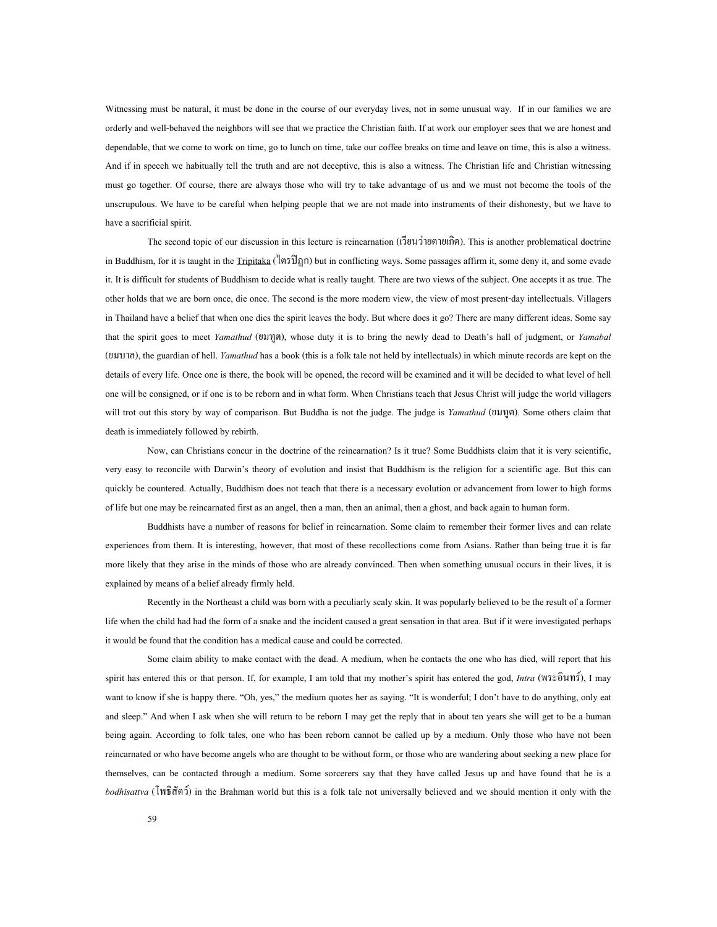Witnessing must be natural, it must be done in the course of our everyday lives, not in some unusual way. If in our families we are orderly and well-behaved the neighbors will see that we practice the Christian faith. If at work our employer sees that we are honest and dependable, that we come to work on time, go to lunch on time, take our coffee breaks on time and leave on time, this is also a witness. And if in speech we habitually tell the truth and are not deceptive, this is also a witness. The Christian life and Christian witnessing must go together. Of course, there are always those who will try to take advantage of us and we must not become the tools of the unscrupulous. We have to be careful when helping people that we are not made into instruments of their dishonesty, but we have to have a sacrificial spirit.

The second topic of our discussion in this lecture is reincarnation (เวียนวายตายเกิด). This is another problematical doctrine in Buddhism, for it is taught in the Tripitaka (ไตรปฏก) but in conflicting ways. Some passages affirm it, some deny it, and some evade it. It is difficult for students of Buddhism to decide what is really taught. There are two views of the subject. One accepts it as true. The other holds that we are born once, die once. The second is the more modern view, the view of most present-day intellectuals. Villagers in Thailand have a belief that when one dies the spirit leaves the body. But where does it go? There are many different ideas. Some say that the spirit goes to meet *Yamathud* (ยมทูต), whose duty it is to bring the newly dead to Death's hall of judgment, or *Yamabal* (ยมบาล), the guardian of hell. *Yamathud* has a book (this is a folk tale not held by intellectuals) in which minute records are kept on the details of every life. Once one is there, the book will be opened, the record will be examined and it will be decided to what level of hell one will be consigned, or if one is to be reborn and in what form. When Christians teach that Jesus Christ will judge the world villagers will trot out this story by way of comparison. But Buddha is not the judge. The judge is *Yamathud* (ยมทูต). Some others claim that death is immediately followed by rebirth.

Now, can Christians concur in the doctrine of the reincarnation? Is it true? Some Buddhists claim that it is very scientific, very easy to reconcile with Darwin's theory of evolution and insist that Buddhism is the religion for a scientific age. But this can quickly be countered. Actually, Buddhism does not teach that there is a necessary evolution or advancement from lower to high forms of life but one may be reincarnated first as an angel, then a man, then an animal, then a ghost, and back again to human form.

Buddhists have a number of reasons for belief in reincarnation. Some claim to remember their former lives and can relate experiences from them. It is interesting, however, that most of these recollections come from Asians. Rather than being true it is far more likely that they arise in the minds of those who are already convinced. Then when something unusual occurs in their lives, it is explained by means of a belief already firmly held.

Recently in the Northeast a child was born with a peculiarly scaly skin. It was popularly believed to be the result of a former life when the child had had the form of a snake and the incident caused a great sensation in that area. But if it were investigated perhaps it would be found that the condition has a medical cause and could be corrected.

Some claim ability to make contact with the dead. A medium, when he contacts the one who has died, will report that his spirit has entered this or that person. If, for example, I am told that my mother's spirit has entered the god, *Intra* (พระอินทร), I may want to know if she is happy there. "Oh, yes," the medium quotes her as saying. "It is wonderful; I don't have to do anything, only eat and sleep." And when I ask when she will return to be reborn I may get the reply that in about ten years she will get to be a human being again. According to folk tales, one who has been reborn cannot be called up by a medium. Only those who have not been reincarnated or who have become angels who are thought to be without form, or those who are wandering about seeking a new place for themselves, can be contacted through a medium. Some sorcerers say that they have called Jesus up and have found that he is a *bodhisattva* (โพธิสัตว) in the Brahman world but this is a folk tale not universally believed and we should mention it only with the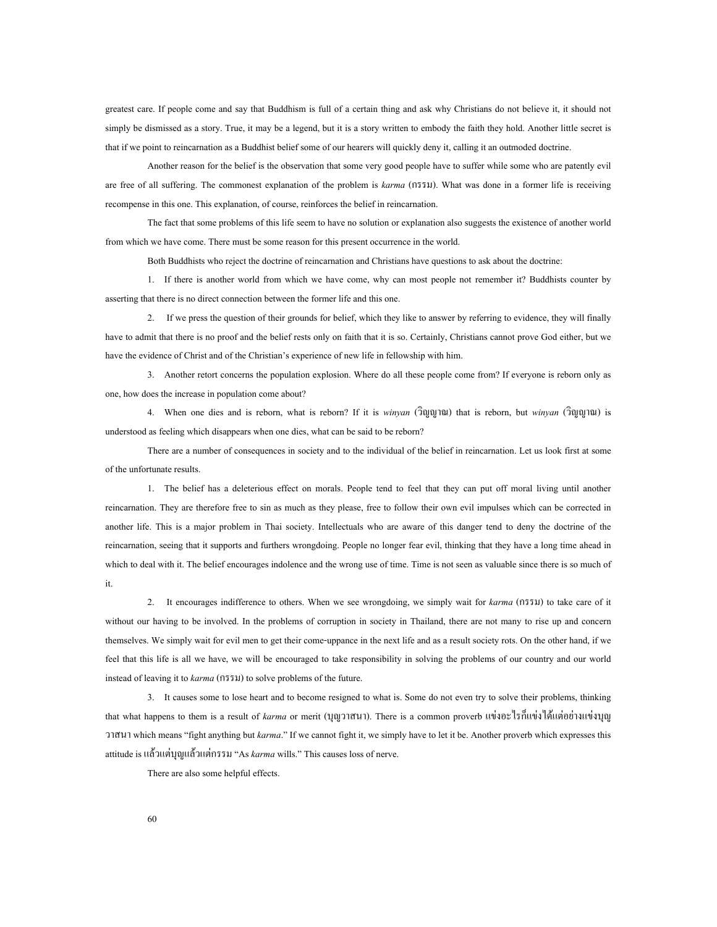greatest care. If people come and say that Buddhism is full of a certain thing and ask why Christians do not believe it, it should not simply be dismissed as a story. True, it may be a legend, but it is a story written to embody the faith they hold. Another little secret is that if we point to reincarnation as a Buddhist belief some of our hearers will quickly deny it, calling it an outmoded doctrine.

Another reason for the belief is the observation that some very good people have to suffer while some who are patently evil are free of all suffering. The commonest explanation of the problem is *karma* (กรรม). What was done in a former life is receiving recompense in this one. This explanation, of course, reinforces the belief in reincarnation.

The fact that some problems of this life seem to have no solution or explanation also suggests the existence of another world from which we have come. There must be some reason for this present occurrence in the world.

Both Buddhists who reject the doctrine of reincarnation and Christians have questions to ask about the doctrine:

1. If there is another world from which we have come, why can most people not remember it? Buddhists counter by asserting that there is no direct connection between the former life and this one.

2. If we press the question of their grounds for belief, which they like to answer by referring to evidence, they will finally have to admit that there is no proof and the belief rests only on faith that it is so. Certainly, Christians cannot prove God either, but we have the evidence of Christ and of the Christian's experience of new life in fellowship with him.

3. Another retort concerns the population explosion. Where do all these people come from? If everyone is reborn only as one, how does the increase in population come about?

4. When one dies and is reborn, what is reborn? If it is *winyan* (วิญญาณ) that is reborn, but *winyan* (วิญญาณ) is understood as feeling which disappears when one dies, what can be said to be reborn?

There are a number of consequences in society and to the individual of the belief in reincarnation. Let us look first at some of the unfortunate results.

1. The belief has a deleterious effect on morals. People tend to feel that they can put off moral living until another reincarnation. They are therefore free to sin as much as they please, free to follow their own evil impulses which can be corrected in another life. This is a major problem in Thai society. Intellectuals who are aware of this danger tend to deny the doctrine of the reincarnation, seeing that it supports and furthers wrongdoing. People no longer fear evil, thinking that they have a long time ahead in which to deal with it. The belief encourages indolence and the wrong use of time. Time is not seen as valuable since there is so much of it.

2. It encourages indifference to others. When we see wrongdoing, we simply wait for *karma* (กรรม) to take care of it without our having to be involved. In the problems of corruption in society in Thailand, there are not many to rise up and concern themselves. We simply wait for evil men to get their come-uppance in the next life and as a result society rots. On the other hand, if we feel that this life is all we have, we will be encouraged to take responsibility in solving the problems of our country and our world instead of leaving it to *karma* (กรรม) to solve problems of the future.

3. It causes some to lose heart and to become resigned to what is. Some do not even try to solve their problems, thinking that what happens to them is a result of *karma* or merit (บุญวาสนา). There is a common proverb แขงอะไรก็แขงไดแตอยางแขงบุญ วาสนา which means "fight anything but *karma*." If we cannot fight it, we simply have to let it be. Another proverb which expresses this attitude is แลวแตบุญแลวแตกรรม "As *karma* wills." This causes loss of nerve.

There are also some helpful effects.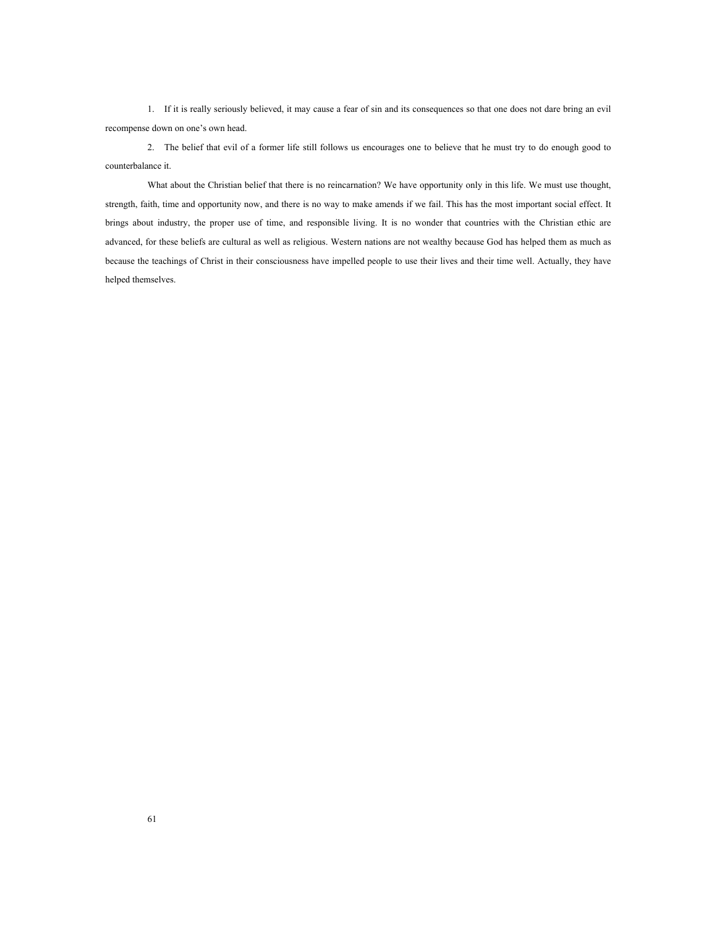1. If it is really seriously believed, it may cause a fear of sin and its consequences so that one does not dare bring an evil recompense down on one's own head.

2. The belief that evil of a former life still follows us encourages one to believe that he must try to do enough good to counterbalance it.

What about the Christian belief that there is no reincarnation? We have opportunity only in this life. We must use thought, strength, faith, time and opportunity now, and there is no way to make amends if we fail. This has the most important social effect. It brings about industry, the proper use of time, and responsible living. It is no wonder that countries with the Christian ethic are advanced, for these beliefs are cultural as well as religious. Western nations are not wealthy because God has helped them as much as because the teachings of Christ in their consciousness have impelled people to use their lives and their time well. Actually, they have helped themselves.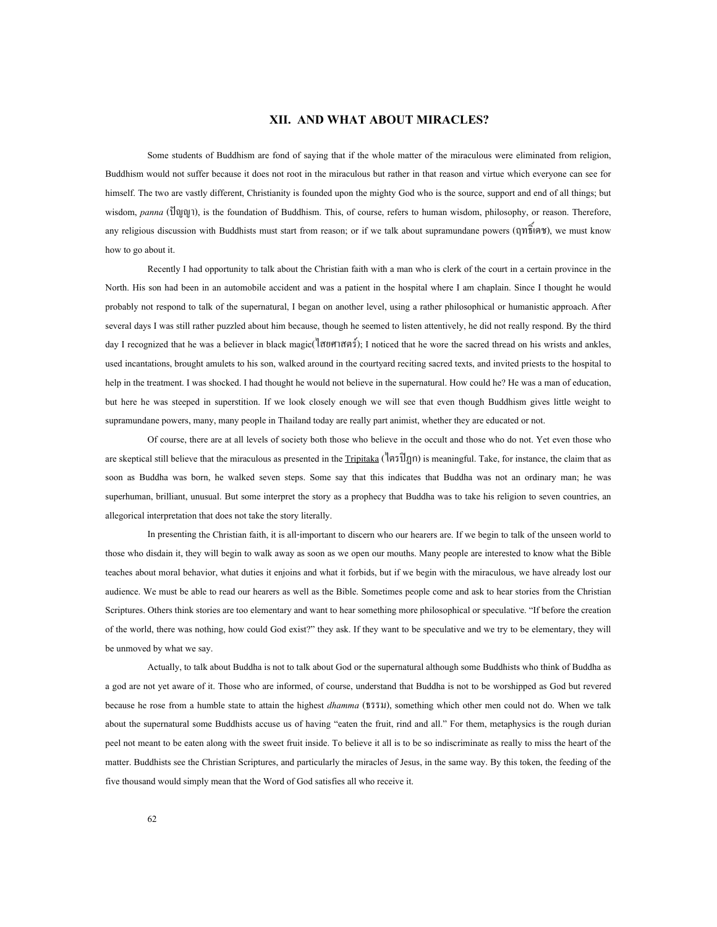## **XII. AND WHAT ABOUT MIRACLES?**

Some students of Buddhism are fond of saying that if the whole matter of the miraculous were eliminated from religion, Buddhism would not suffer because it does not root in the miraculous but rather in that reason and virtue which everyone can see for himself. The two are vastly different, Christianity is founded upon the mighty God who is the source, support and end of all things; but wisdom, *panna* (ปญญา), is the foundation of Buddhism. This, of course, refers to human wisdom, philosophy, or reason. Therefore, any religious discussion with Buddhists must start from reason; or if we talk about supramundane powers (ฤทธิ์เดช), we must know how to go about it.

Recently I had opportunity to talk about the Christian faith with a man who is clerk of the court in a certain province in the North. His son had been in an automobile accident and was a patient in the hospital where I am chaplain. Since I thought he would probably not respond to talk of the supernatural, I began on another level, using a rather philosophical or humanistic approach. After several days I was still rather puzzled about him because, though he seemed to listen attentively, he did not really respond. By the third day I recognized that he was a believer in black magic(ไสยศาสตร); I noticed that he wore the sacred thread on his wrists and ankles, used incantations, brought amulets to his son, walked around in the courtyard reciting sacred texts, and invited priests to the hospital to help in the treatment. I was shocked. I had thought he would not believe in the supernatural. How could he? He was a man of education, but here he was steeped in superstition. If we look closely enough we will see that even though Buddhism gives little weight to supramundane powers, many, many people in Thailand today are really part animist, whether they are educated or not.

Of course, there are at all levels of society both those who believe in the occult and those who do not. Yet even those who are skeptical still believe that the miraculous as presented in the  $Tripitaka$  ( $\langle \nexists \overrightarrow{n} \rangle$ ) is meaningful. Take, for instance, the claim that as soon as Buddha was born, he walked seven steps. Some say that this indicates that Buddha was not an ordinary man; he was superhuman, brilliant, unusual. But some interpret the story as a prophecy that Buddha was to take his religion to seven countries, an allegorical interpretation that does not take the story literally.

In presenting the Christian faith, it is all-important to discern who our hearers are. If we begin to talk of the unseen world to those who disdain it, they will begin to walk away as soon as we open our mouths. Many people are interested to know what the Bible teaches about moral behavior, what duties it enjoins and what it forbids, but if we begin with the miraculous, we have already lost our audience. We must be able to read our hearers as well as the Bible. Sometimes people come and ask to hear stories from the Christian Scriptures. Others think stories are too elementary and want to hear something more philosophical or speculative. "If before the creation of the world, there was nothing, how could God exist?" they ask. If they want to be speculative and we try to be elementary, they will be unmoved by what we say.

Actually, to talk about Buddha is not to talk about God or the supernatural although some Buddhists who think of Buddha as a god are not yet aware of it. Those who are informed, of course, understand that Buddha is not to be worshipped as God but revered because he rose from a humble state to attain the highest *dhamma* (ธรรม), something which other men could not do. When we talk about the supernatural some Buddhists accuse us of having "eaten the fruit, rind and all." For them, metaphysics is the rough durian peel not meant to be eaten along with the sweet fruit inside. To believe it all is to be so indiscriminate as really to miss the heart of the matter. Buddhists see the Christian Scriptures, and particularly the miracles of Jesus, in the same way. By this token, the feeding of the five thousand would simply mean that the Word of God satisfies all who receive it.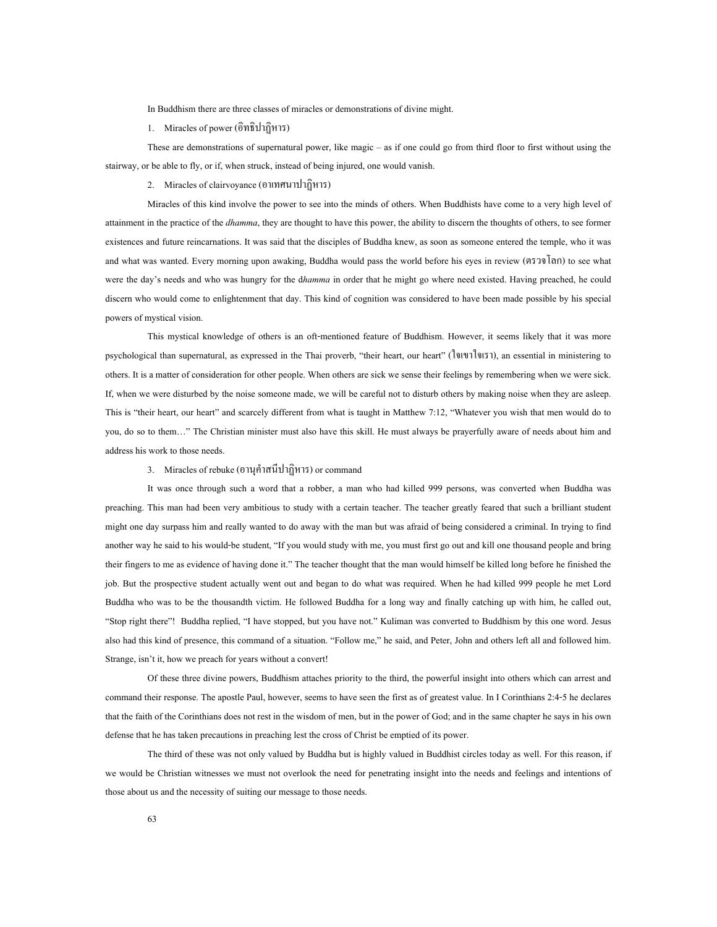In Buddhism there are three classes of miracles or demonstrations of divine might.

1. Miracles of power (อิทธิปาฏิหาร)

These are demonstrations of supernatural power, like magic – as if one could go from third floor to first without using the stairway, or be able to fly, or if, when struck, instead of being injured, one would vanish.

2. Miracles of clairvoyance (อาเทศนาปาฏิหาร)

Miracles of this kind involve the power to see into the minds of others. When Buddhists have come to a very high level of attainment in the practice of the *dhamma*, they are thought to have this power, the ability to discern the thoughts of others, to see former existences and future reincarnations. It was said that the disciples of Buddha knew, as soon as someone entered the temple, who it was and what was wanted. Every morning upon awaking, Buddha would pass the world before his eyes in review (ตรวจโลก) to see what were the day's needs and who was hungry for the d*hamma* in order that he might go where need existed. Having preached, he could discern who would come to enlightenment that day. This kind of cognition was considered to have been made possible by his special powers of mystical vision.

This mystical knowledge of others is an oft-mentioned feature of Buddhism. However, it seems likely that it was more psychological than supernatural, as expressed in the Thai proverb, "their heart, our heart" (ใจเขาใจเรา), an essential in ministering to others. It is a matter of consideration for other people. When others are sick we sense their feelings by remembering when we were sick. If, when we were disturbed by the noise someone made, we will be careful not to disturb others by making noise when they are asleep. This is "their heart, our heart" and scarcely different from what is taught in Matthew 7:12, "Whatever you wish that men would do to you, do so to them…" The Christian minister must also have this skill. He must always be prayerfully aware of needs about him and address his work to those needs.

## 3. Miracles of rebuke (อานุคําสนีปาฏิหาร) or command

It was once through such a word that a robber, a man who had killed 999 persons, was converted when Buddha was preaching. This man had been very ambitious to study with a certain teacher. The teacher greatly feared that such a brilliant student might one day surpass him and really wanted to do away with the man but was afraid of being considered a criminal. In trying to find another way he said to his would-be student, "If you would study with me, you must first go out and kill one thousand people and bring their fingers to me as evidence of having done it." The teacher thought that the man would himself be killed long before he finished the job. But the prospective student actually went out and began to do what was required. When he had killed 999 people he met Lord Buddha who was to be the thousandth victim. He followed Buddha for a long way and finally catching up with him, he called out, "Stop right there"! Buddha replied, "I have stopped, but you have not." Kuliman was converted to Buddhism by this one word. Jesus also had this kind of presence, this command of a situation. "Follow me," he said, and Peter, John and others left all and followed him. Strange, isn't it, how we preach for years without a convert!

Of these three divine powers, Buddhism attaches priority to the third, the powerful insight into others which can arrest and command their response. The apostle Paul, however, seems to have seen the first as of greatest value. In I Corinthians 2:4-5 he declares that the faith of the Corinthians does not rest in the wisdom of men, but in the power of God; and in the same chapter he says in his own defense that he has taken precautions in preaching lest the cross of Christ be emptied of its power.

The third of these was not only valued by Buddha but is highly valued in Buddhist circles today as well. For this reason, if we would be Christian witnesses we must not overlook the need for penetrating insight into the needs and feelings and intentions of those about us and the necessity of suiting our message to those needs.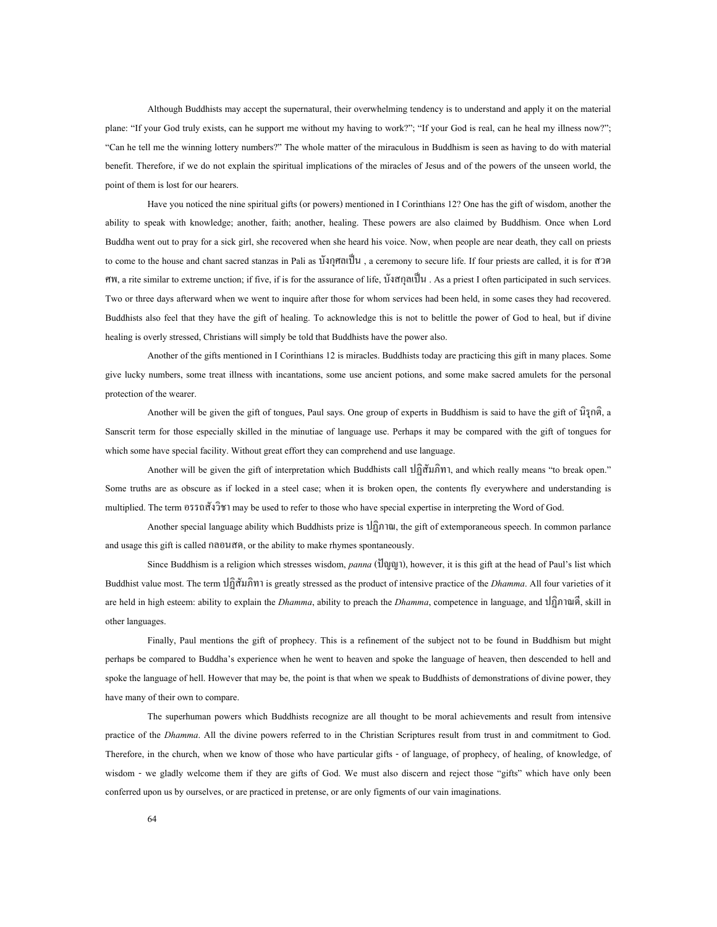Although Buddhists may accept the supernatural, their overwhelming tendency is to understand and apply it on the material plane: "If your God truly exists, can he support me without my having to work?"; "If your God is real, can he heal my illness now?"; "Can he tell me the winning lottery numbers?" The whole matter of the miraculous in Buddhism is seen as having to do with material benefit. Therefore, if we do not explain the spiritual implications of the miracles of Jesus and of the powers of the unseen world, the point of them is lost for our hearers.

Have you noticed the nine spiritual gifts (or powers) mentioned in I Corinthians 12? One has the gift of wisdom, another the ability to speak with knowledge; another, faith; another, healing. These powers are also claimed by Buddhism. Once when Lord Buddha went out to pray for a sick girl, she recovered when she heard his voice. Now, when people are near death, they call on priests to come to the house and chant sacred stanzas in Pali as บังกุศลเป็น, a ceremony to secure life. If four priests are called, it is for สวด ศพ, a rite similar to extreme unction; if five, if is for the assurance of life, บังสกุลเปน . As a priest I often participated in such services. Two or three days afterward when we went to inquire after those for whom services had been held, in some cases they had recovered. Buddhists also feel that they have the gift of healing. To acknowledge this is not to belittle the power of God to heal, but if divine healing is overly stressed, Christians will simply be told that Buddhists have the power also.

Another of the gifts mentioned in I Corinthians 12 is miracles. Buddhists today are practicing this gift in many places. Some give lucky numbers, some treat illness with incantations, some use ancient potions, and some make sacred amulets for the personal protection of the wearer.

Another will be given the gift of tongues, Paul says. One group of experts in Buddhism is said to have the gift of นิรุกติ, a Sanscrit term for those especially skilled in the minutiae of language use. Perhaps it may be compared with the gift of tongues for which some have special facility. Without great effort they can comprehend and use language.

Another will be given the gift of interpretation which Buddhists call ปฏิสัมภิทา, and which really means "to break open." Some truths are as obscure as if locked in a steel case; when it is broken open, the contents fly everywhere and understanding is multiplied. The term อรรถสังวิชา may be used to refer to those who have special expertise in interpreting the Word of God.

Another special language ability which Buddhists prize is  $\hat{u}$  $\hat{u}$  and  $\hat{u}$ , the gift of extemporaneous speech. In common parlance and usage this gift is called กลอนสด, or the ability to make rhymes spontaneously.

Since Buddhism is a religion which stresses wisdom, *panna* (ปญญา), however, it is this gift at the head of Paul's list which Buddhist value most. The term ปฏิสัมภิทา is greatly stressed as the product of intensive practice of the *Dhamma*. All four varieties of it are held in high esteem: ability to explain the *Dhamma*, ability to preach the *Dhamma*, competence in language, and ปฏิภาณดี, skill in other languages.

Finally, Paul mentions the gift of prophecy. This is a refinement of the subject not to be found in Buddhism but might perhaps be compared to Buddha's experience when he went to heaven and spoke the language of heaven, then descended to hell and spoke the language of hell. However that may be, the point is that when we speak to Buddhists of demonstrations of divine power, they have many of their own to compare.

The superhuman powers which Buddhists recognize are all thought to be moral achievements and result from intensive practice of the *Dhamma*. All the divine powers referred to in the Christian Scriptures result from trust in and commitment to God. Therefore, in the church, when we know of those who have particular gifts - of language, of prophecy, of healing, of knowledge, of wisdom - we gladly welcome them if they are gifts of God. We must also discern and reject those "gifts" which have only been conferred upon us by ourselves, or are practiced in pretense, or are only figments of our vain imaginations.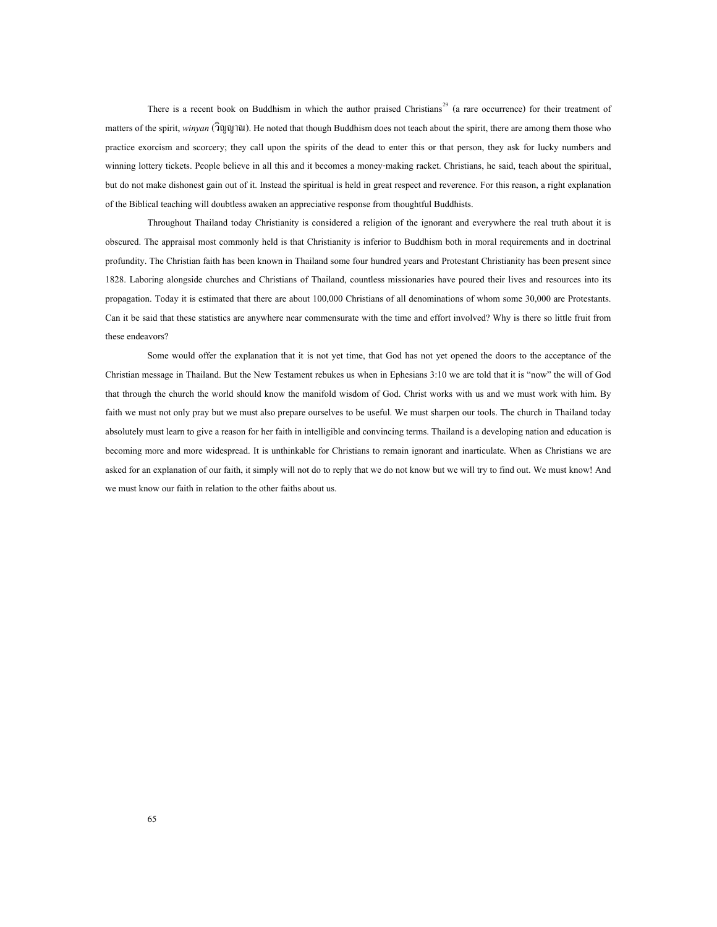There is a recent book on Buddhism in which the author praised Christians<sup>[29](#page-75-7)</sup> (a rare occurrence) for their treatment of matters of the spirit, *winyan* (วิญญาณ). He noted that though Buddhism does not teach about the spirit, there are among them those who practice exorcism and scorcery; they call upon the spirits of the dead to enter this or that person, they ask for lucky numbers and winning lottery tickets. People believe in all this and it becomes a money-making racket. Christians, he said, teach about the spiritual, but do not make dishonest gain out of it. Instead the spiritual is held in great respect and reverence. For this reason, a right explanation of the Biblical teaching will doubtless awaken an appreciative response from thoughtful Buddhists.

Throughout Thailand today Christianity is considered a religion of the ignorant and everywhere the real truth about it is obscured. The appraisal most commonly held is that Christianity is inferior to Buddhism both in moral requirements and in doctrinal profundity. The Christian faith has been known in Thailand some four hundred years and Protestant Christianity has been present since 1828. Laboring alongside churches and Christians of Thailand, countless missionaries have poured their lives and resources into its propagation. Today it is estimated that there are about 100,000 Christians of all denominations of whom some 30,000 are Protestants. Can it be said that these statistics are anywhere near commensurate with the time and effort involved? Why is there so little fruit from these endeavors?

Some would offer the explanation that it is not yet time, that God has not yet opened the doors to the acceptance of the Christian message in Thailand. But the New Testament rebukes us when in Ephesians 3:10 we are told that it is "now" the will of God that through the church the world should know the manifold wisdom of God. Christ works with us and we must work with him. By faith we must not only pray but we must also prepare ourselves to be useful. We must sharpen our tools. The church in Thailand today absolutely must learn to give a reason for her faith in intelligible and convincing terms. Thailand is a developing nation and education is becoming more and more widespread. It is unthinkable for Christians to remain ignorant and inarticulate. When as Christians we are asked for an explanation of our faith, it simply will not do to reply that we do not know but we will try to find out. We must know! And we must know our faith in relation to the other faiths about us.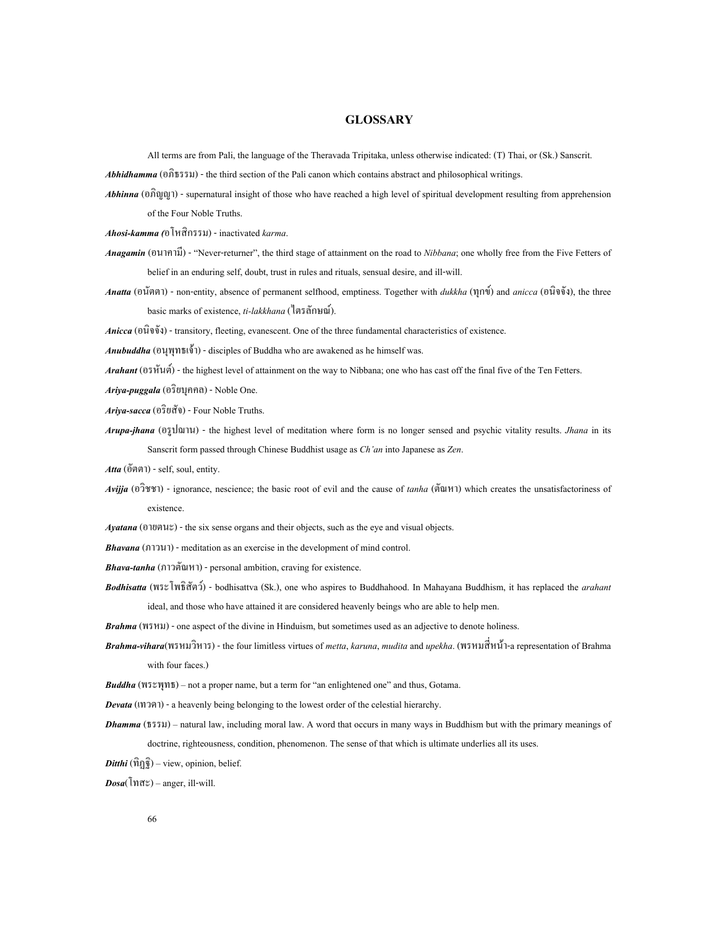#### **GLOSSARY**

All terms are from Pali, the language of the Theravada Tripitaka, unless otherwise indicated: (T) Thai, or (Sk.) Sanscrit.

*Abhidhamma* (อภิธรรม) - the third section of the Pali canon which contains abstract and philosophical writings.

*Abhinna* (อภิญญา) - supernatural insight of those who have reached a high level of spiritual development resulting from apprehension of the Four Noble Truths.

*Ahosi-kamma (*อโหสิกรรม) - inactivated *karma*.

- *Anagamin* (อนาคามี) "Never-returner", the third stage of attainment on the road to *Nibbana*; one wholly free from the Five Fetters of belief in an enduring self, doubt, trust in rules and rituals, sensual desire, and ill-will.
- *Anatta* (อนัตตา) non-entity, absence of permanent selfhood, emptiness. Together with *dukkha* (ทุกข) and *anicca* (อนิจจัง), the three basic marks of existence, *ti-lakkhana* (ไตรลักษณ).

*Anicca* (อนิจจัง) - transitory, fleeting, evanescent. One of the three fundamental characteristics of existence.

*Anubuddha* (อนุพุทธเจา) - disciples of Buddha who are awakened as he himself was.

*Arahant* (อรหันต) - the highest level of attainment on the way to Nibbana; one who has cast off the final five of the Ten Fetters.

*Ariya-puggala* (อริยบุคคล) - Noble One.

*Ariya-sacca* (อริยสัจ) - Four Noble Truths.

*Arupa-jhana* (อรูปฌาน) - the highest level of meditation where form is no longer sensed and psychic vitality results. *Jhana* in its Sanscrit form passed through Chinese Buddhist usage as *Ch'an* into Japanese as *Zen*.

*Atta* (อัตตา) - self, soul, entity.

*Avijja* (อวิชชา) - ignorance, nescience; the basic root of evil and the cause of *tanha* (ตัณหา) which creates the unsatisfactoriness of existence.

*Ayatana* (อายตนะ) - the six sense organs and their objects, such as the eye and visual objects.

*Bhavana* (ภาวนา) - meditation as an exercise in the development of mind control.

- *Bhava-tanha* (ภาวตัณหา) personal ambition, craving for existence.
- *Bodhisatta* (พระโพธิสัตว) bodhisattva (Sk.), one who aspires to Buddhahood. In Mahayana Buddhism, it has replaced the *arahant* ideal, and those who have attained it are considered heavenly beings who are able to help men.

*Brahma* (พรหม) - one aspect of the divine in Hinduism, but sometimes used as an adjective to denote holiness.

*Brahma-vihara*(พรหมวิหาร) - the four limitless virtues of *metta*, *karuna*, *mudita* and *upekha*. (พรหมส หนา-a representation of Brahma ี่ with four faces.)

*Buddha* (พระพุทธ) – not a proper name, but a term for "an enlightened one" and thus, Gotama.

*Devata* (เทวดา) - a heavenly being belonging to the lowest order of the celestial hierarchy.

- *Dhamma* (ธรรม) natural law, including moral law. A word that occurs in many ways in Buddhism but with the primary meanings of doctrine, righteousness, condition, phenomenon. The sense of that which is ultimate underlies all its uses.
- *(* $\hat{\eta}_{\overline{\theta}}$ *) view, opinion, belief.*

*Dosa*(โทสะ) – anger, ill-will.

66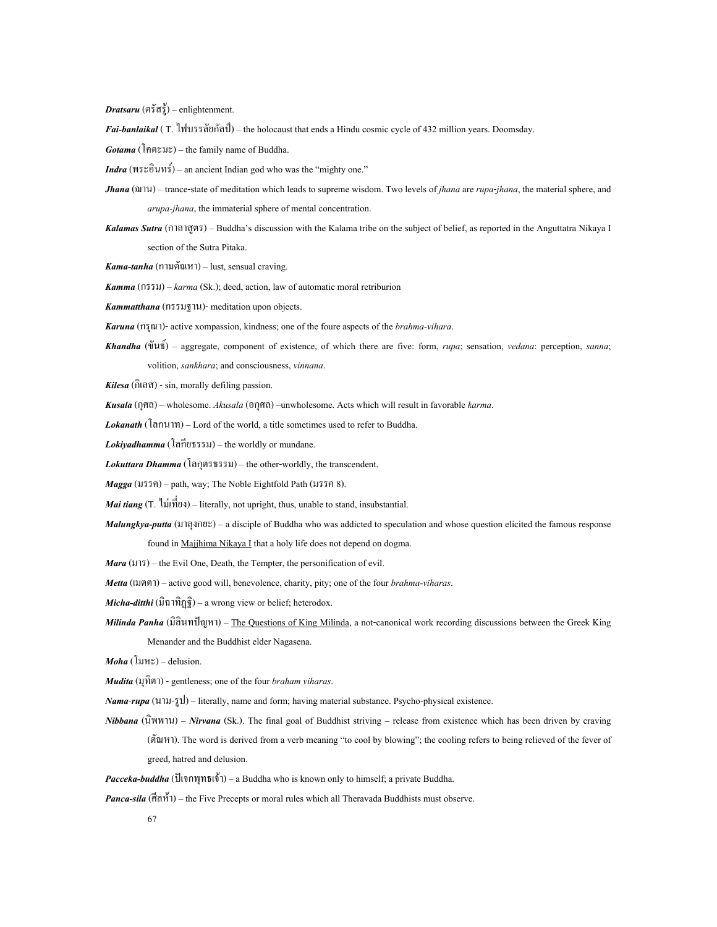*Dratsaru* (ตรัสรู) – enlightenment.

*Fai-banlaikal* ( T. ไฟบรรลัยกัลป) – the holocaust that ends a Hindu cosmic cycle of 432 million years. Doomsday.

*Gotama* (โคตะมะ) – the family name of Buddha.

*Indra* (พระอินทร) – an ancient Indian god who was the "mighty one."

*Jhana* (ฌาน) – trance-state of meditation which leads to supreme wisdom. Two levels of *jhana* are *rupa*-*jhana*, the material sphere, and *arupa-jhana*, the immaterial sphere of mental concentration.

*Kalamas Sutra* (กาลาสูตร) – Buddha's discussion with the Kalama tribe on the subject of belief, as reported in the Anguttatra Nikaya I section of the Sutra Pitaka.

*Kama-tanha* (กามตัณหา) – lust, sensual craving.

*Kamma* (กรรม) – *karma* (Sk.); deed, action, law of automatic moral retriburion

*Kammatthana* (กรรมฐาน)- meditation upon objects.

*Karuna* (กรุณา)- active xompassion, kindness; one of the foure aspects of the *brahma-vihara*.

*Khandha* (ขันธ) – aggregate, component of existence, of which there are five: form, *rupa*; sensation, *vedana*: perception, *sanna*; volition, *sankhara*; and consciousness, *vinnana*.

*Kilesa* (กิเลส) - sin, morally defiling passion.

*Kusala* (กุศล) – wholesome. *Akusala* (อกุศล) –unwholesome. Acts which will result in favorable *karma*.

*Lokanath* (โลกนาท) – Lord of the world, a title sometimes used to refer to Buddha.

*Lokiyadhamma* (โลกียธรรม) – the worldly or mundane.

*Lokuttara Dhamma* (โลกุตรธรรม) – the other-worldly, the transcendent.

*Magga* (มรรค) – path, way; The Noble Eightfold Path (มรรค 8).

Mai tiang (T. ไม่เที่ยง) – literally, not upright, thus, unable to stand, insubstantial. ี่

*Malungkya-putta* (มาลุงกยะ) – a disciple of Buddha who was addicted to speculation and whose question elicited the famous response

found in Majjhima Nikaya I that a holy life does not depend on dogma.

*Mara* ( $\pi$ ) – the Evil One, Death, the Tempter, the personification of evil.

*Metta* (เมตตา) – active good will, benevolence, charity, pity; one of the four *brahma-viharas*.

*Micha-ditthi* (มิฉาทิฏฐิ) – a wrong view or belief; heterodox.

*Milinda Panha* (มิลินทปญหา) – The Questions of King Milinda, a not-canonical work recording discussions between the Greek King Menander and the Buddhist elder Nagasena.

*Moha* (โมหะ) – delusion.

*Mudita* (มุทิตา) - gentleness; one of the four *braham viharas*.

*Nama*-*rupa* (นาม-รูป) – literally, name and form; having material substance. Psycho-physical existence.

- *Nibbana* (นิพพาน) *Nirvana* (Sk.). The final goal of Buddhist striving release from existence which has been driven by craving (ตัณหา). The word is derived from a verb meaning "to cool by blowing"; the cooling refers to being relieved of the fever of greed, hatred and delusion.
- *Pacceka-buddha* (ปเจกพุทธเจา) a Buddha who is known only to himself; a private Buddha.

*Panca-sila* (ศีลหั้า) – the Five Precepts or moral rules which all Theravada Buddhists must observe.

67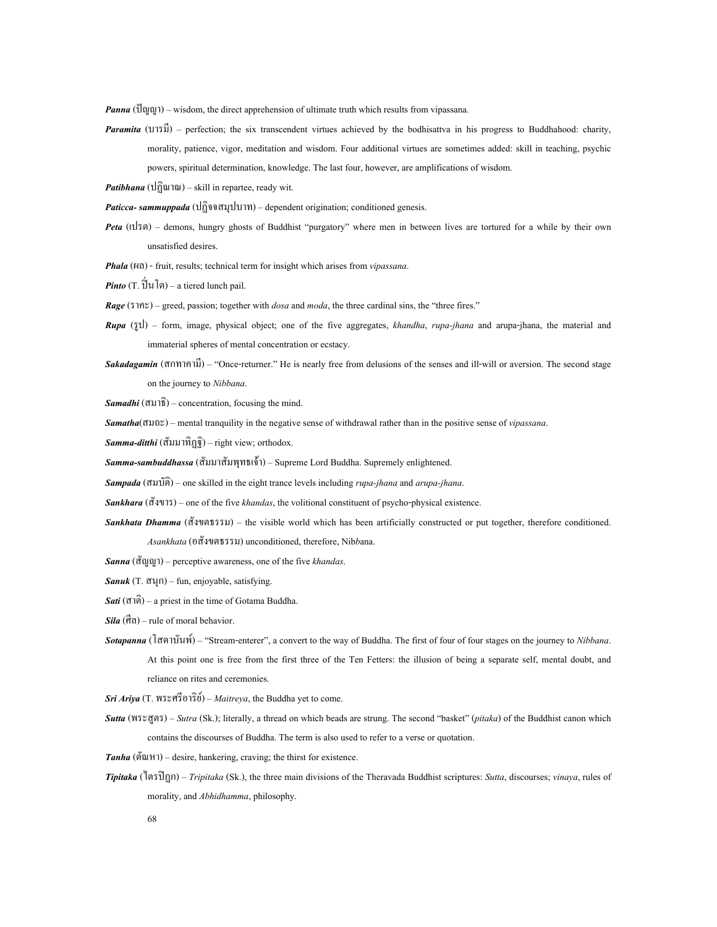*Panna* (ปญญา) – wisdom, the direct apprehension of ultimate truth which results from vipassana.

*Paramita* (บารมี) – perfection; the six transcendent virtues achieved by the bodhisattva in his progress to Buddhahood: charity, morality, patience, vigor, meditation and wisdom. Four additional virtues are sometimes added: skill in teaching, psychic powers, spiritual determination, knowledge. The last four, however, are amplifications of wisdom.

*Patibhana* (ปฏิณาณ) – skill in repartee, ready wit.

*Paticca- sammuppada* (ปฏิจจสมุปบาท) – dependent origination; conditioned genesis.

- *Peta* (เปรต) demons, hungry ghosts of Buddhist "purgatory" where men in between lives are tortured for a while by their own unsatisfied desires.
- *Phala* (ผล) fruit, results; technical term for insight which arises from *vipassana*.
- *Pinto*  $(T, \hat{\mathbb{I}} | \mathbb{U}(\hat{\mathbb{I}}))$  a tiered lunch pail.

*Rage* (ราคะ) – greed, passion; together with *dosa* and *moda*, the three cardinal sins, the "three fires."

- *Rupa* (รูป) form, image, physical object; one of the five aggregates, *khandha*, *rupa-jhana* and arupa-jhana, the material and immaterial spheres of mental concentration or ecstacy.
- *Sakadagamin* (สกทาคามี) "Once-returner." He is nearly free from delusions of the senses and ill-will or aversion. The second stage on the journey to *Nibbana*.

*Samadhi* (สมาธิ) – concentration, focusing the mind.

*Samatha*(สมถะ) – mental tranquility in the negative sense of withdrawal rather than in the positive sense of *vipassana*.

*Samma-ditthi* (สัมมาทิฏฐิ) – right view; orthodox.

*Samma-sambuddhassa* (สัมมาสัมพุทธเจา) – Supreme Lord Buddha. Supremely enlightened.

*Sampada* (สมบัติ) – one skilled in the eight trance levels including *rupa-jhana* and *arupa-jhana*.

*Sankhara* (สังขาร) – one of the five *khandas*, the volitional constituent of psycho-physical existence.

- *Sankhata Dhamma* (สังขตธรรม) the visible world which has been artificially constructed or put together, therefore conditioned. *Asankhata* (อสังขตธรรม) unconditioned, therefore, Nib*b*ana.
- *Sanna* (สัญญา) perceptive awareness, one of the five *khandas*.
- *Sanuk* (T. สนุก) fun, enjoyable, satisfying.
- *Sati* (สาติ) a priest in the time of Gotama Buddha.
- *Sila* (ศีล) rule of moral behavior.
- *Sotapanna* (โสดาบันพ) "Stream-enterer", a convert to the way of Buddha. The first of four of four stages on the journey to *Nibbana*. At this point one is free from the first three of the Ten Fetters: the illusion of being a separate self, mental doubt, and reliance on rites and ceremonies.

*Sri Ariya* (T. พระศรีอาริย) – *Maitreya*, the Buddha yet to come.

- *Sutta* (พระสูตร) *Sutra* (Sk.); literally, a thread on which beads are strung. The second "basket" (*pitaka*) of the Buddhist canon which contains the discourses of Buddha. The term is also used to refer to a verse or quotation.
- *Tanha* (ตัณหา) desire, hankering, craving; the thirst for existence.
- *Tipitaka* (ไตรปฏก) *Tripitaka* (Sk.), the three main divisions of the Theravada Buddhist scriptures: *Sutta*, discourses; *vinaya*, rules of morality, and *Abhidhamma*, philosophy.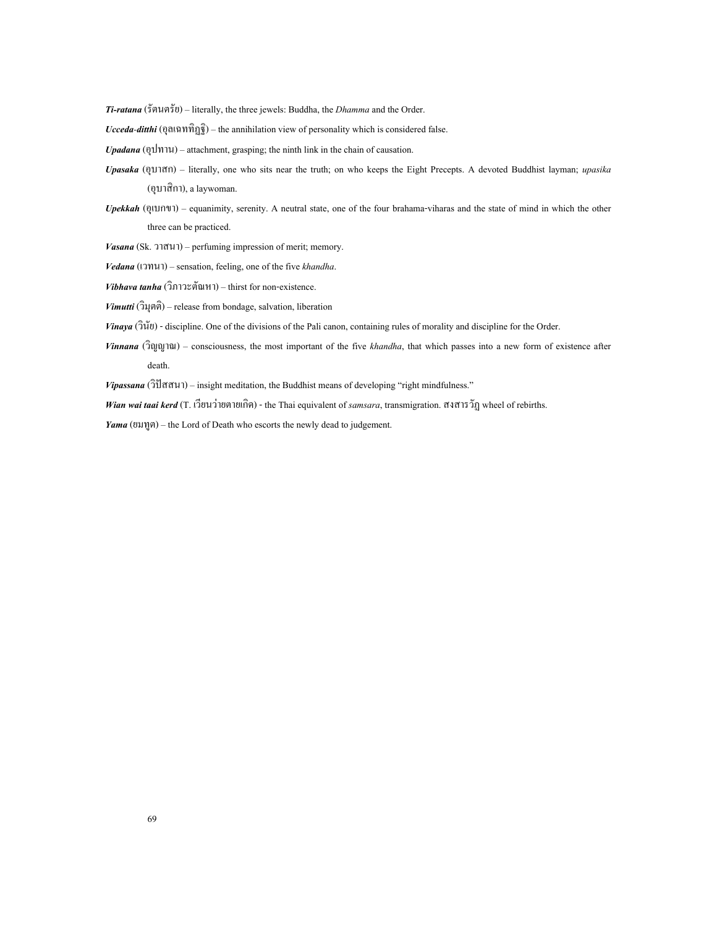*Ti-ratana* (รัตนตรัย) – literally, the three jewels: Buddha, the *Dhamma* and the Order.

*Ucceda-ditthi* (อุลเฉททิฏฐิ) – the annihilation view of personality which is considered false.

*Upadana* (อุปทาน) – attachment, grasping; the ninth link in the chain of causation.

- *Upasaka* (อุบาสก) literally, one who sits near the truth; on who keeps the Eight Precepts. A devoted Buddhist layman; *upasika* (อุบาสิกา), a laywoman.
- *Upekkah* (อุเบกขา) equanimity, serenity. A neutral state, one of the four brahama-viharas and the state of mind in which the other three can be practiced.

*Vasana* (Sk. วาสนา) – perfuming impression of merit; memory.

*Vedana* (เวทนา) – sensation, feeling, one of the five *khandha*.

*Vibhava tanha* (วิภาวะตัณหา) – thirst for non-existence.

*Vimutti* (วิมุตติ) – release from bondage, salvation, liberation

*Vinaya* (วินัย) - discipline. One of the divisions of the Pali canon, containing rules of morality and discipline for the Order.

*Vinnana* (วิญญาณ) – consciousness, the most important of the five *khandha*, that which passes into a new form of existence after death.

*Vipassana* (วิปสสนา) – insight meditation, the Buddhist means of developing "right mindfulness."

*Wian wai taai kerd* (T. เวียนวายตายเกิด) - the Thai equivalent of *samsara*, transmigration. สงสารวัฏ wheel of rebirths.

*Yama* (ยมทูต) – the Lord of Death who escorts the newly dead to judgement.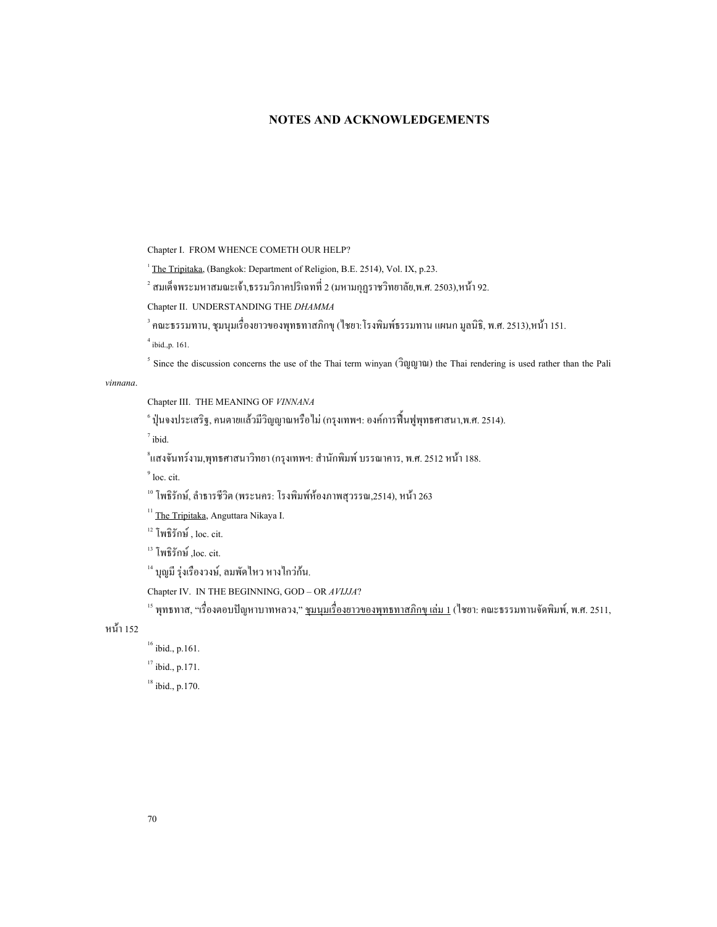## **NOTES AND ACKNOWLEDGEMENTS**

Chapter I. FROM WHENCE COMETH OUR HELP?

<sup>1</sup> The Tripitaka, (Bangkok: Department of Religion, B.E. 2514), Vol. IX, p.23.

 $^{\text{2}}$  สมเด็จพระมหาสมณะเจ้า,ธรรมวิภาคปริเฉทที่ 2 (มหามกุฎราชวิทยาลัย,พ.ศ. 2503),หน้า 92.

Chapter II. UNDERSTANDING THE *DHAMMA*

<sup>3</sup> คณะธรรมทาน, ชุมนุมเรื่องยาวของพุทธทาสภิกขุ (ไชยา:โรงพิมพ์ธรรมทาน แผนก มูลนิธิ, พ.ศ. 2513),หน้า 151.<br><sup>4</sup> .... ื่

 $^{4}$ ibid., p. 161.

<sup>5</sup> Since the discussion concerns the use of the Thai term winyan  $(\hat{d}$ gguanang the Thai rendering is used rather than the Pali

*vinnana*.

Chapter III. THE MEANING OF *VINNANA*

์ ปุ่นจงประเสริฐ, คนตายแล้วมีวิญญาณหรือไม่ (กรุงเทพฯ: องค์การฟื้นฟูพุทธศาสนา,พ.ศ. 2514).<br>7

 $^7$ ibid.

้แสงจันทร์งาม,พุทธศาสนาวิทยา (กรุงเทพฯ: สำนักพิมพ์ บรรณาคาร, พ.ศ. 2512 หน้า 188.<br>°

 $<sup>9</sup>$  loc. cit.</sup>

<sup>10</sup> โพธิรักษ์, ลำธารชีวิต (พระนคร: โรงพิมพ์ห้องภาพสุวรรณ,2514), หน้า 263<br><sup>11</sup> The Tripitaka, Anguttara Nikaya I.<br><sup>12</sup> โพธิรักษ์ , loc. cit.<br><sup>13</sup> โพธิรักษ์ ,loc. cit. 14 บุญมี รุ่งเรืองวงษ์, ลมพัดไหว หางไกว่ก้น.

Chapter IV. IN THE BEGINNING, GOD – OR *AVIJJA*?<br><sup>15</sup> พุทธทาส, "เรื่องตอบปัญหาบาทหลวง," <u>ชุมนุมเรื่องยาวของพุทธทาสภิกขุ เล่ม 1</u> (ใชยา: คณะธรรมทานจัดพิมพ์, พ.ศ. 2511, ื่

หน้า 152<br> $16$  ibid., p.161.

 $17$  ibid., p.171.  $18$  ibid., p.170.